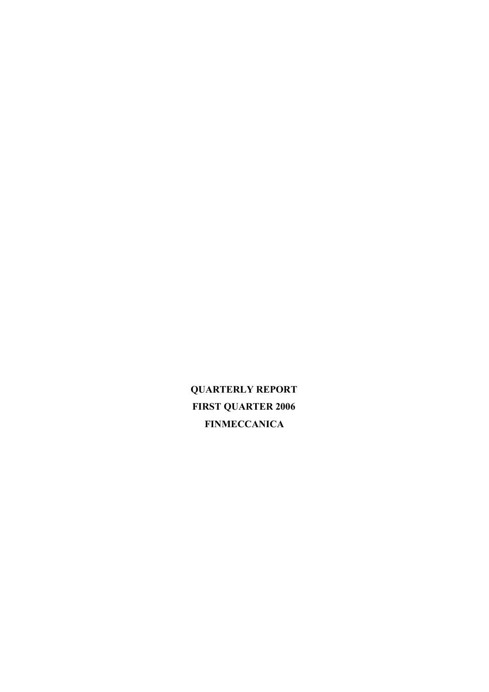**QUARTERLY REPORT FIRST QUARTER 2006 FINMECCANICA**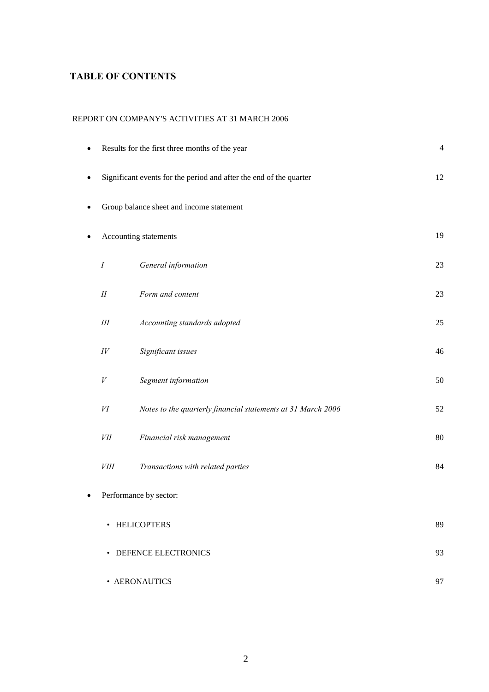# **TABLE OF CONTENTS**

### REPORT ON COMPANY'S ACTIVITIES AT 31 MARCH 2006

| $\bullet$ |                  | Results for the first three months of the year                     | 4  |
|-----------|------------------|--------------------------------------------------------------------|----|
| $\bullet$ |                  | Significant events for the period and after the end of the quarter | 12 |
| ٠         |                  | Group balance sheet and income statement                           |    |
| ٠         |                  | Accounting statements                                              | 19 |
|           | $\boldsymbol{I}$ | General information                                                | 23 |
|           | $I\!I$           | Form and content                                                   | 23 |
|           | $I\!I\!I$        | Accounting standards adopted                                       | 25 |
|           | IV               | Significant issues                                                 | 46 |
|           | V                | Segment information                                                | 50 |
|           | VI               | Notes to the quarterly financial statements at 31 March 2006       | 52 |
|           | VІІ              | Financial risk management                                          | 80 |
|           | <i>VIII</i>      | Transactions with related parties                                  | 84 |
| ٠         |                  | Performance by sector:                                             |    |
|           |                  | • HELICOPTERS                                                      | 89 |
|           |                  | • DEFENCE ELECTRONICS                                              | 93 |
|           |                  | • AERONAUTICS                                                      | 97 |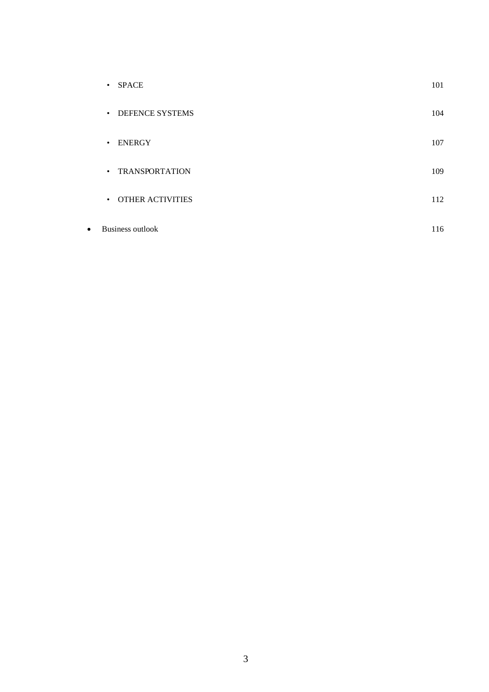|           | <b>SPACE</b><br>$\bullet$ | 101 |
|-----------|---------------------------|-----|
|           | • DEFENCE SYSTEMS         | 104 |
|           | · ENERGY                  | 107 |
|           | • TRANSPORTATION          | 109 |
|           | • OTHER ACTIVITIES        | 112 |
| $\bullet$ | Business outlook          | 116 |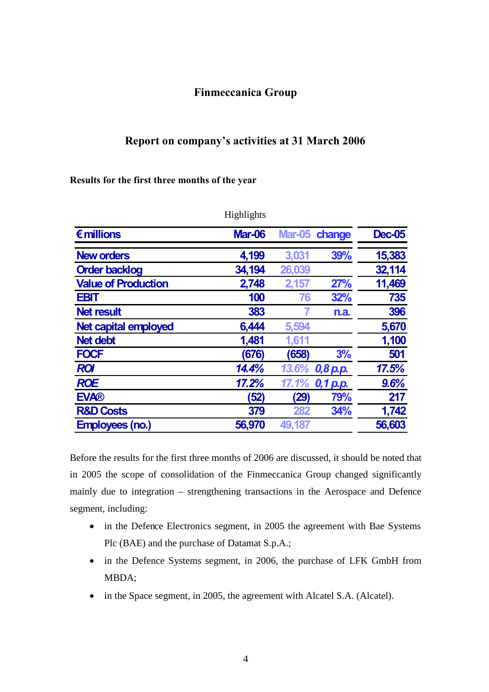# **Finmeccanica Group**

# **Report on company's activities at 31 March 2006**

**Results for the first three months of the year**

|                             | 11151111511w  |        |                |               |
|-----------------------------|---------------|--------|----------------|---------------|
| $\epsilon$ millions         | <b>Mar-06</b> |        | Mar-05 change  | <b>Dec-05</b> |
| <b>New orders</b>           | 4,199         | 3,031  | 39%            | 15,383        |
| <b>Order backlog</b>        | 34,194        | 26,039 |                | 32,114        |
| <b>Value of Production</b>  | 2,748         | 2,157  | 27%            | 11,469        |
| <b>EBIT</b>                 | 100           | 76     | <b>32%</b>     | 735           |
| <b>Net result</b>           | 383           |        | n.a.           | 396           |
| <b>Net capital employed</b> | 6,444         | 5,594  |                | 5,670         |
| <b>Net debt</b>             | 1,481         | 1,611  |                | 1,100         |
| <b>FOCF</b>                 | (676)         | (658)  | 3%             | 501           |
| <b>ROI</b>                  | 14.4%         |        | 13.6% 0,8 p.p. | 17.5%         |
| <b>ROE</b>                  | 17.2%         | 17.1%  | 0,1 p.p.       | 9.6%          |
| <b>EVA®</b>                 | (52)          | (29)   | 79%            | 217           |
| <b>R&amp;D Costs</b>        | 379           | 282    | 34%            | 1,742         |
| <b>Employees (no.)</b>      | 56,970        | 49,187 |                | 56,603        |

**Highlights** 

Before the results for the first three months of 2006 are discussed, it should be noted that in 2005 the scope of consolidation of the Finmeccanica Group changed significantly mainly due to integration – strengthening transactions in the Aerospace and Defence segment, including:

- in the Defence Electronics segment, in 2005 the agreement with Bae Systems Plc (BAE) and the purchase of Datamat S.p.A.;
- in the Defence Systems segment, in 2006, the purchase of LFK GmbH from MBDA;
- in the Space segment, in 2005, the agreement with Alcatel S.A. (Alcatel).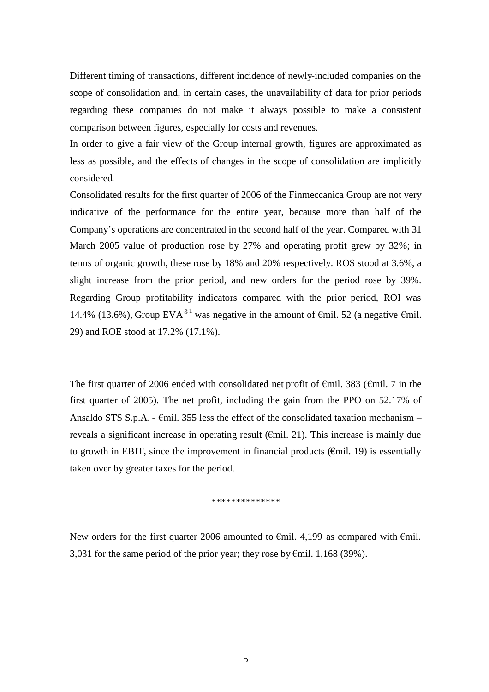Different timing of transactions, different incidence of newly-included companies on the scope of consolidation and, in certain cases, the unavailability of data for prior periods regarding these companies do not make it always possible to make a consistent comparison between figures, especially for costs and revenues.

In order to give a fair view of the Group internal growth, figures are approximated as less as possible, and the effects of changes in the scope of consolidation are implicitly considered.

Consolidated results for the first quarter of 2006 of the Finmeccanica Group are not very indicative of the performance for the entire year, because more than half of the Company's operations are concentrated in the second half of the year. Compared with 31 March 2005 value of production rose by 27% and operating profit grew by 32%; in terms of organic growth, these rose by 18% and 20% respectively. ROS stood at 3.6%, a slight increase from the prior period, and new orders for the period rose by 39%. Regarding Group profitability indicators compared with the prior period, ROI was 14.4% (13.6%), Group EVA<sup>®1</sup> was negative in the amount of  $\epsilon$ mil. 52 (a negative  $\epsilon$ mil. 29) and ROE stood at 17.2% (17.1%).

The first quarter of 2006 ended with consolidated net profit of  $\epsilon$ mil. 383 ( $\epsilon$ mil. 7 in the first quarter of 2005). The net profit, including the gain from the PPO on 52.17% of Ansaldo STS S.p.A. -  $\epsilon$ mil. 355 less the effect of the consolidated taxation mechanism – reveals a significant increase in operating result ( $\epsilon$ mil. 21). This increase is mainly due to growth in EBIT, since the improvement in financial products ( $\epsilon$ mil. 19) is essentially taken over by greater taxes for the period.

#### \*\*\*\*\*\*\*\*\*\*\*\*\*\*

New orders for the first quarter 2006 amounted to  $\epsilon$ mil. 4,199 as compared with  $\epsilon$ mil. 3,031 for the same period of the prior year; they rose by  $\epsilon$ mil. 1,168 (39%).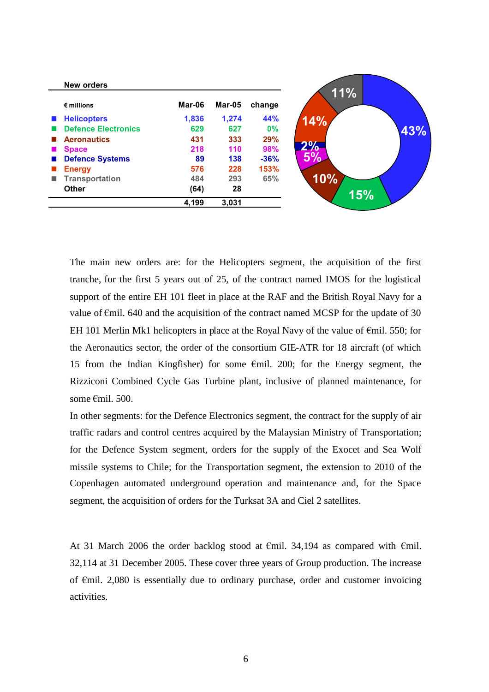| <b>New orders</b>          |        |        |        |
|----------------------------|--------|--------|--------|
| $\epsilon$ millions        | Mar-06 | Mar-05 | change |
| <b>Helicopters</b>         | 1,836  | 1,274  | 44%    |
| <b>Defence Electronics</b> | 629    | 627    | 0%     |
| <b>Aeronautics</b>         | 431    | 333    | 29%    |
| <b>Space</b>               | 218    | 110    | 98%    |
| <b>Defence Systems</b>     | 89     | 138    | $-36%$ |
| <b>Energy</b>              | 576    | 228    | 153%   |
| <b>Transportation</b>      | 484    | 293    | 65%    |
| <b>Other</b>               | (64)   | 28     |        |
|                            | 4,199  | 3,031  |        |

The main new orders are: for the Helicopters segment, the acquisition of the first tranche, for the first 5 years out of 25, of the contract named IMOS for the logistical support of the entire EH 101 fleet in place at the RAF and the British Royal Navy for a value of  $\epsilon$ mil. 640 and the acquisition of the contract named MCSP for the update of 30 EH 101 Merlin Mk1 helicopters in place at the Royal Navy of the value of  $\epsilon$ mil. 550; for the Aeronautics sector, the order of the consortium GIE-ATR for 18 aircraft (of which 15 from the Indian Kingfisher) for some  $\epsilon$ mil. 200; for the Energy segment, the Rizziconi Combined Cycle Gas Turbine plant, inclusive of planned maintenance, for some €mil. 500.

In other segments: for the Defence Electronics segment, the contract for the supply of air traffic radars and control centres acquired by the Malaysian Ministry of Transportation; for the Defence System segment, orders for the supply of the Exocet and Sea Wolf missile systems to Chile; for the Transportation segment, the extension to 2010 of the Copenhagen automated underground operation and maintenance and, for the Space segment, the acquisition of orders for the Turksat 3A and Ciel 2 satellites.

At 31 March 2006 the order backlog stood at  $\epsilon$ mil. 34,194 as compared with  $\epsilon$ mil. 32,114 at 31 December 2005. These cover three years of Group production. The increase of €mil. 2,080 is essentially due to ordinary purchase, order and customer invoicing activities.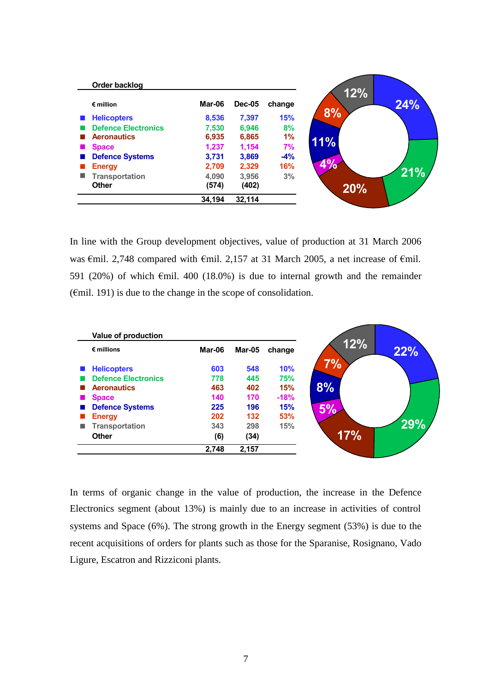| Order backlog              |        |               |            |
|----------------------------|--------|---------------|------------|
| $\epsilon$ million         | Mar-06 | <b>Dec-05</b> | change     |
| <b>Helicopters</b>         | 8,536  | 7,397         | <b>15%</b> |
| <b>Defence Electronics</b> | 7.530  | 6.946         | 8%         |
| <b>Aeronautics</b>         | 6,935  | 6,865         | 1%         |
| <b>Space</b>               | 1,237  | 1,154         | 7%         |
| <b>Defence Systems</b>     | 3,731  | 3,869         | $-4%$      |
| <b>Energy</b>              | 2,709  | 2,329         | 16%        |
| <b>Transportation</b>      | 4,090  | 3,956         | 3%         |
| <b>Other</b>               | (574)  | (402)         |            |
|                            | 34,194 | 32,114        |            |

In line with the Group development objectives, value of production at 31 March 2006 was €mil. 2,748 compared with €mil. 2,157 at 31 March 2005, a net increase of €mil. 591 (20%) of which  $\epsilon$ mil. 400 (18.0%) is due to internal growth and the remainder  $(\text{Emil. } 191)$  is due to the change in the scope of consolidation.

|   | Value of production        |        |        |            |
|---|----------------------------|--------|--------|------------|
|   | $\epsilon$ millions        | Mar-06 | Mar-05 | change     |
|   | <b>Helicopters</b>         | 603    | 548    | 10%        |
|   | <b>Defence Electronics</b> | 778    | 445    | <b>75%</b> |
|   | <b>Aeronautics</b>         | 463    | 402    | 15%        |
|   | <b>Space</b>               | 140    | 170    | $-18%$     |
|   | <b>Defence Systems</b>     | 225    | 196    | <b>15%</b> |
|   | <b>Energy</b>              | 202    | 132    | 53%        |
| ■ | <b>Transportation</b>      | 343    | 298    | 15%        |
|   | <b>Other</b>               | (6)    | (34)   |            |
|   |                            | 2,748  | 2,157  |            |

In terms of organic change in the value of production, the increase in the Defence Electronics segment (about 13%) is mainly due to an increase in activities of control systems and Space (6%). The strong growth in the Energy segment (53%) is due to the recent acquisitions of orders for plants such as those for the Sparanise, Rosignano, Vado Ligure, Escatron and Rizziconi plants.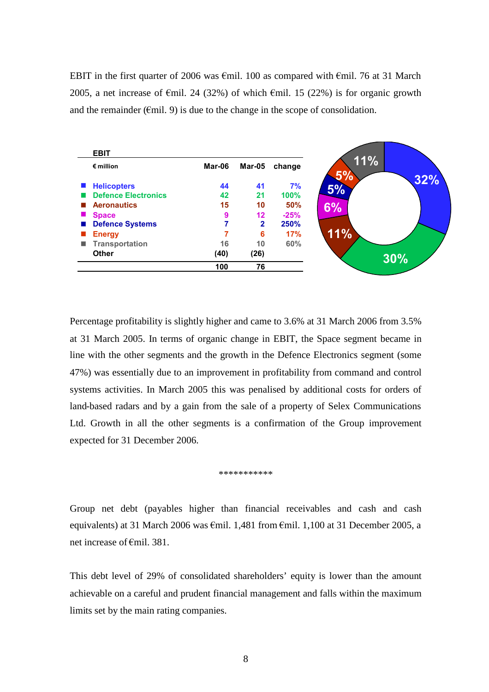EBIT in the first quarter of 2006 was  $\epsilon$ mil. 100 as compared with  $\epsilon$ mil. 76 at 31 March 2005, a net increase of  $\epsilon$ mil. 24 (32%) of which  $\epsilon$ mil. 15 (22%) is for organic growth and the remainder ( $\epsilon$ mil. 9) is due to the change in the scope of consolidation.



Percentage profitability is slightly higher and came to 3.6% at 31 March 2006 from 3.5% at 31 March 2005. In terms of organic change in EBIT, the Space segment became in line with the other segments and the growth in the Defence Electronics segment (some 47%) was essentially due to an improvement in profitability from command and control systems activities. In March 2005 this was penalised by additional costs for orders of land-based radars and by a gain from the sale of a property of Selex Communications Ltd. Growth in all the other segments is a confirmation of the Group improvement expected for 31 December 2006.

\*\*\*\*\*\*\*\*\*\*\*

Group net debt (payables higher than financial receivables and cash and cash equivalents) at 31 March 2006 was €mil. 1,481 from €mil. 1,100 at 31 December 2005, a net increase of €mil. 381.

This debt level of 29% of consolidated shareholders' equity is lower than the amount achievable on a careful and prudent financial management and falls within the maximum limits set by the main rating companies.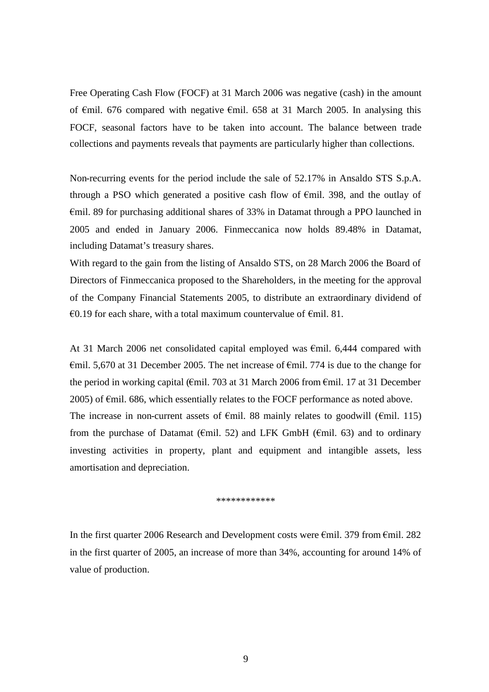Free Operating Cash Flow (FOCF) at 31 March 2006 was negative (cash) in the amount of  $\epsilon$ mil. 676 compared with negative  $\epsilon$ mil. 658 at 31 March 2005. In analysing this FOCF, seasonal factors have to be taken into account. The balance between trade collections and payments reveals that payments are particularly higher than collections.

Non-recurring events for the period include the sale of 52.17% in Ansaldo STS S.p.A. through a PSO which generated a positive cash flow of  $\epsilon$ mil. 398, and the outlay of  $\epsilon$ mil. 89 for purchasing additional shares of 33% in Datamat through a PPO launched in 2005 and ended in January 2006. Finmeccanica now holds 89.48% in Datamat, including Datamat's treasury shares.

With regard to the gain from the listing of Ansaldo STS, on 28 March 2006 the Board of Directors of Finmeccanica proposed to the Shareholders, in the meeting for the approval of the Company Financial Statements 2005, to distribute an extraordinary dividend of €0.19 for each share, with a total maximum countervalue of  $€mil$ . 81.

At 31 March 2006 net consolidated capital employed was €mil. 6,444 compared with  $\epsilon$ mil. 5,670 at 31 December 2005. The net increase of  $\epsilon$ mil. 774 is due to the change for the period in working capital ( $\epsilon$ mil. 703 at 31 March 2006 from  $\epsilon$ mil. 17 at 31 December 2005) of  $\epsilon$ mil. 686, which essentially relates to the FOCF performance as noted above. The increase in non-current assets of  $\epsilon$ mil. 88 mainly relates to goodwill ( $\epsilon$ mil. 115) from the purchase of Datamat ( $\epsilon$ mil. 52) and LFK GmbH ( $\epsilon$ mil. 63) and to ordinary investing activities in property, plant and equipment and intangible assets, less amortisation and depreciation.

\*\*\*\*\*\*\*\*\*\*\*\*

In the first quarter 2006 Research and Development costs were €mil. 379 from €mil. 282 in the first quarter of 2005, an increase of more than 34%, accounting for around 14% of value of production.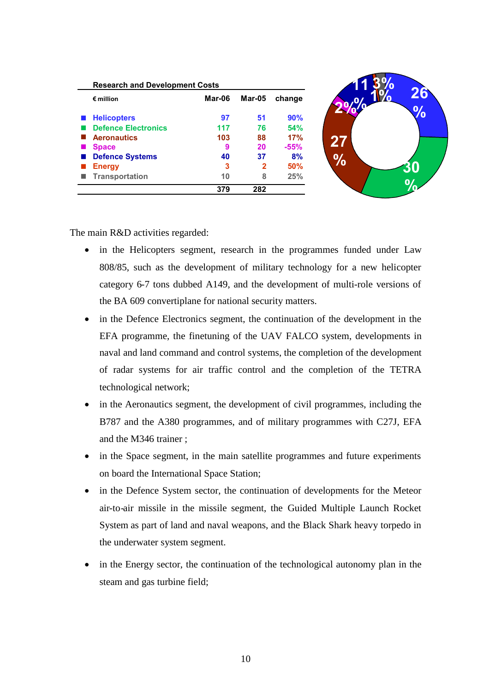| $\epsilon$ million         | Mar-06 | Mar-05      | change     |
|----------------------------|--------|-------------|------------|
| <b>Helicopters</b>         | 97     | 51          | 90%        |
| <b>Defence Electronics</b> | 117    | 76          | <b>54%</b> |
| <b>Aeronautics</b>         | 103    | 88          | 17%        |
| <b>Space</b>               | 9      | 20          | $-55%$     |
| <b>Defence Systems</b>     | 40     | 37          | 8%         |
| <b>Energy</b>              | 3      | $\mathbf 2$ | 50%        |
| <b>Transportation</b>      | 10     | 8           | 25%        |
|                            | 379    | 282         |            |

**26**

**%**

**30**

**%**

The main R&D activities regarded:

- in the Helicopters segment, research in the programmes funded under Law 808/85, such as the development of military technology for a new helicopter category 6-7 tons dubbed A149, and the development of multi-role versions of the BA 609 convertiplane for national security matters.
- in the Defence Electronics segment, the continuation of the development in the EFA programme, the finetuning of the UAV FALCO system, developments in naval and land command and control systems, the completion of the development of radar systems for air traffic control and the completion of the TETRA technological network;
- in the Aeronautics segment, the development of civil programmes, including the B787 and the A380 programmes, and of military programmes with C27J, EFA and the M346 trainer ;
- in the Space segment, in the main satellite programmes and future experiments on board the International Space Station;
- in the Defence System sector, the continuation of developments for the Meteor air-to-air missile in the missile segment, the Guided Multiple Launch Rocket System as part of land and naval weapons, and the Black Shark heavy torpedo in the underwater system segment.
- in the Energy sector, the continuation of the technological autonomy plan in the steam and gas turbine field;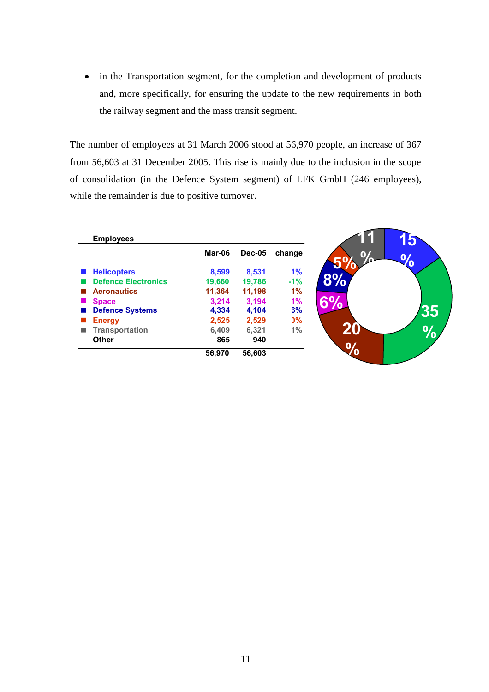• in the Transportation segment, for the completion and development of products and, more specifically, for ensuring the update to the new requirements in both the railway segment and the mass transit segment.

The number of employees at 31 March 2006 stood at 56,970 people, an increase of 367 from 56,603 at 31 December 2005. This rise is mainly due to the inclusion in the scope of consolidation (in the Defence System segment) of LFK GmbH (246 employees), while the remainder is due to positive turnover.

**15**

**%**

**35**

**20 %**

| <b>Employees</b>           |        |               |        |
|----------------------------|--------|---------------|--------|
|                            | Mar-06 | <b>Dec-05</b> | change |
| <b>Helicopters</b>         | 8,599  | 8,531         | 1%     |
| <b>Defence Electronics</b> | 19,660 | 19,786        | $-1\%$ |
| <b>Aeronautics</b>         | 11,364 | 11,198        | 1%     |
| <b>Space</b>               | 3.214  | 3.194         | 1%     |
| <b>Defence Systems</b>     | 4,334  | 4.104         | 6%     |
| <b>Energy</b>              | 2,525  | 2,529         | $0\%$  |
| <b>Transportation</b>      | 6,409  | 6,321         | 1%     |
| <b>Other</b>               | 865    | 940           |        |
|                            | 56,970 | 56,603        |        |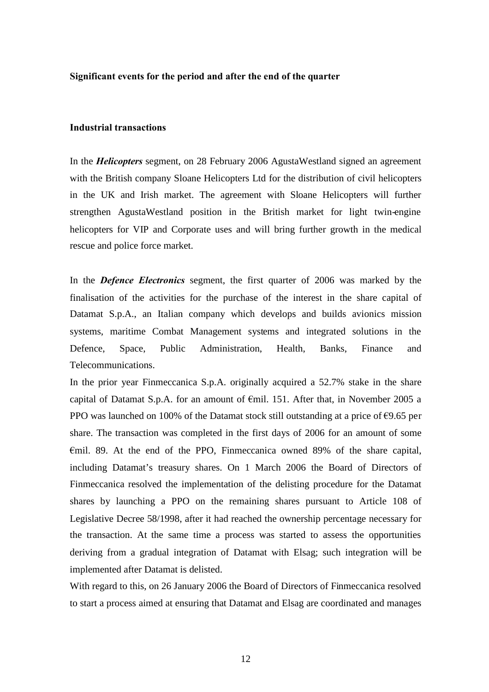#### **Significant events for the period and after the end of the quarter**

#### **Industrial transactions**

In the *Helicopters* segment, on 28 February 2006 AgustaWestland signed an agreement with the British company Sloane Helicopters Ltd for the distribution of civil helicopters in the UK and Irish market. The agreement with Sloane Helicopters will further strengthen AgustaWestland position in the British market for light twin-engine helicopters for VIP and Corporate uses and will bring further growth in the medical rescue and police force market.

In the *Defence Electronics* segment, the first quarter of 2006 was marked by the finalisation of the activities for the purchase of the interest in the share capital of Datamat S.p.A., an Italian company which develops and builds avionics mission systems, maritime Combat Management systems and integrated solutions in the Defence, Space, Public Administration, Health, Banks, Finance and Telecommunications.

In the prior year Finmeccanica S.p.A. originally acquired a 52.7% stake in the share capital of Datamat S.p.A. for an amount of €mil. 151. After that, in November 2005 a PPO was launched on 100% of the Datamat stock still outstanding at a price of  $\epsilon$ 9.65 per share. The transaction was completed in the first days of 2006 for an amount of some €mil. 89. At the end of the PPO, Finmeccanica owned 89% of the share capital, including Datamat's treasury shares. On 1 March 2006 the Board of Directors of Finmeccanica resolved the implementation of the delisting procedure for the Datamat shares by launching a PPO on the remaining shares pursuant to Article 108 of Legislative Decree 58/1998, after it had reached the ownership percentage necessary for the transaction. At the same time a process was started to assess the opportunities deriving from a gradual integration of Datamat with Elsag; such integration will be implemented after Datamat is delisted.

With regard to this, on 26 January 2006 the Board of Directors of Finmeccanica resolved to start a process aimed at ensuring that Datamat and Elsag are coordinated and manages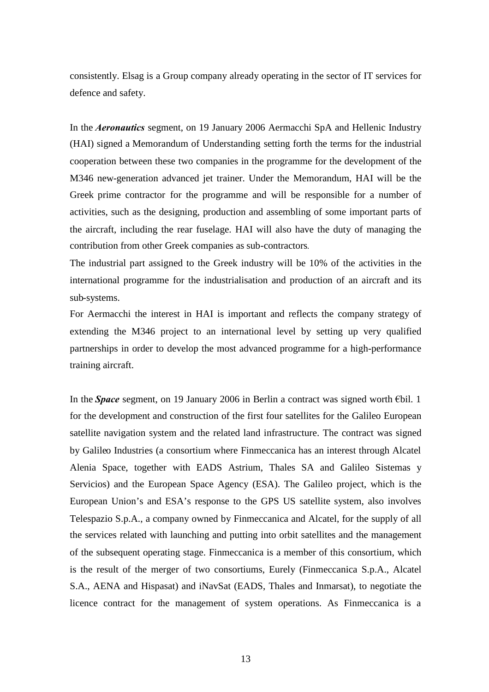consistently. Elsag is a Group company already operating in the sector of IT services for defence and safety.

In the *Aeronautics* segment, on 19 January 2006 Aermacchi SpA and Hellenic Industry (HAI) signed a Memorandum of Understanding setting forth the terms for the industrial cooperation between these two companies in the programme for the development of the M346 new-generation advanced jet trainer. Under the Memorandum, HAI will be the Greek prime contractor for the programme and will be responsible for a number of activities, such as the designing, production and assembling of some important parts of the aircraft, including the rear fuselage. HAI will also have the duty of managing the contribution from other Greek companies as sub-contractors*.*

The industrial part assigned to the Greek industry will be 10% of the activities in the international programme for the industrialisation and production of an aircraft and its sub-systems.

For Aermacchi the interest in HAI is important and reflects the company strategy of extending the M346 project to an international level by setting up very qualified partnerships in order to develop the most advanced programme for a high-performance training aircraft.

In the *Space* segment, on 19 January 2006 in Berlin a contract was signed worth €bil. 1 for the development and construction of the first four satellites for the Galileo European satellite navigation system and the related land infrastructure. The contract was signed by Galileo Industries (a consortium where Finmeccanica has an interest through Alcatel Alenia Space, together with EADS Astrium, Thales SA and Galileo Sistemas y Servicios) and the European Space Agency (ESA). The Galileo project, which is the European Union's and ESA's response to the GPS US satellite system, also involves Telespazio S.p.A., a company owned by Finmeccanica and Alcatel, for the supply of all the services related with launching and putting into orbit satellites and the management of the subsequent operating stage. Finmeccanica is a member of this consortium, which is the result of the merger of two consortiums, Eurely (Finmeccanica S.p.A., Alcatel S.A., AENA and Hispasat) and iNavSat (EADS, Thales and Inmarsat), to negotiate the licence contract for the management of system operations. As Finmeccanica is a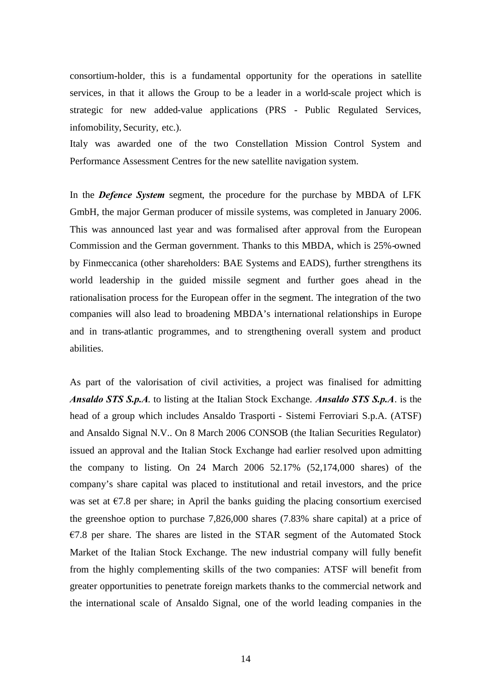consortium-holder, this is a fundamental opportunity for the operations in satellite services, in that it allows the Group to be a leader in a world-scale project which is strategic for new added-value applications (PRS - Public Regulated Services, infomobility, Security, etc.).

Italy was awarded one of the two Constellation Mission Control System and Performance Assessment Centres for the new satellite navigation system.

In the *Defence System* segment, the procedure for the purchase by MBDA of LFK GmbH, the major German producer of missile systems, was completed in January 2006. This was announced last year and was formalised after approval from the European Commission and the German government. Thanks to this MBDA, which is 25%-owned by Finmeccanica (other shareholders: BAE Systems and EADS), further strengthens its world leadership in the guided missile segment and further goes ahead in the rationalisation process for the European offer in the segment. The integration of the two companies will also lead to broadening MBDA's international relationships in Europe and in trans-atlantic programmes, and to strengthening overall system and product abilities.

As part of the valorisation of civil activities, a project was finalised for admitting *Ansaldo STS S.p.A*. to listing at the Italian Stock Exchange. *Ansaldo STS S.p.A*. is the head of a group which includes Ansaldo Trasporti - Sistemi Ferroviari S.p.A. (ATSF) and Ansaldo Signal N.V.. On 8 March 2006 CONSOB (the Italian Securities Regulator) issued an approval and the Italian Stock Exchange had earlier resolved upon admitting the company to listing. On 24 March  $2006$   $52.17\%$   $(52,174,000)$  shares) of the company's share capital was placed to institutional and retail investors, and the price was set at  $\epsilon$ 7.8 per share; in April the banks guiding the placing consortium exercised the greenshoe option to purchase 7,826,000 shares (7.83% share capital) at a price of  $€7.8$  per share. The shares are listed in the STAR segment of the Automated Stock Market of the Italian Stock Exchange. The new industrial company will fully benefit from the highly complementing skills of the two companies: ATSF will benefit from greater opportunities to penetrate foreign markets thanks to the commercial network and the international scale of Ansaldo Signal, one of the world leading companies in the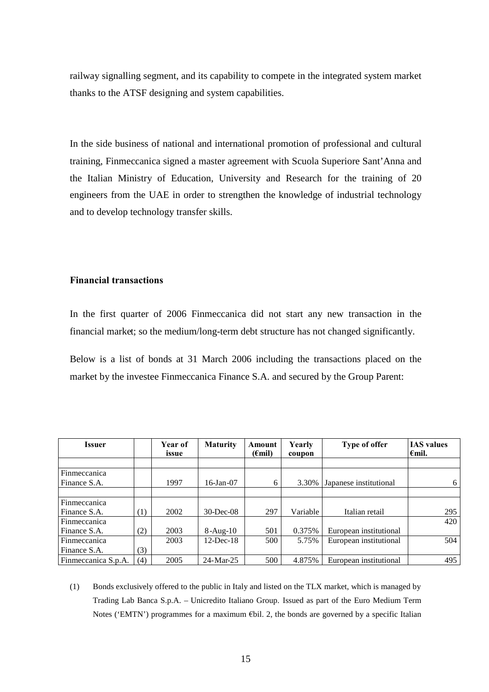railway signalling segment, and its capability to compete in the integrated system market thanks to the ATSF designing and system capabilities.

In the side business of national and international promotion of professional and cultural training, Finmeccanica signed a master agreement with Scuola Superiore Sant'Anna and the Italian Ministry of Education, University and Research for the training of 20 engineers from the UAE in order to strengthen the knowledge of industrial technology and to develop technology transfer skills.

# **Financial transactions**

In the first quarter of 2006 Finmeccanica did not start any new transaction in the financial market; so the medium/long-term debt structure has not changed significantly.

Below is a list of bonds at 31 March 2006 including the transactions placed on the market by the investee Finmeccanica Finance S.A. and secured by the Group Parent:

| Issuer              |     | Year of<br>issue | <b>Maturity</b> | Amount<br>$(\epsilon mil)$ | Yearly<br>coupon | Type of offer          | <b>IAS</b> values<br>$\epsilon$ mil. |
|---------------------|-----|------------------|-----------------|----------------------------|------------------|------------------------|--------------------------------------|
|                     |     |                  |                 |                            |                  |                        |                                      |
| Finmeccanica        |     |                  |                 |                            |                  |                        |                                      |
| Finance S.A.        |     | 1997             | $16$ -Jan $-07$ | 6                          | 3.30%            | Japanese institutional | 6                                    |
|                     |     |                  |                 |                            |                  |                        |                                      |
| Finmeccanica        |     |                  |                 |                            |                  |                        |                                      |
| Finance S.A.        | (1) | 2002             | $30$ -Dec-08    | 297                        | Variable         | Italian retail         | 295                                  |
| Finmeccanica        |     |                  |                 |                            |                  |                        | 420                                  |
| Finance S.A.        | (2) | 2003             | $8-Aug-10$      | 501                        | 0.375%           | European institutional |                                      |
| Finmeccanica        |     | 2003             | $12$ -Dec-18    | 500                        | 5.75%            | European institutional | 504                                  |
| Finance S.A.        | (3) |                  |                 |                            |                  |                        |                                      |
| Finmeccanica S.p.A. | (4) | 2005             | 24-Mar-25       | 500                        | 4.875%           | European institutional | 495                                  |

(1) Bonds exclusively offered to the public in Italy and listed on the TLX market, which is managed by Trading Lab Banca S.p.A. – Unicredito Italiano Group. Issued as part of the Euro Medium Term Notes ('EMTN') programmes for a maximum €bil. 2, the bonds are governed by a specific Italian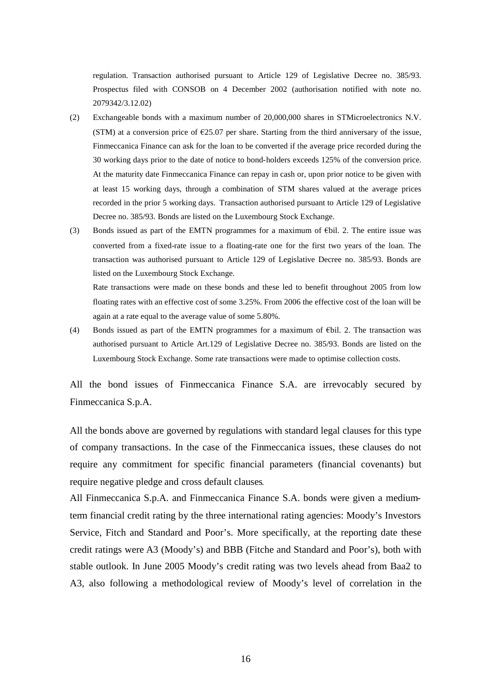regulation. Transaction authorised pursuant to Article 129 of Legislative Decree no. 385/93. Prospectus filed with CONSOB on 4 December 2002 (authorisation notified with note no. 2079342/3.12.02)

- (2) Exchangeable bonds with a maximum number of 20,000,000 shares in STMicroelectronics N.V. (STM) at a conversion price of  $\epsilon$ 25.07 per share. Starting from the third anniversary of the issue, Finmeccanica Finance can ask for the loan to be converted if the average price recorded during the 30 working days prior to the date of notice to bond-holders exceeds 125% of the conversion price. At the maturity date Finmeccanica Finance can repay in cash or, upon prior notice to be given with at least 15 working days, through a combination of STM shares valued at the average prices recorded in the prior 5 working days.. Transaction authorised pursuant to Article 129 of Legislative Decree no. 385/93. Bonds are listed on the Luxembourg Stock Exchange.
- (3) Bonds issued as part of the EMTN programmes for a maximum of  $E\$ il. 2. The entire issue was converted from a fixed-rate issue to a floating-rate one for the first two years of the loan. The transaction was authorised pursuant to Article 129 of Legislative Decree no. 385/93. Bonds are listed on the Luxembourg Stock Exchange.

Rate transactions were made on these bonds and these led to benefit throughout 2005 from low floating rates with an effective cost of some 3.25%. From 2006 the effective cost of the loan will be again at a rate equal to the average value of some 5.80%.

(4) Bonds issued as part of the EMTN programmes for a maximum of  $E$ bil. 2. The transaction was authorised pursuant to Article Art.129 of Legislative Decree no. 385/93. Bonds are listed on the Luxembourg Stock Exchange. Some rate transactions were made to optimise collection costs.

All the bond issues of Finmeccanica Finance S.A. are irrevocably secured by Finmeccanica S.p.A.

All the bonds above are governed by regulations with standard legal clauses for this type of company transactions. In the case of the Finmeccanica issues, these clauses do not require any commitment for specific financial parameters (financial covenants) but require negative pledge and cross default clauses*.*

All Finmeccanica S.p.A. and Finmeccanica Finance S.A. bonds were given a mediumterm financial credit rating by the three international rating agencies: Moody's Investors Service, Fitch and Standard and Poor's. More specifically, at the reporting date these credit ratings were A3 (Moody's) and BBB (Fitche and Standard and Poor's), both with stable outlook. In June 2005 Moody's credit rating was two levels ahead from Baa2 to A3, also following a methodological review of Moody's level of correlation in the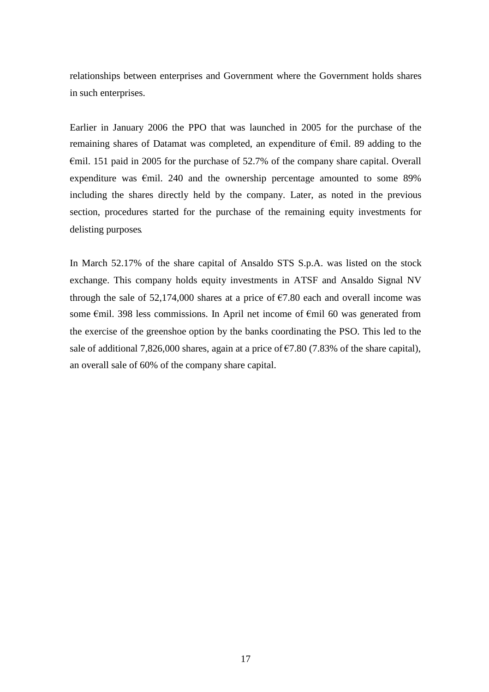relationships between enterprises and Government where the Government holds shares in such enterprises.

Earlier in January 2006 the PPO that was launched in 2005 for the purchase of the remaining shares of Datamat was completed, an expenditure of €mil. 89 adding to the €mil. 151 paid in 2005 for the purchase of 52.7% of the company share capital. Overall expenditure was  $\epsilon$ mil. 240 and the ownership percentage amounted to some 89% including the shares directly held by the company. Later, as noted in the previous section, procedures started for the purchase of the remaining equity investments for delisting purposes*.*

In March 52.17% of the share capital of Ansaldo STS S.p.A. was listed on the stock exchange. This company holds equity investments in ATSF and Ansaldo Signal NV through the sale of  $52,174,000$  shares at a price of  $\epsilon$ 7.80 each and overall income was some €mil. 398 less commissions. In April net income of €mil 60 was generated from the exercise of the greenshoe option by the banks coordinating the PSO. This led to the sale of additional 7,826,000 shares, again at a price of  $\epsilon$ 7.80 (7.83% of the share capital), an overall sale of 60% of the company share capital.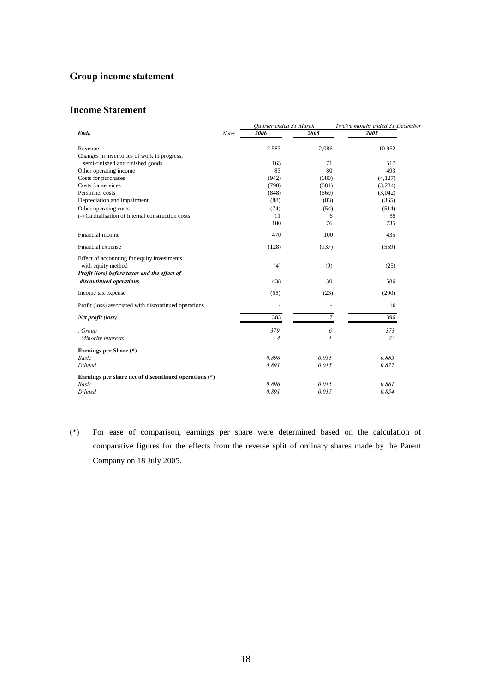# **Group income statement**

# **Income Statement**

|                                                       |              | Quarter ended 31 March |               | Twelve months ended 31 December |  |
|-------------------------------------------------------|--------------|------------------------|---------------|---------------------------------|--|
| $\epsilon$ mil.                                       | <b>Notes</b> | 2006                   | 2005          | 2005                            |  |
| Revenue                                               |              | 2,583                  | 2,086         | 10,952                          |  |
| Changes in inventories of work in progress,           |              |                        |               |                                 |  |
| semi-finished and finished goods                      |              | 165                    | 71            | 517                             |  |
| Other operating income                                |              | 83                     | 80            | 493                             |  |
| Costs for purchases                                   |              | (942)                  | (680)         | (4, 127)                        |  |
| Costs for services                                    |              | (790)                  | (681)         | (3,234)                         |  |
| Personnel costs                                       |              | (848)                  | (669)         | (3,042)                         |  |
| Depreciation and impairment                           |              | (88)                   | (83)          | (365)                           |  |
| Other operating costs                                 |              | (74)                   | (54)          | (514)                           |  |
| (-) Capitalisation of internal construction costs     |              | 11                     | 6             | 55                              |  |
|                                                       |              | 100                    | 76            | 735                             |  |
| Financial income                                      |              | 470                    | 100           | 435                             |  |
| Financial expense                                     |              | (128)                  | (137)         | (559)                           |  |
| Effect of accounting for equity investments           |              |                        |               |                                 |  |
| with equity method                                    |              | (4)                    | (9)           | (25)                            |  |
| Profit (loss) before taxes and the effect of          |              |                        |               |                                 |  |
| discontinued operations                               |              | 438                    | 30            | 586                             |  |
| Income tax expense                                    |              | (55)                   | (23)          | (200)                           |  |
| Profit (loss) associated with discontinued operations |              |                        |               | 10                              |  |
| Net profit (loss)                                     |              | 383                    | 7             | 396                             |  |
| . Group                                               |              | 379                    | 6             | 373                             |  |
| . Minority interests                                  |              | 4                      | $\mathcal{I}$ | 23                              |  |
| Earnings per Share (*)                                |              |                        |               |                                 |  |
| <b>Basic</b>                                          |              | 0.896                  | 0.015         | 0.883                           |  |
| Diluted                                               |              | 0.891                  | 0.015         | 0.877                           |  |
| Earnings per share net of discontinued operations (*) |              |                        |               |                                 |  |
| <b>Basic</b>                                          |              | 0.896                  | 0.015         | 0.861                           |  |
| Diluted                                               |              | 0.891                  | 0.015         | 0.854                           |  |

(\*) For ease of comparison, earnings per share were determined based on the calculation of comparative figures for the effects from the reverse split of ordinary shares made by the Parent Company on 18 July 2005.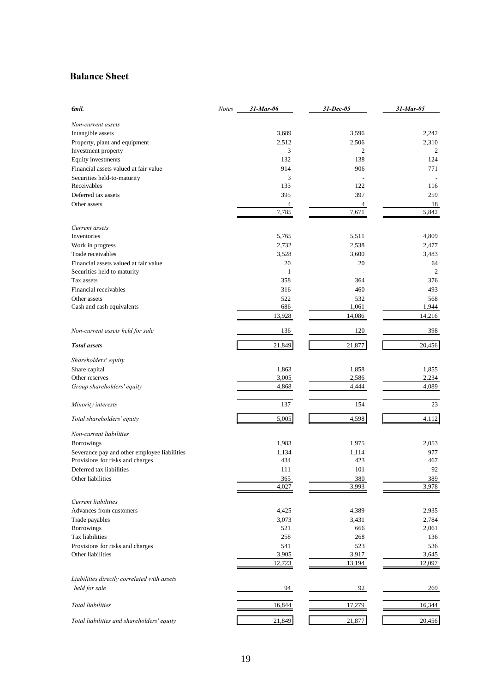# **Balance Sheet**

| €mil.                                        | <b>Notes</b> | $31$ -Mar-06    | 31-Dec-05       | 31-Mar-05       |
|----------------------------------------------|--------------|-----------------|-----------------|-----------------|
| Non-current assets                           |              |                 |                 |                 |
| Intangible assets                            |              | 3,689           | 3,596           | 2,242           |
| Property, plant and equipment                |              | 2,512           | 2,506           | 2,310           |
| Investment property                          |              | 3               | 2               | 2               |
| Equity investments                           |              | 132             | 138             | 124             |
| Financial assets valued at fair value        |              | 914             | 906             | 771             |
| Securities held-to-maturity                  |              | 3               |                 |                 |
| Receivables                                  |              | 133             | 122             | 116             |
| Deferred tax assets                          |              | 395             | 397             | 259             |
|                                              |              |                 |                 |                 |
| Other assets                                 |              | 4<br>7,785      | 4<br>7,671      | 18<br>5,842     |
| Current assets                               |              |                 |                 |                 |
| Inventories                                  |              | 5,765           | 5,511           | 4,809           |
|                                              |              |                 |                 |                 |
| Work in progress                             |              | 2,732           | 2,538           | 2,477           |
| Trade receivables                            |              | 3,528           | 3,600           | 3,483           |
| Financial assets valued at fair value        |              | 20              | 20              | 64              |
| Securities held to maturity                  |              | $\mathbf{1}$    |                 | $\overline{2}$  |
| Tax assets                                   |              | 358             | 364             | 376             |
| Financial receivables                        |              | 316             | 460             | 493             |
| Other assets                                 |              | 522             | 532             | 568             |
| Cash and cash equivalents                    |              | 686             | 1,061           | 1,944           |
|                                              |              | 13,928          | 14,086          | 14,216          |
| Non-current assets held for sale             |              | 136             | 120             | 398             |
| <b>Total</b> assets                          |              | 21,849          | 21,877          | 20,456          |
| Shareholders' equity                         |              |                 |                 |                 |
| Share capital                                |              | 1,863           | 1,858           | 1,855           |
| Other reserves                               |              | 3,005           | 2,586           | 2,234           |
| Group shareholders' equity                   |              | 4,868           | 4,444           | 4,089           |
|                                              |              |                 |                 |                 |
| Minority interests                           |              | 137             | 154             | 23              |
| Total shareholders' equity                   |              | 5,005           | 4,598           | 4,112           |
| Non-current liabilities                      |              |                 |                 |                 |
| <b>Borrowings</b>                            |              | 1,983           | 1,975           | 2,053           |
| Severance pay and other employee liabilities |              | 1,134           | 1,114           | 977             |
| Provisions for risks and charges             |              | 434             | 423             | 467             |
| Deferred tax liabilities                     |              | 111             | 101             | 92              |
| Other liabilities                            |              | 365             | 380             | 389             |
|                                              |              | 4,027           | 3,993           | 3,978           |
| Current liabilities                          |              |                 |                 |                 |
| Advances from customers                      |              | 4,425           | 4,389           | 2,935           |
| Trade payables                               |              | 3,073           | 3,431           | 2,784           |
| Borrowings                                   |              | 521             | 666             | 2,061           |
|                                              |              |                 |                 |                 |
| Tax liabilities                              |              | 258             | 268             | 136             |
| Provisions for risks and charges             |              | 541             | 523             | 536             |
| Other liabilities                            |              | 3,905<br>12,723 | 3,917<br>13,194 | 3,645<br>12,097 |
|                                              |              |                 |                 |                 |
| Liabilities directly correlated with assets  |              |                 |                 |                 |
| held for sale                                |              | 94              | 92              | 269             |
| Total liabilities                            |              | 16,844          | 17,279          | 16,344          |
| Total liabilities and shareholders' equity   |              | 21,849          | 21,877          | 20,456          |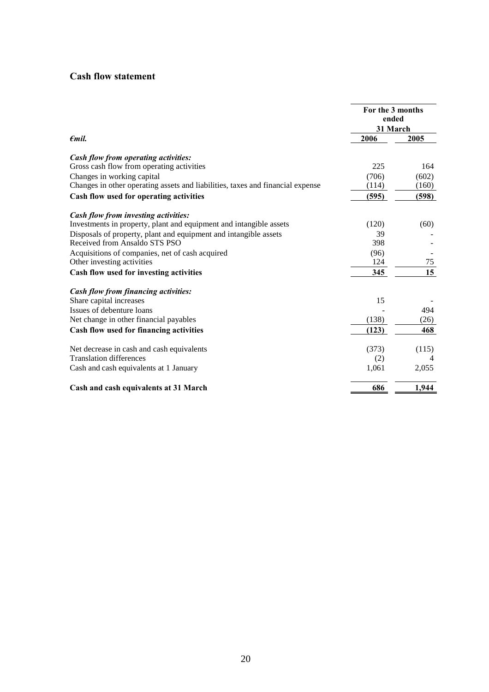# **Cash flow statement**

|                                                                                                                                                                            | For the 3 months<br>ended<br>31 March |       |
|----------------------------------------------------------------------------------------------------------------------------------------------------------------------------|---------------------------------------|-------|
| $\epsilon$ mil.<br>Cash flow from investing activities:<br>Investments in property, plant and equipment and intangible assets<br>Net decrease in cash and cash equivalents | 2006                                  | 2005  |
| Cash flow from operating activities:                                                                                                                                       |                                       |       |
| Gross cash flow from operating activities                                                                                                                                  | 225                                   | 164   |
| Changes in working capital                                                                                                                                                 | (706)                                 | (602) |
| Changes in other operating assets and liabilities, taxes and financial expense                                                                                             | (114)                                 | (160) |
| Cash flow used for operating activities                                                                                                                                    | (595)                                 | (598) |
|                                                                                                                                                                            |                                       |       |
|                                                                                                                                                                            | (120)                                 | (60)  |
| Disposals of property, plant and equipment and intangible assets                                                                                                           | 39                                    |       |
| Received from Ansaldo STS PSO                                                                                                                                              | 398                                   |       |
| Acquisitions of companies, net of cash acquired                                                                                                                            | (96)                                  |       |
| Other investing activities                                                                                                                                                 | 124                                   | 75    |
| Cash flow used for investing activities                                                                                                                                    | 345                                   | 15    |
| Cash flow from financing activities:                                                                                                                                       |                                       |       |
| Share capital increases                                                                                                                                                    | 15                                    |       |
| Issues of debenture loans                                                                                                                                                  |                                       | 494   |
| Net change in other financial payables                                                                                                                                     | (138)                                 | (26)  |
| Cash flow used for financing activities                                                                                                                                    | (123)                                 | 468   |
|                                                                                                                                                                            | (373)                                 | (115) |
| <b>Translation differences</b>                                                                                                                                             | (2)                                   | 4     |
| Cash and cash equivalents at 1 January                                                                                                                                     | 1,061                                 | 2,055 |
| Cash and cash equivalents at 31 March                                                                                                                                      | 686                                   | 1,944 |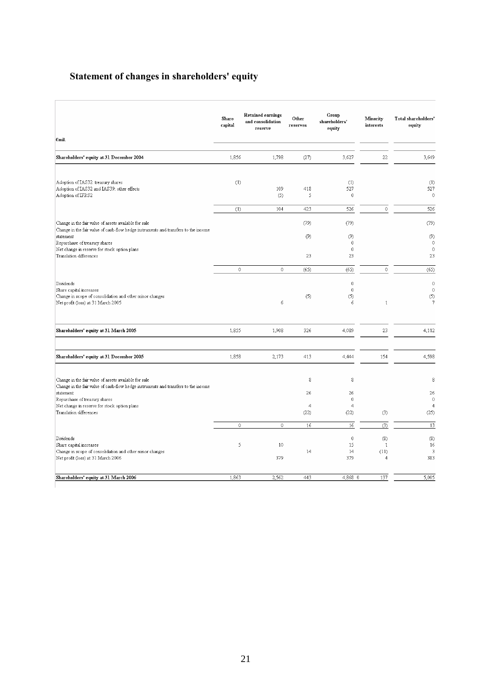# **Statement of changes in shareholders' equity**

|                                                                                                                                              | <b>Share</b><br>capital | <b>Retained earnings</b><br>and consolidation<br>reserve | Other<br>reserves            | Group<br>shareholders'<br>equity             | Minority<br>interests                         | Total shareholders'<br>equity            |
|----------------------------------------------------------------------------------------------------------------------------------------------|-------------------------|----------------------------------------------------------|------------------------------|----------------------------------------------|-----------------------------------------------|------------------------------------------|
| $\epsilon$ mil.                                                                                                                              |                         |                                                          |                              |                                              |                                               |                                          |
| Shareholders' equity at 31 December 2004                                                                                                     | 1,856                   | 1,798                                                    | (27)                         | 3,627                                        | 22                                            | 3,649                                    |
| Adoption of IAS32: treasury shares<br>Adoption of LAS32 and LAS39: other effects<br>Adoption of IFRS2                                        | (1)                     | 109<br>(5)                                               | 418<br>5                     | (1)<br>527<br>0                              |                                               | (1)<br>527<br>$\theta$                   |
|                                                                                                                                              | (1)                     | 104                                                      | 423                          | 526                                          | $\ddot{\mathbf{0}}$                           | 526                                      |
| Change in the fair value of assets available for sale<br>Change in the fair value of cash-flow hedge instruments and transfers to the income |                         |                                                          | (79)                         | (79)                                         |                                               | (79)                                     |
| statement<br>Repurchase of treasury shares<br>Net change in reserve for stock option plans<br>Translation differences                        |                         |                                                          | (9)                          | (9)<br>$\theta$<br>$\mathbb O$               |                                               | (9)<br>$\theta$<br>$\mathbf 0$           |
|                                                                                                                                              |                         |                                                          | 23                           | 23                                           |                                               | 23                                       |
|                                                                                                                                              | $\mathbb O$             | 0                                                        | (65)                         | (65)                                         | $\ddot{\mathbf{0}}$                           | (65)                                     |
| Dividends<br>Share capital increases<br>Change in scope of consolidation and other minor changes<br>Net profit (loss) at 31 March 2005       |                         | 6                                                        | (5)                          | 0<br>$\mathbf{0}$<br>(5)<br>6                | $\mathbf{1}$                                  | $\theta$<br>$\mathbf 0$<br>(5)<br>7      |
| Shareholders' equity at 31 March 2005                                                                                                        | 1,855                   | 1,908                                                    | 326                          | 4,089                                        | 23                                            | 4,112                                    |
| Shareholders' equity at 31 December 2005                                                                                                     | 1,858                   | 2,173                                                    | 413                          | 4,444                                        | 154                                           | 4,598                                    |
| Change in the fair value of assets available for sale<br>Change in the fair value of cash-flow hedge instruments and transfers to the income |                         |                                                          | 8                            | 8                                            |                                               | 8                                        |
| statement<br>Repurchase of treasury shares<br>Net change in reserve for stock option plans<br>Translation differences                        |                         |                                                          | 26<br>$\overline{4}$<br>(22) | 26<br>$\mathbf{0}$<br>$\overline{4}$<br>(22) | (3)                                           | 26<br>$\theta$<br>$\overline{4}$<br>(25) |
|                                                                                                                                              | $\mathbf{0}$            | $\mathbf 0$                                              | 16                           | $16\,$                                       | (3)                                           | 13                                       |
| Dividends<br>Share capital increases<br>Change in scope of consolidation and other minor changes<br>Net profit (loss) at 31 March 2006       | 5                       | 10<br>379                                                | 14                           | 0<br>15<br>14<br>379                         | (8)<br>$\mathbf{1}$<br>(11)<br>$\overline{4}$ | (8)<br>16<br>3<br>383                    |
| Shareholders' equity at 31 March 2006                                                                                                        | 1,863                   | 2,562                                                    | 443                          | 4,868 0                                      | 137                                           | 5,005                                    |
|                                                                                                                                              |                         |                                                          |                              |                                              |                                               |                                          |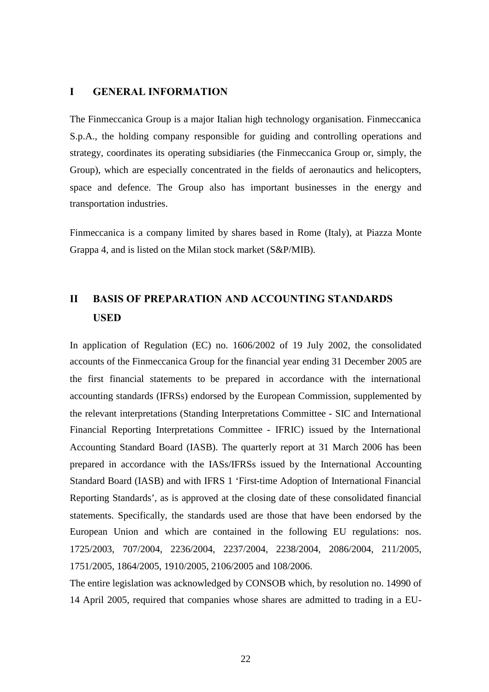## **I GENERAL INFORMATION**

The Finmeccanica Group is a major Italian high technology organisation. Finmeccanica S.p.A., the holding company responsible for guiding and controlling operations and strategy, coordinates its operating subsidiaries (the Finmeccanica Group or, simply, the Group), which are especially concentrated in the fields of aeronautics and helicopters, space and defence. The Group also has important businesses in the energy and transportation industries.

Finmeccanica is a company limited by shares based in Rome (Italy), at Piazza Monte Grappa 4, and is listed on the Milan stock market (S&P/MIB).

# **II BASIS OF PREPARATION AND ACCOUNTING STANDARDS USED**

In application of Regulation (EC) no. 1606/2002 of 19 July 2002, the consolidated accounts of the Finmeccanica Group for the financial year ending 31 December 2005 are the first financial statements to be prepared in accordance with the international accounting standards (IFRSs) endorsed by the European Commission, supplemented by the relevant interpretations (Standing Interpretations Committee - SIC and International Financial Reporting Interpretations Committee - IFRIC) issued by the International Accounting Standard Board (IASB). The quarterly report at 31 March 2006 has been prepared in accordance with the IASs/IFRSs issued by the International Accounting Standard Board (IASB) and with IFRS 1 'First-time Adoption of International Financial Reporting Standards', as is approved at the closing date of these consolidated financial statements. Specifically, the standards used are those that have been endorsed by the European Union and which are contained in the following EU regulations: nos. 1725/2003, 707/2004, 2236/2004, 2237/2004, 2238/2004, 2086/2004, 211/2005, 1751/2005, 1864/2005, 1910/2005, 2106/2005 and 108/2006.

The entire legislation was acknowledged by CONSOB which, by resolution no. 14990 of 14 April 2005, required that companies whose shares are admitted to trading in a EU-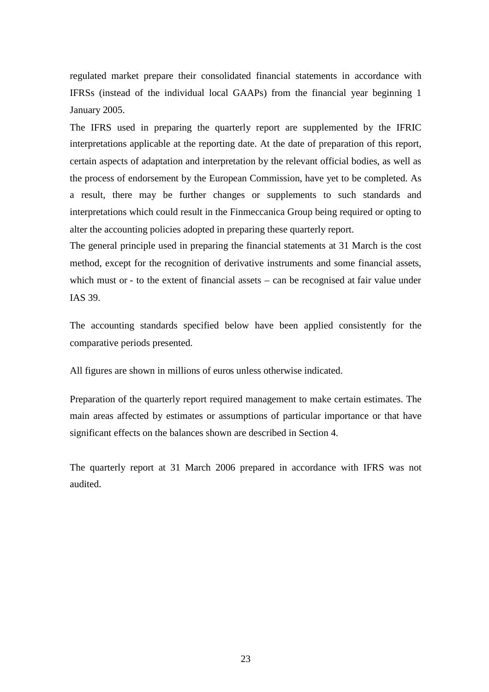regulated market prepare their consolidated financial statements in accordance with IFRSs (instead of the individual local GAAPs) from the financial year beginning 1 January 2005.

The IFRS used in preparing the quarterly report are supplemented by the IFRIC interpretations applicable at the reporting date. At the date of preparation of this report, certain aspects of adaptation and interpretation by the relevant official bodies, as well as the process of endorsement by the European Commission, have yet to be completed. As a result, there may be further changes or supplements to such standards and interpretations which could result in the Finmeccanica Group being required or opting to alter the accounting policies adopted in preparing these quarterly report.

The general principle used in preparing the financial statements at 31 March is the cost method, except for the recognition of derivative instruments and some financial assets, which must or - to the extent of financial assets – can be recognised at fair value under IAS 39.

The accounting standards specified below have been applied consistently for the comparative periods presented.

All figures are shown in millions of euros unless otherwise indicated.

Preparation of the quarterly report required management to make certain estimates. The main areas affected by estimates or assumptions of particular importance or that have significant effects on the balances shown are described in Section 4.

The quarterly report at 31 March 2006 prepared in accordance with IFRS was not audited.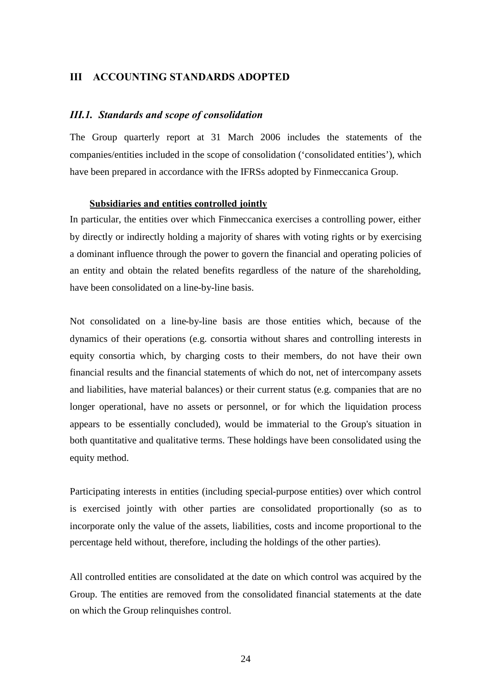# **III ACCOUNTING STANDARDS ADOPTED**

#### *III.1. Standards and scope of consolidation*

The Group quarterly report at 31 March 2006 includes the statements of the companies/entities included in the scope of consolidation ('consolidated entities'), which have been prepared in accordance with the IFRSs adopted by Finmeccanica Group.

### **Subsidiaries and entities controlled jointly**

In particular, the entities over which Finmeccanica exercises a controlling power, either by directly or indirectly holding a majority of shares with voting rights or by exercising a dominant influence through the power to govern the financial and operating policies of an entity and obtain the related benefits regardless of the nature of the shareholding, have been consolidated on a line-by-line basis.

Not consolidated on a line-by-line basis are those entities which, because of the dynamics of their operations (e.g. consortia without shares and controlling interests in equity consortia which, by charging costs to their members, do not have their own financial results and the financial statements of which do not, net of intercompany assets and liabilities, have material balances) or their current status (e.g. companies that are no longer operational, have no assets or personnel, or for which the liquidation process appears to be essentially concluded), would be immaterial to the Group's situation in both quantitative and qualitative terms. These holdings have been consolidated using the equity method.

Participating interests in entities (including special-purpose entities) over which control is exercised jointly with other parties are consolidated proportionally (so as to incorporate only the value of the assets, liabilities, costs and income proportional to the percentage held without, therefore, including the holdings of the other parties).

All controlled entities are consolidated at the date on which control was acquired by the Group. The entities are removed from the consolidated financial statements at the date on which the Group relinquishes control.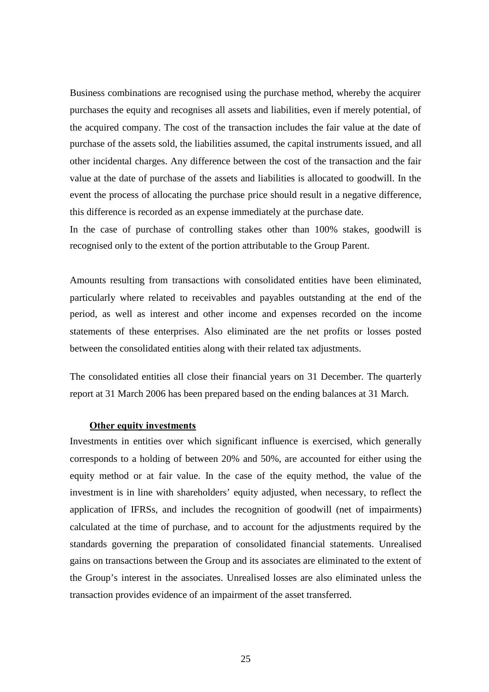Business combinations are recognised using the purchase method, whereby the acquirer purchases the equity and recognises all assets and liabilities, even if merely potential, of the acquired company. The cost of the transaction includes the fair value at the date of purchase of the assets sold, the liabilities assumed, the capital instruments issued, and all other incidental charges. Any difference between the cost of the transaction and the fair value at the date of purchase of the assets and liabilities is allocated to goodwill. In the event the process of allocating the purchase price should result in a negative difference, this difference is recorded as an expense immediately at the purchase date.

In the case of purchase of controlling stakes other than 100% stakes, goodwill is recognised only to the extent of the portion attributable to the Group Parent.

Amounts resulting from transactions with consolidated entities have been eliminated, particularly where related to receivables and payables outstanding at the end of the period, as well as interest and other income and expenses recorded on the income statements of these enterprises. Also eliminated are the net profits or losses posted between the consolidated entities along with their related tax adjustments.

The consolidated entities all close their financial years on 31 December. The quarterly report at 31 March 2006 has been prepared based on the ending balances at 31 March.

#### **Other equity investments**

Investments in entities over which significant influence is exercised, which generally corresponds to a holding of between 20% and 50%, are accounted for either using the equity method or at fair value. In the case of the equity method, the value of the investment is in line with shareholders' equity adjusted, when necessary, to reflect the application of IFRSs, and includes the recognition of goodwill (net of impairments) calculated at the time of purchase, and to account for the adjustments required by the standards governing the preparation of consolidated financial statements. Unrealised gains on transactions between the Group and its associates are eliminated to the extent of the Group's interest in the associates. Unrealised losses are also eliminated unless the transaction provides evidence of an impairment of the asset transferred.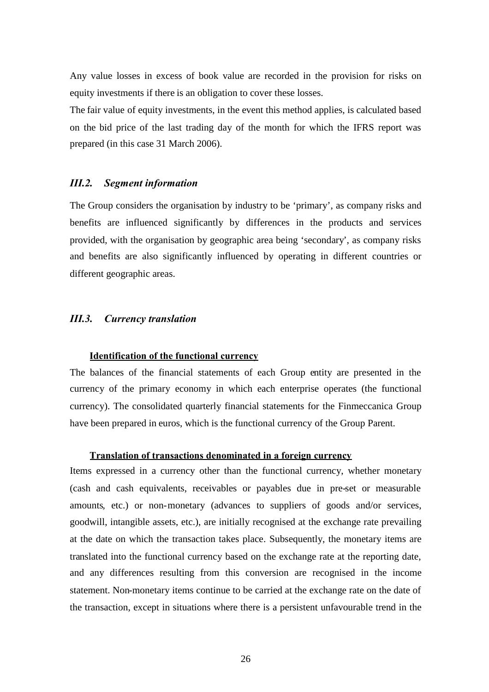Any value losses in excess of book value are recorded in the provision for risks on equity investments if there is an obligation to cover these losses.

The fair value of equity investments, in the event this method applies, is calculated based on the bid price of the last trading day of the month for which the IFRS report was prepared (in this case 31 March 2006).

### *III.2. Segment information*

The Group considers the organisation by industry to be 'primary', as company risks and benefits are influenced significantly by differences in the products and services provided, with the organisation by geographic area being 'secondary', as company risks and benefits are also significantly influenced by operating in different countries or different geographic areas.

# *III.3. Currency translation*

# **Identification of the functional currency**

The balances of the financial statements of each Group entity are presented in the currency of the primary economy in which each enterprise operates (the functional currency). The consolidated quarterly financial statements for the Finmeccanica Group have been prepared in euros, which is the functional currency of the Group Parent.

## **Translation of transactions denominated in a foreign currency**

Items expressed in a currency other than the functional currency, whether monetary (cash and cash equivalents, receivables or payables due in pre-set or measurable amounts, etc.) or non-monetary (advances to suppliers of goods and/or services, goodwill, intangible assets, etc.), are initially recognised at the exchange rate prevailing at the date on which the transaction takes place. Subsequently, the monetary items are translated into the functional currency based on the exchange rate at the reporting date, and any differences resulting from this conversion are recognised in the income statement. Non-monetary items continue to be carried at the exchange rate on the date of the transaction, except in situations where there is a persistent unfavourable trend in the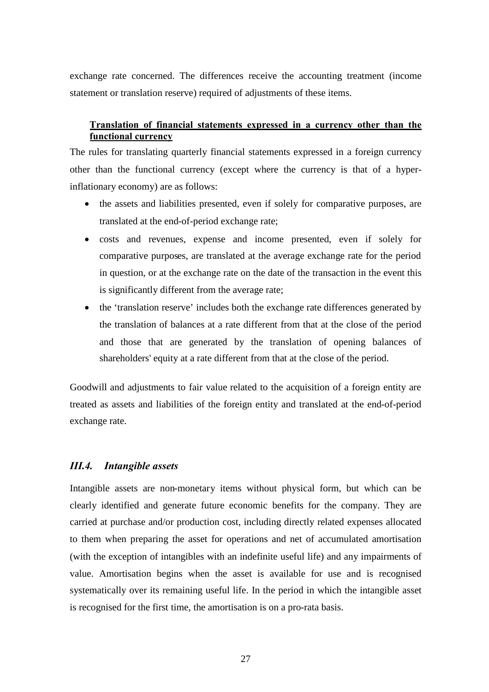exchange rate concerned. The differences receive the accounting treatment (income statement or translation reserve) required of adjustments of these items.

# **Translation of financial statements expressed in a currency other than the functional currency**

The rules for translating quarterly financial statements expressed in a foreign currency other than the functional currency (except where the currency is that of a hyperinflationary economy) are as follows:

- the assets and liabilities presented, even if solely for comparative purposes, are translated at the end-of-period exchange rate;
- costs and revenues, expense and income presented, even if solely for comparative purposes, are translated at the average exchange rate for the period in question, or at the exchange rate on the date of the transaction in the event this is significantly different from the average rate;
- the 'translation reserve' includes both the exchange rate differences generated by the translation of balances at a rate different from that at the close of the period and those that are generated by the translation of opening balances of shareholders' equity at a rate different from that at the close of the period.

Goodwill and adjustments to fair value related to the acquisition of a foreign entity are treated as assets and liabilities of the foreign entity and translated at the end-of-period exchange rate.

# *III.4. Intangible assets*

Intangible assets are non-monetary items without physical form, but which can be clearly identified and generate future economic benefits for the company. They are carried at purchase and/or production cost, including directly related expenses allocated to them when preparing the asset for operations and net of accumulated amortisation (with the exception of intangibles with an indefinite useful life) and any impairments of value. Amortisation begins when the asset is available for use and is recognised systematically over its remaining useful life. In the period in which the intangible asset is recognised for the first time, the amortisation is on a pro-rata basis.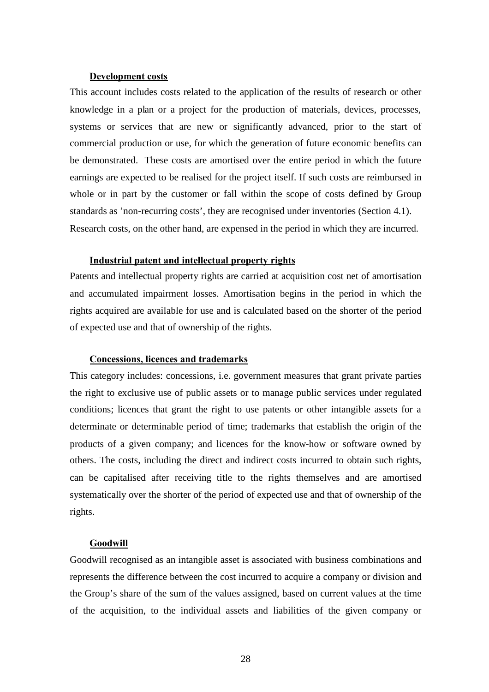#### **Development costs**

This account includes costs related to the application of the results of research or other knowledge in a plan or a project for the production of materials, devices, processes, systems or services that are new or significantly advanced, prior to the start of commercial production or use, for which the generation of future economic benefits can be demonstrated. These costs are amortised over the entire period in which the future earnings are expected to be realised for the project itself. If such costs are reimbursed in whole or in part by the customer or fall within the scope of costs defined by Group standards as 'non-recurring costs', they are recognised under inventories (Section 4.1). Research costs, on the other hand, are expensed in the period in which they are incurred.

#### **Industrial patent and intellectual property rights**

Patents and intellectual property rights are carried at acquisition cost net of amortisation and accumulated impairment losses. Amortisation begins in the period in which the rights acquired are available for use and is calculated based on the shorter of the period of expected use and that of ownership of the rights.

# **Concessions, licences and trademarks**

This category includes: concessions, i.e. government measures that grant private parties the right to exclusive use of public assets or to manage public services under regulated conditions; licences that grant the right to use patents or other intangible assets for a determinate or determinable period of time; trademarks that establish the origin of the products of a given company; and licences for the know-how or software owned by others. The costs, including the direct and indirect costs incurred to obtain such rights, can be capitalised after receiving title to the rights themselves and are amortised systematically over the shorter of the period of expected use and that of ownership of the rights.

#### **Goodwill**

Goodwill recognised as an intangible asset is associated with business combinations and represents the difference between the cost incurred to acquire a company or division and the Group's share of the sum of the values assigned, based on current values at the time of the acquisition, to the individual assets and liabilities of the given company or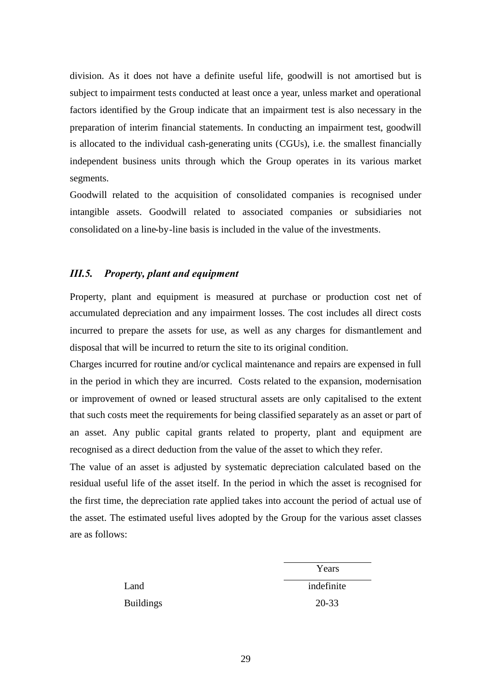division. As it does not have a definite useful life, goodwill is not amortised but is subject to impairment tests conducted at least once a year, unless market and operational factors identified by the Group indicate that an impairment test is also necessary in the preparation of interim financial statements. In conducting an impairment test, goodwill is allocated to the individual cash-generating units (CGUs), i.e. the smallest financially independent business units through which the Group operates in its various market segments.

Goodwill related to the acquisition of consolidated companies is recognised under intangible assets. Goodwill related to associated companies or subsidiaries not consolidated on a line-by-line basis is included in the value of the investments.

## *III.5. Property, plant and equipment*

Property, plant and equipment is measured at purchase or production cost net of accumulated depreciation and any impairment losses. The cost includes all direct costs incurred to prepare the assets for use, as well as any charges for dismantlement and disposal that will be incurred to return the site to its original condition.

Charges incurred for routine and/or cyclical maintenance and repairs are expensed in full in the period in which they are incurred. Costs related to the expansion, modernisation or improvement of owned or leased structural assets are only capitalised to the extent that such costs meet the requirements for being classified separately as an asset or part of an asset. Any public capital grants related to property, plant and equipment are recognised as a direct deduction from the value of the asset to which they refer.

The value of an asset is adjusted by systematic depreciation calculated based on the residual useful life of the asset itself. In the period in which the asset is recognised for the first time, the depreciation rate applied takes into account the period of actual use of the asset. The estimated useful lives adopted by the Group for the various asset classes are as follows:

|                  | Years      |
|------------------|------------|
| Land             | indefinite |
| <b>Buildings</b> | $20 - 33$  |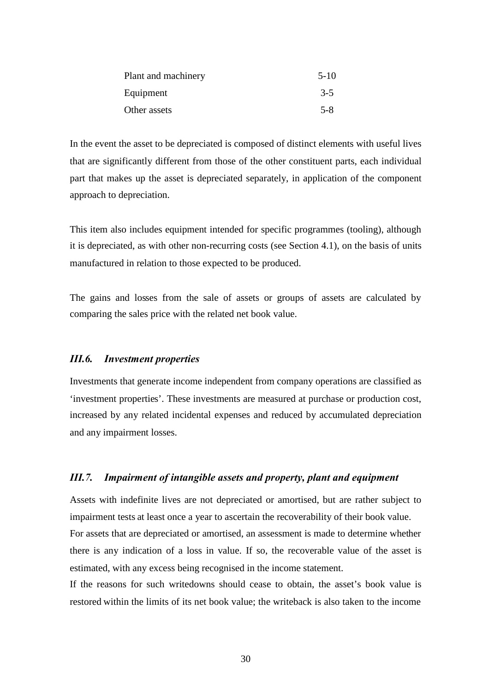| Plant and machinery | $5-10$  |
|---------------------|---------|
| Equipment           | $3 - 5$ |
| Other assets        | $5 - 8$ |

In the event the asset to be depreciated is composed of distinct elements with useful lives that are significantly different from those of the other constituent parts, each individual part that makes up the asset is depreciated separately, in application of the component approach to depreciation.

This item also includes equipment intended for specific programmes (tooling), although it is depreciated, as with other non-recurring costs (see Section 4.1), on the basis of units manufactured in relation to those expected to be produced.

The gains and losses from the sale of assets or groups of assets are calculated by comparing the sales price with the related net book value.

# *III.6. Investment properties*

Investments that generate income independent from company operations are classified as 'investment properties'. These investments are measured at purchase or production cost, increased by any related incidental expenses and reduced by accumulated depreciation and any impairment losses.

#### *III.7. Impairment of intangible assets and property, plant and equipment*

Assets with indefinite lives are not depreciated or amortised, but are rather subject to impairment tests at least once a year to ascertain the recoverability of their book value. For assets that are depreciated or amortised, an assessment is made to determine whether there is any indication of a loss in value. If so, the recoverable value of the asset is estimated, with any excess being recognised in the income statement.

If the reasons for such writedowns should cease to obtain, the asset's book value is restored within the limits of its net book value; the writeback is also taken to the income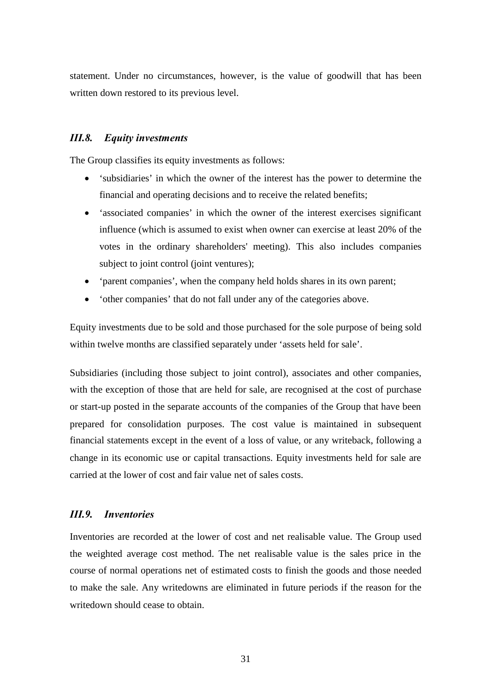statement. Under no circumstances, however, is the value of goodwill that has been written down restored to its previous level.

# *III.8. Equity investments*

The Group classifies its equity investments as follows:

- 'subsidiaries' in which the owner of the interest has the power to determine the financial and operating decisions and to receive the related benefits;
- 'associated companies' in which the owner of the interest exercises significant influence (which is assumed to exist when owner can exercise at least 20% of the votes in the ordinary shareholders' meeting). This also includes companies subject to joint control (joint ventures);
- 'parent companies', when the company held holds shares in its own parent;
- 'other companies' that do not fall under any of the categories above.

Equity investments due to be sold and those purchased for the sole purpose of being sold within twelve months are classified separately under 'assets held for sale'.

Subsidiaries (including those subject to joint control), associates and other companies, with the exception of those that are held for sale, are recognised at the cost of purchase or start-up posted in the separate accounts of the companies of the Group that have been prepared for consolidation purposes. The cost value is maintained in subsequent financial statements except in the event of a loss of value, or any writeback, following a change in its economic use or capital transactions. Equity investments held for sale are carried at the lower of cost and fair value net of sales costs.

# *III.9. Inventories*

Inventories are recorded at the lower of cost and net realisable value. The Group used the weighted average cost method. The net realisable value is the sales price in the course of normal operations net of estimated costs to finish the goods and those needed to make the sale. Any writedowns are eliminated in future periods if the reason for the writedown should cease to obtain.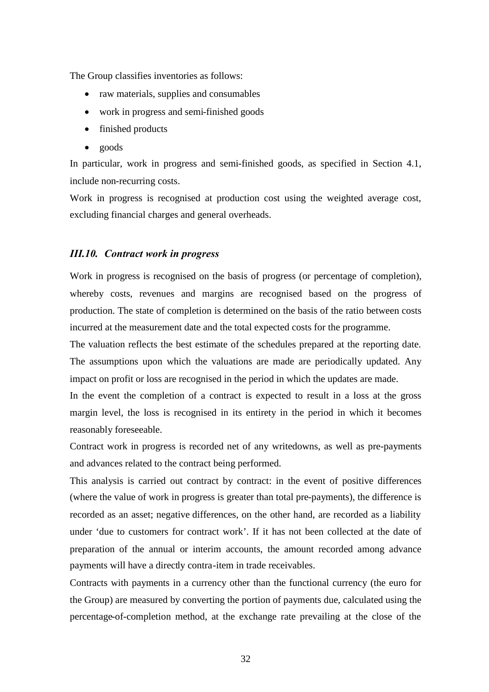The Group classifies inventories as follows:

- raw materials, supplies and consumables
- work in progress and semi-finished goods
- finished products
- goods

In particular, work in progress and semi-finished goods, as specified in Section 4.1, include non-recurring costs.

Work in progress is recognised at production cost using the weighted average cost, excluding financial charges and general overheads.

#### *III.10. Contract work in progress*

Work in progress is recognised on the basis of progress (or percentage of completion), whereby costs, revenues and margins are recognised based on the progress of production. The state of completion is determined on the basis of the ratio between costs incurred at the measurement date and the total expected costs for the programme.

The valuation reflects the best estimate of the schedules prepared at the reporting date. The assumptions upon which the valuations are made are periodically updated. Any impact on profit or loss are recognised in the period in which the updates are made.

In the event the completion of a contract is expected to result in a loss at the gross margin level, the loss is recognised in its entirety in the period in which it becomes reasonably foreseeable.

Contract work in progress is recorded net of any writedowns, as well as pre-payments and advances related to the contract being performed.

This analysis is carried out contract by contract: in the event of positive differences (where the value of work in progress is greater than total pre-payments), the difference is recorded as an asset; negative differences, on the other hand, are recorded as a liability under 'due to customers for contract work'. If it has not been collected at the date of preparation of the annual or interim accounts, the amount recorded among advance payments will have a directly contra-item in trade receivables.

Contracts with payments in a currency other than the functional currency (the euro for the Group) are measured by converting the portion of payments due, calculated using the percentage-of-completion method, at the exchange rate prevailing at the close of the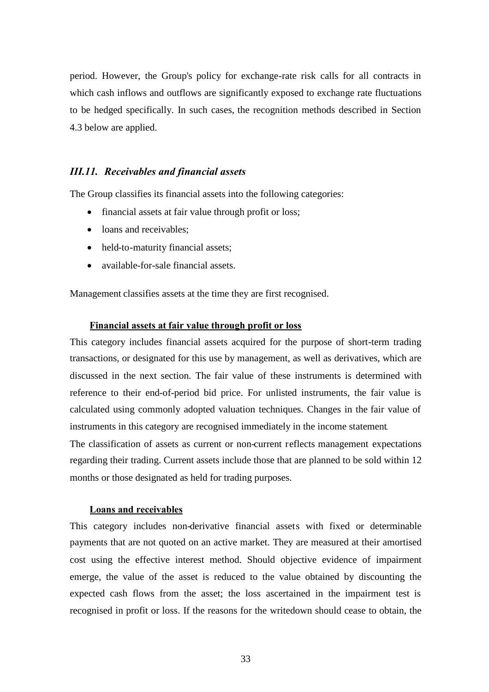period. However, the Group's policy for exchange-rate risk calls for all contracts in which cash inflows and outflows are significantly exposed to exchange rate fluctuations to be hedged specifically. In such cases, the recognition methods described in Section 4.3 below are applied.

# *III.11. Receivables and financial assets*

The Group classifies its financial assets into the following categories:

- financial assets at fair value through profit or loss:
- loans and receivables:
- held-to-maturity financial assets;
- available-for-sale financial assets.

Management classifies assets at the time they are first recognised.

### **Financial assets at fair value through profit or loss**

This category includes financial assets acquired for the purpose of short-term trading transactions, or designated for this use by management, as well as derivatives, which are discussed in the next section. The fair value of these instruments is determined with reference to their end-of-period bid price. For unlisted instruments, the fair value is calculated using commonly adopted valuation techniques. Changes in the fair value of instruments in this category are recognised immediately in the income statement*.*

The classification of assets as current or non-current reflects management expectations regarding their trading. Current assets include those that are planned to be sold within 12 months or those designated as held for trading purposes.

# **Loans and receivables**

This category includes non-derivative financial assets with fixed or determinable payments that are not quoted on an active market. They are measured at their amortised cost using the effective interest method. Should objective evidence of impairment emerge, the value of the asset is reduced to the value obtained by discounting the expected cash flows from the asset; the loss ascertained in the impairment test is recognised in profit or loss. If the reasons for the writedown should cease to obtain, the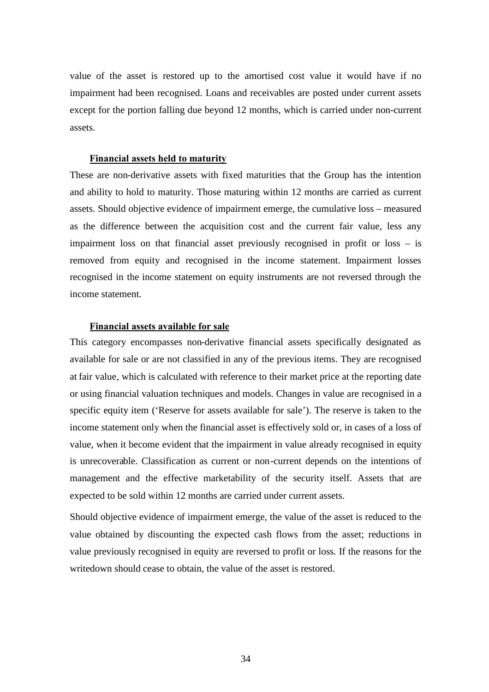value of the asset is restored up to the amortised cost value it would have if no impairment had been recognised. Loans and receivables are posted under current assets except for the portion falling due beyond 12 months, which is carried under non-current assets.

#### **Financial assets held to maturity**

These are non-derivative assets with fixed maturities that the Group has the intention and ability to hold to maturity. Those maturing within 12 months are carried as current assets. Should objective evidence of impairment emerge, the cumulative loss – measured as the difference between the acquisition cost and the current fair value, less any impairment loss on that financial asset previously recognised in profit or loss – is removed from equity and recognised in the income statement. Impairment losses recognised in the income statement on equity instruments are not reversed through the income statement.

#### **Financial assets available for sale**

This category encompasses non-derivative financial assets specifically designated as available for sale or are not classified in any of the previous items. They are recognised at fair value, which is calculated with reference to their market price at the reporting date or using financial valuation techniques and models. Changes in value are recognised in a specific equity item ('Reserve for assets available for sale'). The reserve is taken to the income statement only when the financial asset is effectively sold or, in cases of a loss of value, when it become evident that the impairment in value already recognised in equity is unrecoverable. Classification as current or non-current depends on the intentions of management and the effective marketability of the security itself. Assets that are expected to be sold within 12 months are carried under current assets.

Should objective evidence of impairment emerge, the value of the asset is reduced to the value obtained by discounting the expected cash flows from the asset; reductions in value previously recognised in equity are reversed to profit or loss. If the reasons for the writedown should cease to obtain, the value of the asset is restored.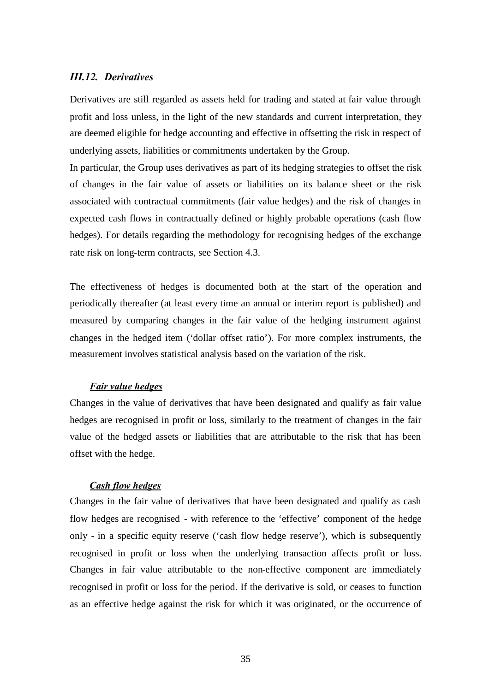# *III.12. Derivatives*

Derivatives are still regarded as assets held for trading and stated at fair value through profit and loss unless, in the light of the new standards and current interpretation, they are deemed eligible for hedge accounting and effective in offsetting the risk in respect of underlying assets, liabilities or commitments undertaken by the Group.

In particular, the Group uses derivatives as part of its hedging strategies to offset the risk of changes in the fair value of assets or liabilities on its balance sheet or the risk associated with contractual commitments (fair value hedges) and the risk of changes in expected cash flows in contractually defined or highly probable operations (cash flow hedges). For details regarding the methodology for recognising hedges of the exchange rate risk on long-term contracts, see Section 4.3.

The effectiveness of hedges is documented both at the start of the operation and periodically thereafter (at least every time an annual or interim report is published) and measured by comparing changes in the fair value of the hedging instrument against changes in the hedged item ('dollar offset ratio'). For more complex instruments, the measurement involves statistical analysis based on the variation of the risk.

#### *Fair value hedges*

Changes in the value of derivatives that have been designated and qualify as fair value hedges are recognised in profit or loss, similarly to the treatment of changes in the fair value of the hedged assets or liabilities that are attributable to the risk that has been offset with the hedge.

### *Cash flow hedges*

Changes in the fair value of derivatives that have been designated and qualify as cash flow hedges are recognised - with reference to the 'effective' component of the hedge only - in a specific equity reserve ('cash flow hedge reserve'), which is subsequently recognised in profit or loss when the underlying transaction affects profit or loss. Changes in fair value attributable to the non-effective component are immediately recognised in profit or loss for the period. If the derivative is sold, or ceases to function as an effective hedge against the risk for which it was originated, or the occurrence of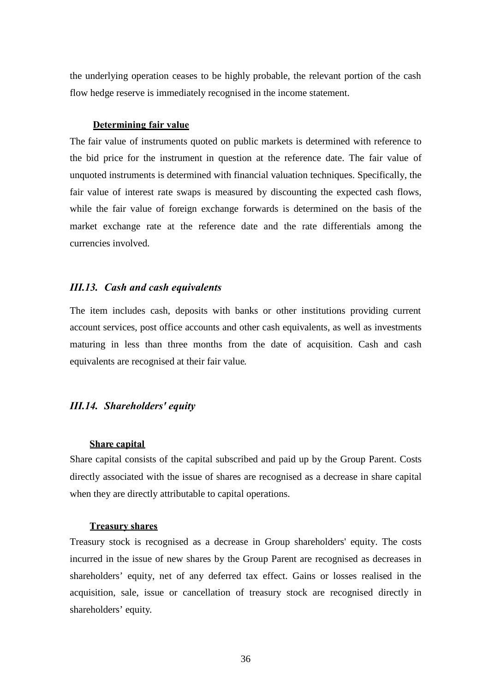the underlying operation ceases to be highly probable, the relevant portion of the cash flow hedge reserve is immediately recognised in the income statement.

#### **Determining fair value**

The fair value of instruments quoted on public markets is determined with reference to the bid price for the instrument in question at the reference date. The fair value of unquoted instruments is determined with financial valuation techniques. Specifically, the fair value of interest rate swaps is measured by discounting the expected cash flows, while the fair value of foreign exchange forwards is determined on the basis of the market exchange rate at the reference date and the rate differentials among the currencies involved.

# *III.13. Cash and cash equivalents*

The item includes cash, deposits with banks or other institutions providing current account services, post office accounts and other cash equivalents, as well as investments maturing in less than three months from the date of acquisition. Cash and cash equivalents are recognised at their fair value.

## *III.14. Shareholders' equity*

#### **Share capital**

Share capital consists of the capital subscribed and paid up by the Group Parent. Costs directly associated with the issue of shares are recognised as a decrease in share capital when they are directly attributable to capital operations.

#### **Treasury shares**

Treasury stock is recognised as a decrease in Group shareholders' equity. The costs incurred in the issue of new shares by the Group Parent are recognised as decreases in shareholders' equity, net of any deferred tax effect. Gains or losses realised in the acquisition, sale, issue or cancellation of treasury stock are recognised directly in shareholders' equity.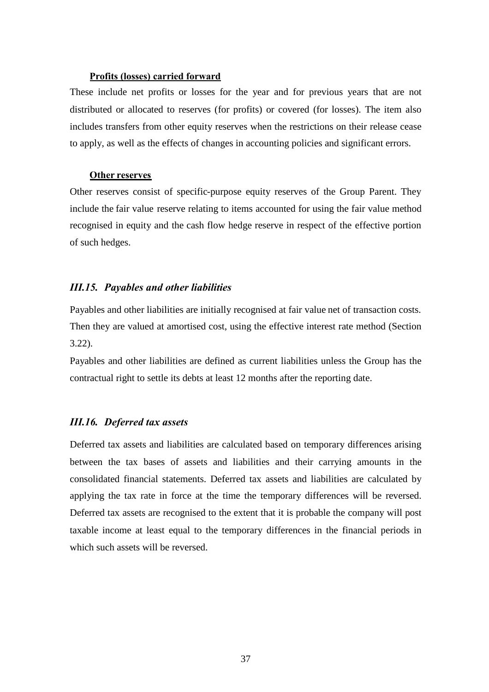#### **Profits (losses) carried forward**

These include net profits or losses for the year and for previous years that are not distributed or allocated to reserves (for profits) or covered (for losses). The item also includes transfers from other equity reserves when the restrictions on their release cease to apply, as well as the effects of changes in accounting policies and significant errors.

#### **Other reserves**

Other reserves consist of specific-purpose equity reserves of the Group Parent. They include the fair value reserve relating to items accounted for using the fair value method recognised in equity and the cash flow hedge reserve in respect of the effective portion of such hedges.

## *III.15. Payables and other liabilities*

Payables and other liabilities are initially recognised at fair value net of transaction costs. Then they are valued at amortised cost, using the effective interest rate method (Section 3.22).

Payables and other liabilities are defined as current liabilities unless the Group has the contractual right to settle its debts at least 12 months after the reporting date.

# *III.16. Deferred tax assets*

Deferred tax assets and liabilities are calculated based on temporary differences arising between the tax bases of assets and liabilities and their carrying amounts in the consolidated financial statements. Deferred tax assets and liabilities are calculated by applying the tax rate in force at the time the temporary differences will be reversed. Deferred tax assets are recognised to the extent that it is probable the company will post taxable income at least equal to the temporary differences in the financial periods in which such assets will be reversed.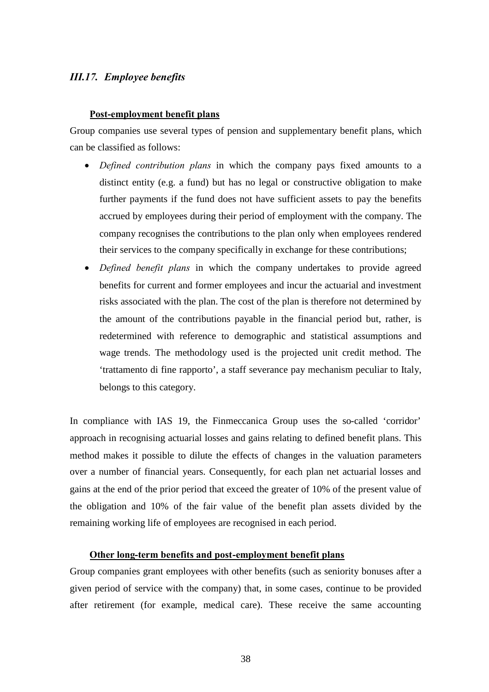# *III.17. Employee benefits*

#### **Post-employment benefit plans**

Group companies use several types of pension and supplementary benefit plans, which can be classified as follows:

- *Defined contribution plans* in which the company pays fixed amounts to a distinct entity (e.g. a fund) but has no legal or constructive obligation to make further payments if the fund does not have sufficient assets to pay the benefits accrued by employees during their period of employment with the company. The company recognises the contributions to the plan only when employees rendered their services to the company specifically in exchange for these contributions;
- *Defined benefit plans* in which the company undertakes to provide agreed benefits for current and former employees and incur the actuarial and investment risks associated with the plan. The cost of the plan is therefore not determined by the amount of the contributions payable in the financial period but, rather, is redetermined with reference to demographic and statistical assumptions and wage trends. The methodology used is the projected unit credit method. The 'trattamento di fine rapporto', a staff severance pay mechanism peculiar to Italy, belongs to this category.

In compliance with IAS 19, the Finmeccanica Group uses the so-called 'corridor' approach in recognising actuarial losses and gains relating to defined benefit plans. This method makes it possible to dilute the effects of changes in the valuation parameters over a number of financial years. Consequently, for each plan net actuarial losses and gains at the end of the prior period that exceed the greater of 10% of the present value of the obligation and 10% of the fair value of the benefit plan assets divided by the remaining working life of employees are recognised in each period.

## **Other long-term benefits and post-employment benefit plans**

Group companies grant employees with other benefits (such as seniority bonuses after a given period of service with the company) that, in some cases, continue to be provided after retirement (for example, medical care). These receive the same accounting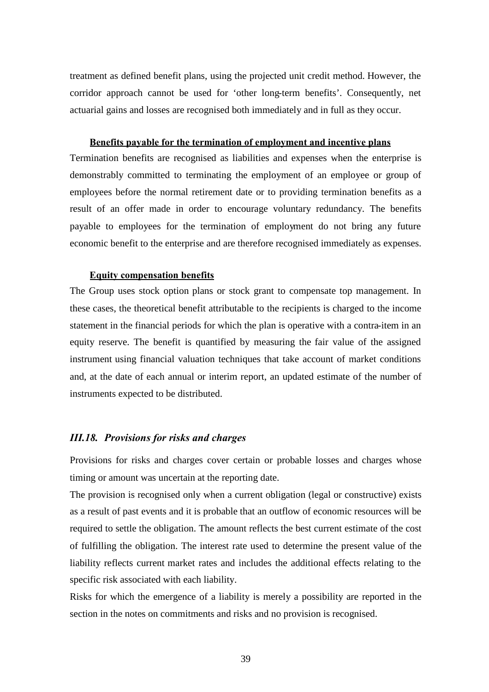treatment as defined benefit plans, using the projected unit credit method. However, the corridor approach cannot be used for 'other long-term benefits'. Consequently, net actuarial gains and losses are recognised both immediately and in full as they occur.

#### **Benefits payable for the termination of employment and incentive plans**

Termination benefits are recognised as liabilities and expenses when the enterprise is demonstrably committed to terminating the employment of an employee or group of employees before the normal retirement date or to providing termination benefits as a result of an offer made in order to encourage voluntary redundancy. The benefits payable to employees for the termination of employment do not bring any future economic benefit to the enterprise and are therefore recognised immediately as expenses.

#### **Equity compensation benefits**

The Group uses stock option plans or stock grant to compensate top management. In these cases, the theoretical benefit attributable to the recipients is charged to the income statement in the financial periods for which the plan is operative with a contra-item in an equity reserve. The benefit is quantified by measuring the fair value of the assigned instrument using financial valuation techniques that take account of market conditions and, at the date of each annual or interim report, an updated estimate of the number of instruments expected to be distributed.

## *III.18. Provisions for risks and charges*

Provisions for risks and charges cover certain or probable losses and charges whose timing or amount was uncertain at the reporting date.

The provision is recognised only when a current obligation (legal or constructive) exists as a result of past events and it is probable that an outflow of economic resources will be required to settle the obligation. The amount reflects the best current estimate of the cost of fulfilling the obligation. The interest rate used to determine the present value of the liability reflects current market rates and includes the additional effects relating to the specific risk associated with each liability.

Risks for which the emergence of a liability is merely a possibility are reported in the section in the notes on commitments and risks and no provision is recognised.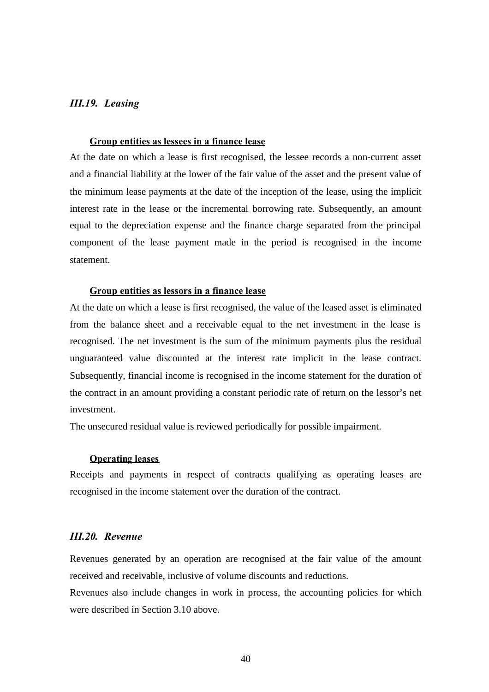# *III.19. Leasing*

# **Group entities as lessees in a finance lease**

At the date on which a lease is first recognised, the lessee records a non-current asset and a financial liability at the lower of the fair value of the asset and the present value of the minimum lease payments at the date of the inception of the lease, using the implicit interest rate in the lease or the incremental borrowing rate. Subsequently, an amount equal to the depreciation expense and the finance charge separated from the principal component of the lease payment made in the period is recognised in the income statement.

#### **Group entities as lessors in a finance lease**

At the date on which a lease is first recognised, the value of the leased asset is eliminated from the balance sheet and a receivable equal to the net investment in the lease is recognised. The net investment is the sum of the minimum payments plus the residual unguaranteed value discounted at the interest rate implicit in the lease contract. Subsequently, financial income is recognised in the income statement for the duration of the contract in an amount providing a constant periodic rate of return on the lessor's net investment.

The unsecured residual value is reviewed periodically for possible impairment.

#### **Operating leases**

Receipts and payments in respect of contracts qualifying as operating leases are recognised in the income statement over the duration of the contract.

# *III.20. Revenue*

Revenues generated by an operation are recognised at the fair value of the amount received and receivable, inclusive of volume discounts and reductions.

Revenues also include changes in work in process, the accounting policies for which were described in Section 3.10 above.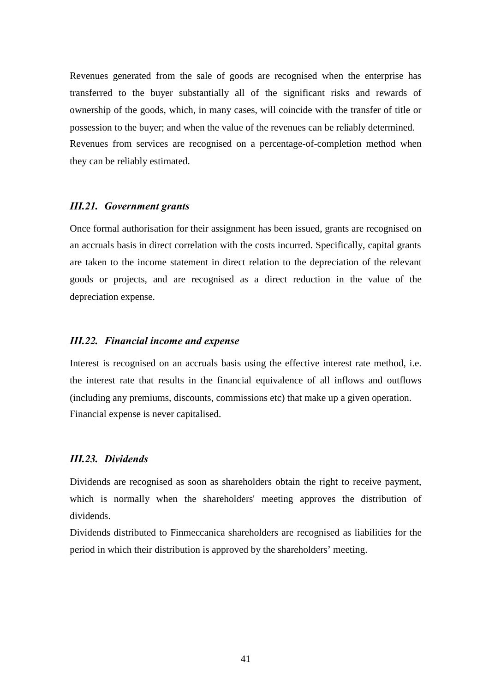Revenues generated from the sale of goods are recognised when the enterprise has transferred to the buyer substantially all of the significant risks and rewards of ownership of the goods, which, in many cases, will coincide with the transfer of title or possession to the buyer; and when the value of the revenues can be reliably determined. Revenues from services are recognised on a percentage-of-completion method when they can be reliably estimated.

#### *III.21. Government grants*

Once formal authorisation for their assignment has been issued, grants are recognised on an accruals basis in direct correlation with the costs incurred. Specifically, capital grants are taken to the income statement in direct relation to the depreciation of the relevant goods or projects, and are recognised as a direct reduction in the value of the depreciation expense.

#### *III.22. Financial income and expense*

Interest is recognised on an accruals basis using the effective interest rate method, i.e. the interest rate that results in the financial equivalence of all inflows and outflows (including any premiums, discounts, commissions etc) that make up a given operation. Financial expense is never capitalised.

## *III.23. Dividends*

Dividends are recognised as soon as shareholders obtain the right to receive payment, which is normally when the shareholders' meeting approves the distribution of dividends.

Dividends distributed to Finmeccanica shareholders are recognised as liabilities for the period in which their distribution is approved by the shareholders' meeting.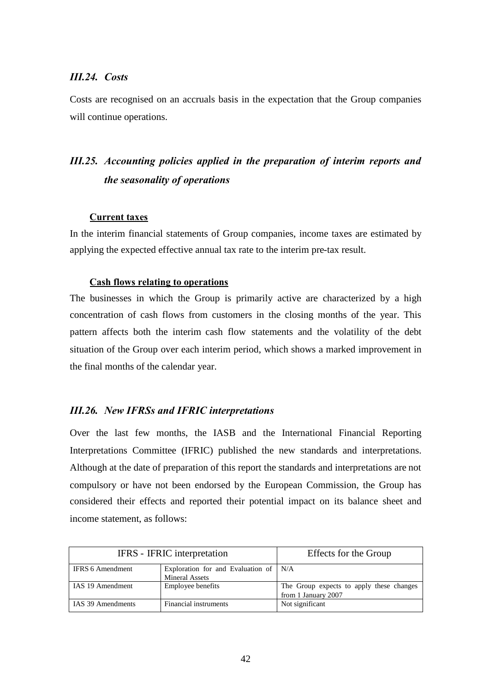# *III.24. Costs*

Costs are recognised on an accruals basis in the expectation that the Group companies will continue operations.

# *III.25. Accounting policies applied in the preparation of interim reports and the seasonality of operations*

#### **Current taxes**

In the interim financial statements of Group companies, income taxes are estimated by applying the expected effective annual tax rate to the interim pre-tax result.

#### **Cash flows relating to operations**

The businesses in which the Group is primarily active are characterized by a high concentration of cash flows from customers in the closing months of the year. This pattern affects both the interim cash flow statements and the volatility of the debt situation of the Group over each interim period, which shows a marked improvement in the final months of the calendar year.

## *III.26. New IFRSs and IFRIC interpretations*

Over the last few months, the IASB and the International Financial Reporting Interpretations Committee (IFRIC) published the new standards and interpretations. Although at the date of preparation of this report the standards and interpretations are not compulsory or have not been endorsed by the European Commission, the Group has considered their effects and reported their potential impact on its balance sheet and income statement, as follows:

|                         | IFRS - IFRIC interpretation                                | Effects for the Group                                           |  |  |
|-------------------------|------------------------------------------------------------|-----------------------------------------------------------------|--|--|
| <b>IFRS 6 Amendment</b> | Exploration for and Evaluation of<br><b>Mineral Assets</b> | N/A                                                             |  |  |
| IAS 19 Amendment        | Employee benefits                                          | The Group expects to apply these changes<br>from 1 January 2007 |  |  |
| IAS 39 Amendments       | Financial instruments                                      | Not significant                                                 |  |  |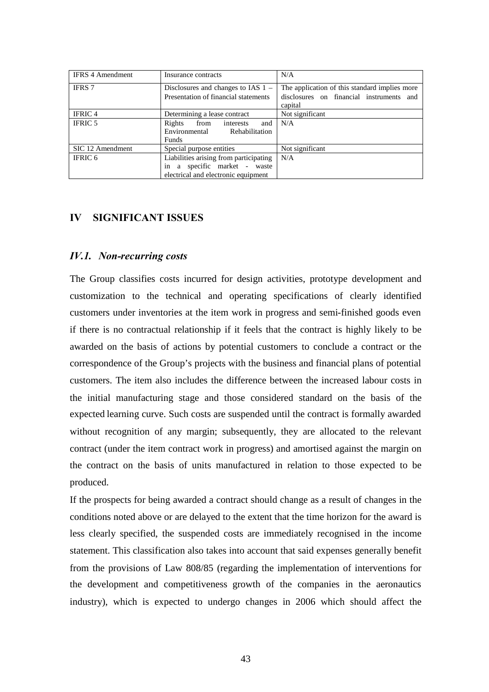| <b>IFRS 4 Amendment</b> | Insurance contracts                                                                                           | N/A                                                                                                  |
|-------------------------|---------------------------------------------------------------------------------------------------------------|------------------------------------------------------------------------------------------------------|
| <b>IFRS</b> 7           | Disclosures and changes to IAS $1 -$<br>Presentation of financial statements                                  | The application of this standard implies more<br>disclosures on financial instruments and<br>capital |
| <b>IFRIC4</b>           | Determining a lease contract                                                                                  | Not significant                                                                                      |
| <b>IFRIC 5</b>          | Rights<br>from interests<br>and<br>Environmental Rehabilitation<br><b>Funds</b>                               | N/A                                                                                                  |
| SIC 12 Amendment        | Special purpose entities                                                                                      | Not significant                                                                                      |
| IFRIC 6                 | Liabilities arising from participating<br>in a specific market - waste<br>electrical and electronic equipment | N/A                                                                                                  |

# **IV SIGNIFICANT ISSUES**

## *IV.1. Non-recurring costs*

The Group classifies costs incurred for design activities, prototype development and customization to the technical and operating specifications of clearly identified customers under inventories at the item work in progress and semi-finished goods even if there is no contractual relationship if it feels that the contract is highly likely to be awarded on the basis of actions by potential customers to conclude a contract or the correspondence of the Group's projects with the business and financial plans of potential customers. The item also includes the difference between the increased labour costs in the initial manufacturing stage and those considered standard on the basis of the expected learning curve. Such costs are suspended until the contract is formally awarded without recognition of any margin; subsequently, they are allocated to the relevant contract (under the item contract work in progress) and amortised against the margin on the contract on the basis of units manufactured in relation to those expected to be produced.

If the prospects for being awarded a contract should change as a result of changes in the conditions noted above or are delayed to the extent that the time horizon for the award is less clearly specified, the suspended costs are immediately recognised in the income statement. This classification also takes into account that said expenses generally benefit from the provisions of Law 808/85 (regarding the implementation of interventions for the development and competitiveness growth of the companies in the aeronautics industry), which is expected to undergo changes in 2006 which should affect the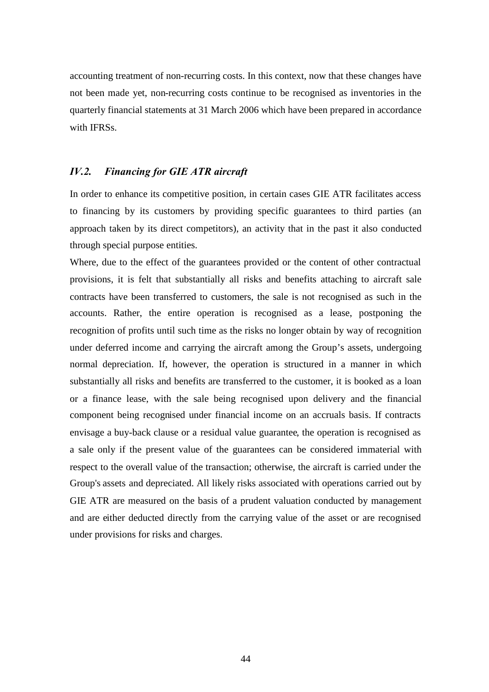accounting treatment of non-recurring costs. In this context, now that these changes have not been made yet, non-recurring costs continue to be recognised as inventories in the quarterly financial statements at 31 March 2006 which have been prepared in accordance with IFRSs.

# *IV.2. Financing for GIE ATR aircraft*

In order to enhance its competitive position, in certain cases GIE ATR facilitates access to financing by its customers by providing specific guarantees to third parties (an approach taken by its direct competitors), an activity that in the past it also conducted through special purpose entities.

Where, due to the effect of the guarantees provided or the content of other contractual provisions, it is felt that substantially all risks and benefits attaching to aircraft sale contracts have been transferred to customers, the sale is not recognised as such in the accounts. Rather, the entire operation is recognised as a lease, postponing the recognition of profits until such time as the risks no longer obtain by way of recognition under deferred income and carrying the aircraft among the Group's assets, undergoing normal depreciation. If, however, the operation is structured in a manner in which substantially all risks and benefits are transferred to the customer, it is booked as a loan or a finance lease, with the sale being recognised upon delivery and the financial component being recognised under financial income on an accruals basis. If contracts envisage a buy-back clause or a residual value guarantee, the operation is recognised as a sale only if the present value of the guarantees can be considered immaterial with respect to the overall value of the transaction; otherwise, the aircraft is carried under the Group's assets and depreciated. All likely risks associated with operations carried out by GIE ATR are measured on the basis of a prudent valuation conducted by management and are either deducted directly from the carrying value of the asset or are recognised under provisions for risks and charges.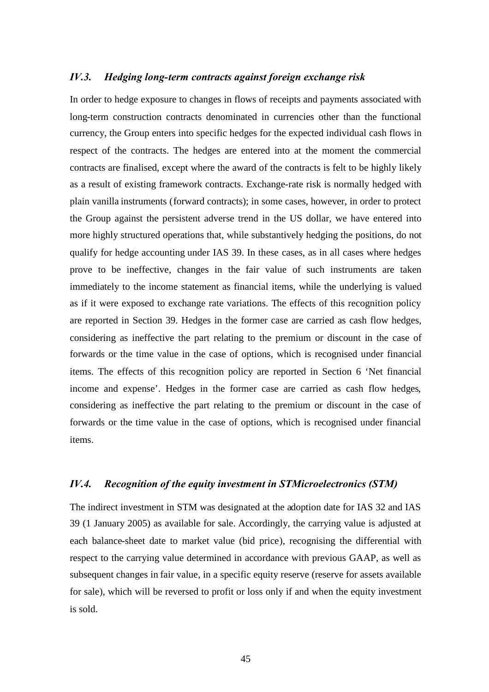# *IV.3. Hedging long-term contracts against foreign exchange risk*

In order to hedge exposure to changes in flows of receipts and payments associated with long-term construction contracts denominated in currencies other than the functional currency, the Group enters into specific hedges for the expected individual cash flows in respect of the contracts. The hedges are entered into at the moment the commercial contracts are finalised, except where the award of the contracts is felt to be highly likely as a result of existing framework contracts. Exchange-rate risk is normally hedged with plain vanilla instruments (forward contracts); in some cases, however, in order to protect the Group against the persistent adverse trend in the US dollar, we have entered into more highly structured operations that, while substantively hedging the positions, do not qualify for hedge accounting under IAS 39. In these cases, as in all cases where hedges prove to be ineffective, changes in the fair value of such instruments are taken immediately to the income statement as financial items, while the underlying is valued as if it were exposed to exchange rate variations. The effects of this recognition policy are reported in Section 39. Hedges in the former case are carried as cash flow hedges, considering as ineffective the part relating to the premium or discount in the case of forwards or the time value in the case of options, which is recognised under financial items. The effects of this recognition policy are reported in Section 6 'Net financial income and expense'. Hedges in the former case are carried as cash flow hedges, considering as ineffective the part relating to the premium or discount in the case of forwards or the time value in the case of options, which is recognised under financial items.

# *IV.4. Recognition of the equity investment in STMicroelectronics (STM)*

The indirect investment in STM was designated at the adoption date for IAS 32 and IAS 39 (1 January 2005) as available for sale. Accordingly, the carrying value is adjusted at each balance-sheet date to market value (bid price), recognising the differential with respect to the carrying value determined in accordance with previous GAAP, as well as subsequent changes in fair value, in a specific equity reserve (reserve for assets available for sale), which will be reversed to profit or loss only if and when the equity investment is sold.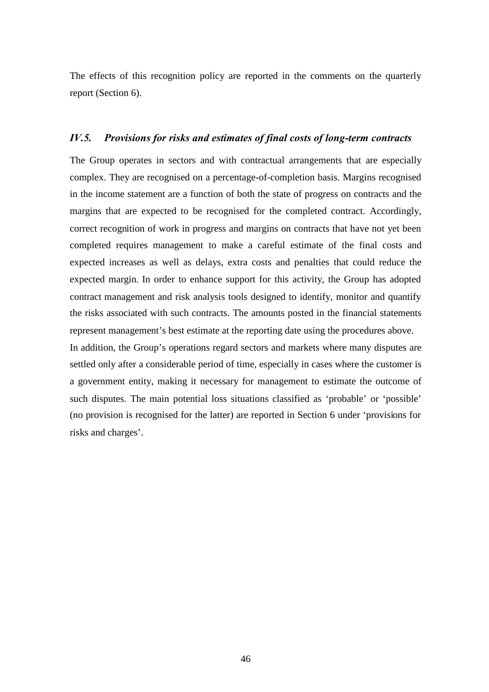The effects of this recognition policy are reported in the comments on the quarterly report (Section 6).

# *IV.5. Provisions for risks and estimates of final costs of long-term contracts*

The Group operates in sectors and with contractual arrangements that are especially complex. They are recognised on a percentage-of-completion basis. Margins recognised in the income statement are a function of both the state of progress on contracts and the margins that are expected to be recognised for the completed contract. Accordingly, correct recognition of work in progress and margins on contracts that have not yet been completed requires management to make a careful estimate of the final costs and expected increases as well as delays, extra costs and penalties that could reduce the expected margin. In order to enhance support for this activity, the Group has adopted contract management and risk analysis tools designed to identify, monitor and quantify the risks associated with such contracts. The amounts posted in the financial statements represent management's best estimate at the reporting date using the procedures above.

In addition, the Group's operations regard sectors and markets where many disputes are settled only after a considerable period of time, especially in cases where the customer is a government entity, making it necessary for management to estimate the outcome of such disputes. The main potential loss situations classified as 'probable' or 'possible' (no provision is recognised for the latter) are reported in Section 6 under 'provisions for risks and charges'.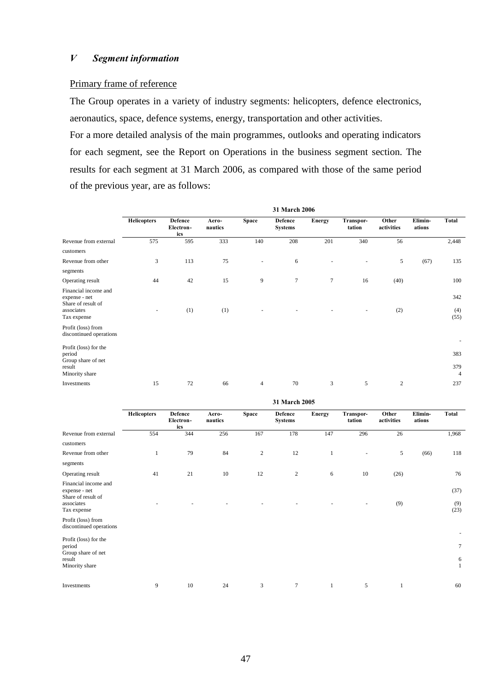#### Primary frame of reference

The Group operates in a variety of industry segments: helicopters, defence electronics, aeronautics, space, defence systems, energy, transportation and other activities.

For a more detailed analysis of the main programmes, outlooks and operating indicators for each segment, see the Report on Operations in the business segment section. The results for each segment at 31 March 2006, as compared with those of the same period of the previous year, are as follows:

|                                                             |                    |                                    |                  |                | 31 March 2006                    |        |                     |                     |                   |                       |
|-------------------------------------------------------------|--------------------|------------------------------------|------------------|----------------|----------------------------------|--------|---------------------|---------------------|-------------------|-----------------------|
|                                                             | <b>Helicopters</b> | <b>Defence</b><br>Electron-<br>ics | Aero-<br>nautics | <b>Space</b>   | <b>Defence</b><br><b>Systems</b> | Energy | Transpor-<br>tation | Other<br>activities | Elimin-<br>ations | <b>Total</b>          |
| Revenue from external                                       | 575                | 595                                | 333              | 140            | 208                              | 201    | 340                 | 56                  |                   | 2,448                 |
| customers                                                   |                    |                                    |                  |                |                                  |        |                     |                     |                   |                       |
| Revenue from other                                          | 3                  | 113                                | 75               | $\blacksquare$ | 6                                |        |                     | 5                   | (67)              | 135                   |
| segments                                                    |                    |                                    |                  |                |                                  |        |                     |                     |                   |                       |
| Operating result                                            | 44                 | 42                                 | 15               | 9              | $\tau$                           | $\tau$ | 16                  | (40)                |                   | 100                   |
| Financial income and<br>expense - net<br>Share of result of |                    |                                    |                  |                |                                  |        |                     |                     |                   | 342                   |
| associates<br>Tax expense                                   |                    | (1)                                | (1)              |                |                                  |        |                     | (2)                 |                   | (4)<br>(55)           |
| Profit (loss) from<br>discontinued operations               |                    |                                    |                  |                |                                  |        |                     |                     |                   |                       |
| Profit (loss) for the<br>period<br>Group share of net       |                    |                                    |                  |                |                                  |        |                     |                     |                   | 383                   |
| result<br>Minority share                                    |                    |                                    |                  |                |                                  |        |                     |                     |                   | 379<br>$\overline{4}$ |
| Investments                                                 | 15                 | 72                                 | 66               | $\overline{4}$ | 70                               | 3      | 5                   | $\mathfrak{2}$      |                   | 237                   |

|                                                             | 31 March 2005      |                             |                  |              |                                  |              |                     |                     |                   |                   |
|-------------------------------------------------------------|--------------------|-----------------------------|------------------|--------------|----------------------------------|--------------|---------------------|---------------------|-------------------|-------------------|
|                                                             | <b>Helicopters</b> | Defence<br>Electron-<br>ics | Aero-<br>nautics | <b>Space</b> | <b>Defence</b><br><b>Systems</b> | Energy       | Transpor-<br>tation | Other<br>activities | Elimin-<br>ations | Total             |
| Revenue from external                                       | 554                | 344                         | 256              | 167          | 178                              | 147          | 296                 | 26                  |                   | 1,968             |
| customers                                                   |                    |                             |                  |              |                                  |              |                     |                     |                   |                   |
| Revenue from other                                          | $\mathbf{1}$       | 79                          | 84               | $\sqrt{2}$   | 12                               | $\mathbf{1}$ | ٠                   | 5                   | (66)              | 118               |
| segments                                                    |                    |                             |                  |              |                                  |              |                     |                     |                   |                   |
| Operating result                                            | 41                 | 21                          | 10               | 12           | $\boldsymbol{2}$                 | 6            | 10                  | (26)                |                   | 76                |
| Financial income and<br>expense - net<br>Share of result of |                    |                             |                  |              |                                  |              |                     |                     |                   | (37)              |
| associates<br>Tax expense                                   |                    |                             |                  |              |                                  |              |                     | (9)                 |                   | (9)<br>(23)       |
| Profit (loss) from<br>discontinued operations               |                    |                             |                  |              |                                  |              |                     |                     |                   | ٠                 |
| Profit (loss) for the<br>period                             |                    |                             |                  |              |                                  |              |                     |                     |                   | $\overline{7}$    |
| Group share of net<br>result<br>Minority share              |                    |                             |                  |              |                                  |              |                     |                     |                   | 6<br>$\mathbf{1}$ |
| Investments                                                 | 9                  | 10                          | 24               | 3            | $\tau$                           | $\mathbf{1}$ | 5                   | 1                   |                   | 60                |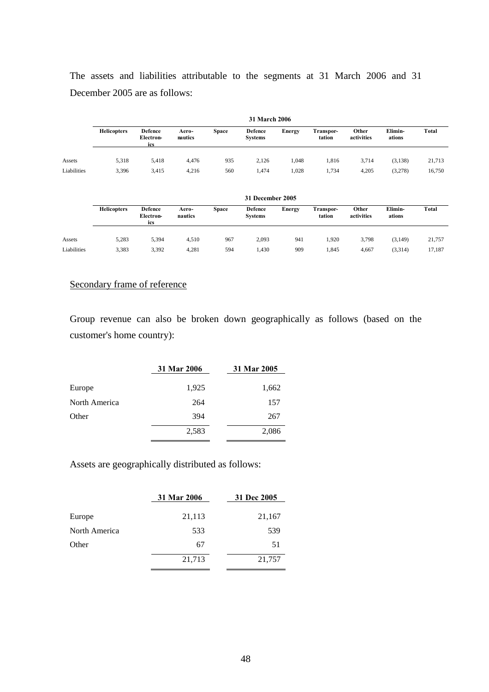The assets and liabilities attributable to the segments at 31 March 2006 and 31 December 2005 are as follows:

|             | 31 March 2006      |                                    |                  |              |                           |        |                     |                     |                   |        |
|-------------|--------------------|------------------------------------|------------------|--------------|---------------------------|--------|---------------------|---------------------|-------------------|--------|
|             | <b>Helicopters</b> | <b>Defence</b><br>Electron-<br>ics | Aero-<br>nautics | <b>Space</b> | Defence<br><b>Systems</b> | Energy | Transpor-<br>tation | Other<br>activities | Elimin-<br>ations | Total  |
| Assets      | 5,318              | 5,418                              | 4,476            | 935          | 2.126                     | 1.048  | 1,816               | 3,714               | (3, 138)          | 21,713 |
| Liabilities | 3,396              | 3.415                              | 4,216            | 560          | l.474                     | 1,028  | 1.734               | 4,205               | (3,278)           | 16,750 |

|             | 31 December 2005   |                                    |                  |              |                                  |               |                     |                     |                   |        |
|-------------|--------------------|------------------------------------|------------------|--------------|----------------------------------|---------------|---------------------|---------------------|-------------------|--------|
|             | <b>Helicopters</b> | <b>Defence</b><br>Electron-<br>ics | Aero-<br>nautics | <b>Space</b> | <b>Defence</b><br><b>Systems</b> | <b>Energy</b> | Transpor-<br>tation | Other<br>activities | Elimin-<br>ations | Total  |
| Assets      | 5,283              | 5,394                              | 4,510            | 967          | 2,093                            | 941           | 1.920               | 3,798               | (3,149)           | 21,757 |
| Liabilities | 3,383              | 3,392                              | 4,281            | 594          | 1,430                            | 909           | 1,845               | 4,667               | (3,314)           | 17,187 |

# Secondary frame of reference

Group revenue can also be broken down geographically as follows (based on the customer's home country):

|               | 31 Mar 2006 | 31 Mar 2005 |
|---------------|-------------|-------------|
| Europe        | 1,925       | 1,662       |
| North America | 264         | 157         |
| Other         | 394         | 267         |
|               | 2,583       | 2,086       |

Assets are geographically distributed as follows:

|               | 31 Mar 2006 | 31 Dec 2005 |
|---------------|-------------|-------------|
| Europe        | 21,113      | 21,167      |
| North America | 533         | 539         |
| Other         | 67          | 51          |
|               | 21,713      | 21,757      |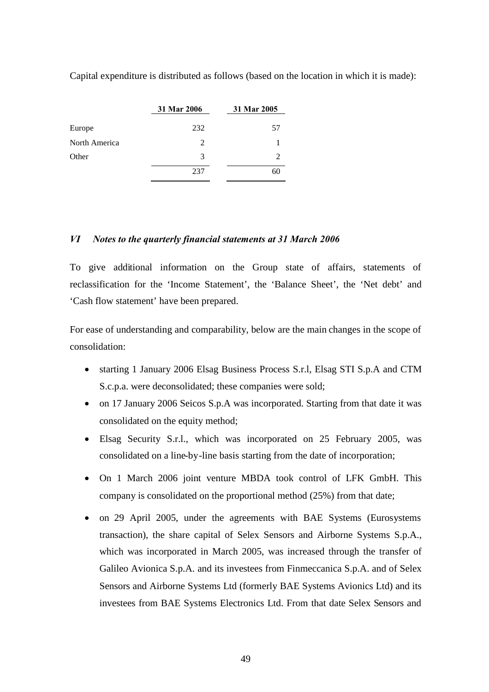Capital expenditure is distributed as follows (based on the location in which it is made):

|               | 31 Mar 2006 | 31 Mar 2005                 |
|---------------|-------------|-----------------------------|
| Europe        | 232         | 57                          |
| North America | 2           |                             |
| Other         | 3           | $\mathcal{D}_{\mathcal{A}}$ |
|               | 237         | 61                          |

# *VI Notes to the quarterly financial statements at 31 March 2006*

To give additional information on the Group state of affairs, statements of reclassification for the 'Income Statement', the 'Balance Sheet', the 'Net debt' and 'Cash flow statement' have been prepared.

For ease of understanding and comparability, below are the main changes in the scope of consolidation:

- starting 1 January 2006 Elsag Business Process S.r.l, Elsag STI S.p.A and CTM S.c.p.a. were deconsolidated; these companies were sold;
- on 17 January 2006 Seicos S.p.A was incorporated. Starting from that date it was consolidated on the equity method;
- Elsag Security S.r.l., which was incorporated on 25 February 2005, was consolidated on a line-by-line basis starting from the date of incorporation;
- On 1 March 2006 joint venture MBDA took control of LFK GmbH. This company is consolidated on the proportional method (25%) from that date;
- on 29 April 2005, under the agreements with BAE Systems (Eurosystems transaction), the share capital of Selex Sensors and Airborne Systems S.p.A., which was incorporated in March 2005, was increased through the transfer of Galileo Avionica S.p.A. and its investees from Finmeccanica S.p.A. and of Selex Sensors and Airborne Systems Ltd (formerly BAE Systems Avionics Ltd) and its investees from BAE Systems Electronics Ltd. From that date Selex Sensors and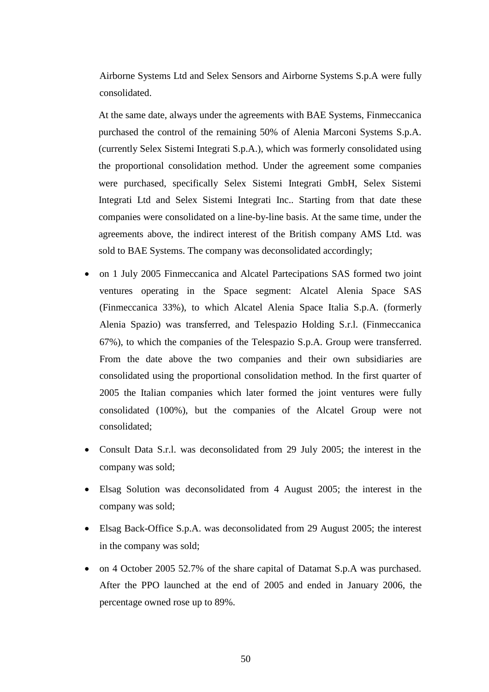Airborne Systems Ltd and Selex Sensors and Airborne Systems S.p.A were fully consolidated.

At the same date, always under the agreements with BAE Systems, Finmeccanica purchased the control of the remaining 50% of Alenia Marconi Systems S.p.A. (currently Selex Sistemi Integrati S.p.A.), which was formerly consolidated using the proportional consolidation method. Under the agreement some companies were purchased, specifically Selex Sistemi Integrati GmbH, Selex Sistemi Integrati Ltd and Selex Sistemi Integrati Inc.. Starting from that date these companies were consolidated on a line-by-line basis. At the same time, under the agreements above, the indirect interest of the British company AMS Ltd. was sold to BAE Systems. The company was deconsolidated accordingly;

- on 1 July 2005 Finmeccanica and Alcatel Partecipations SAS formed two joint ventures operating in the Space segment: Alcatel Alenia Space SAS (Finmeccanica 33%), to which Alcatel Alenia Space Italia S.p.A. (formerly Alenia Spazio) was transferred, and Telespazio Holding S.r.l. (Finmeccanica 67%), to which the companies of the Telespazio S.p.A. Group were transferred. From the date above the two companies and their own subsidiaries are consolidated using the proportional consolidation method. In the first quarter of 2005 the Italian companies which later formed the joint ventures were fully consolidated (100%), but the companies of the Alcatel Group were not consolidated;
- Consult Data S.r.l. was deconsolidated from 29 July 2005; the interest in the company was sold;
- Elsag Solution was deconsolidated from 4 August 2005; the interest in the company was sold;
- Elsag Back-Office S.p.A. was deconsolidated from 29 August 2005; the interest in the company was sold;
- on 4 October 2005 52.7% of the share capital of Datamat S.p.A was purchased. After the PPO launched at the end of 2005 and ended in January 2006, the percentage owned rose up to 89%.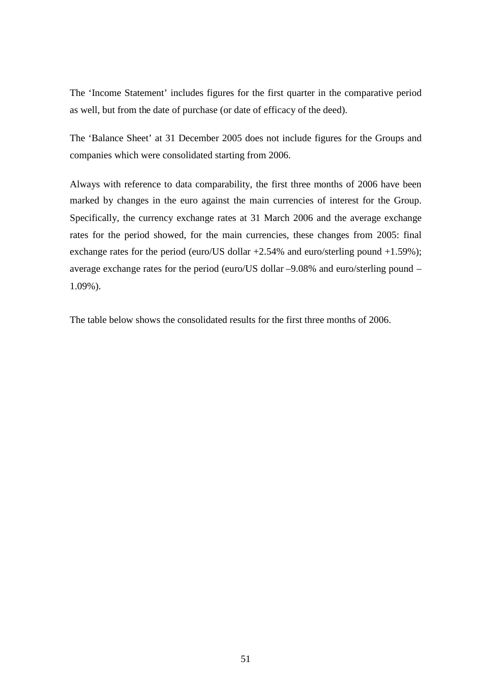The 'Income Statement' includes figures for the first quarter in the comparative period as well, but from the date of purchase (or date of efficacy of the deed).

The 'Balance Sheet' at 31 December 2005 does not include figures for the Groups and companies which were consolidated starting from 2006.

Always with reference to data comparability, the first three months of 2006 have been marked by changes in the euro against the main currencies of interest for the Group. Specifically, the currency exchange rates at 31 March 2006 and the average exchange rates for the period showed, for the main currencies, these changes from 2005: final exchange rates for the period (euro/US dollar  $+2.54\%$  and euro/sterling pound  $+1.59\%$ ); average exchange rates for the period (euro/US dollar –9.08% and euro/sterling pound – 1.09%).

The table below shows the consolidated results for the first three months of 2006.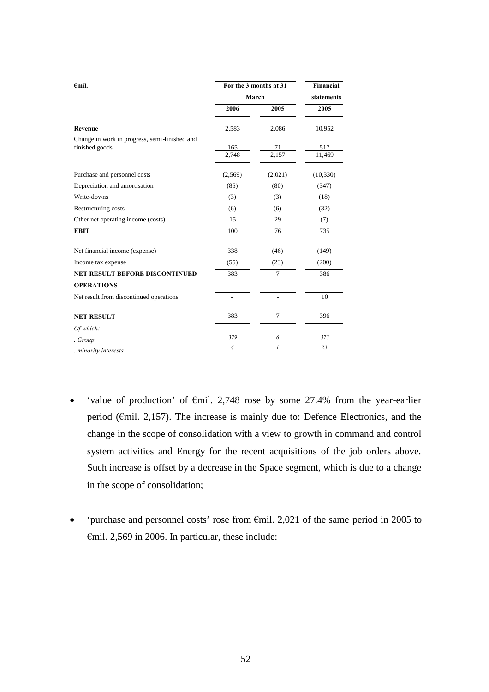| $\epsilon$ mil.                                                 | For the 3 months at 31 | Financial      |               |
|-----------------------------------------------------------------|------------------------|----------------|---------------|
|                                                                 | March                  | statements     |               |
|                                                                 | 2006                   | 2005           | 2005          |
| Revenue                                                         | 2,583                  | 2,086          | 10,952        |
| Change in work in progress, semi-finished and<br>finished goods | 165<br>2,748           | 71<br>2,157    | 517<br>11,469 |
| Purchase and personnel costs                                    | (2,569)                | (2,021)        | (10, 330)     |
| Depreciation and amortisation                                   | (85)                   | (80)           | (347)         |
| Write-downs                                                     | (3)                    | (3)            | (18)          |
| Restructuring costs                                             | (6)                    | (6)            | (32)          |
| Other net operating income (costs)                              | 15                     | 29             | (7)           |
| <b>EBIT</b>                                                     | 100                    | 76             | 735           |
| Net financial income (expense)                                  | 338                    | (46)           | (149)         |
| Income tax expense                                              | (55)                   | (23)           | (200)         |
| <b>NET RESULT BEFORE DISCONTINUED</b>                           | 383                    | $\overline{7}$ | 386           |
| <b>OPERATIONS</b>                                               |                        |                |               |
| Net result from discontinued operations                         | $\overline{a}$         |                | 10            |
| <b>NET RESULT</b>                                               | 383                    | $\overline{7}$ | 396           |
| Of which:                                                       |                        |                |               |
| . Group                                                         | 379                    | 6              | 373           |
| minority interests                                              | $\overline{4}$         | 1              | 23            |

- 'value of production' of  $\epsilon$ mil. 2,748 rose by some 27.4% from the year-earlier period (€mil. 2,157). The increase is mainly due to: Defence Electronics, and the change in the scope of consolidation with a view to growth in command and control system activities and Energy for the recent acquisitions of the job orders above. Such increase is offset by a decrease in the Space segment, which is due to a change in the scope of consolidation;
- 'purchase and personnel costs' rose from €mil. 2,021 of the same period in 2005 to  $\epsilon$ mil. 2,569 in 2006. In particular, these include: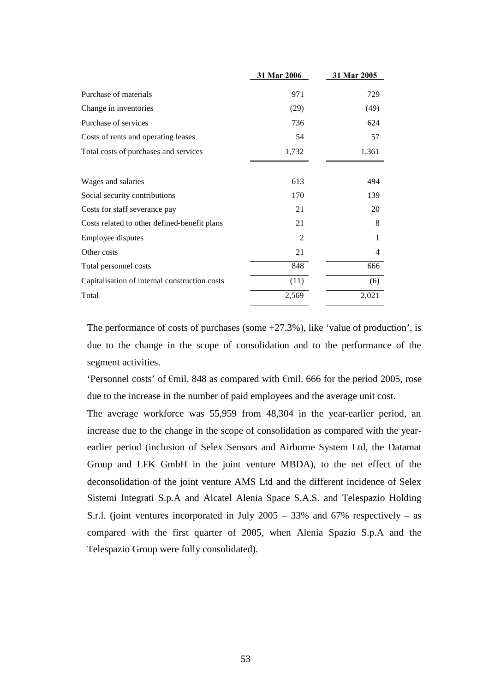| 31 Mar 2006    | 31 Mar 2005 |
|----------------|-------------|
|                | 729         |
|                |             |
| (29)           | (49)        |
| 736            | 624         |
| 54             | 57          |
| 1,732          | 1,361       |
|                |             |
| 613            | 494         |
| 170            | 139         |
| 21             | 20          |
| 21             | 8           |
| $\overline{2}$ | 1           |
| 21             | 4           |
| 848            | 666         |
| (11)           | (6)         |
| 2,569          | 2,021       |
|                | 971         |

The performance of costs of purchases (some +27.3%), like 'value of production', is due to the change in the scope of consolidation and to the performance of the segment activities.

'Personnel costs' of €mil. 848 as compared with €mil. 666 for the period 2005, rose due to the increase in the number of paid employees and the average unit cost.

The average workforce was 55,959 from 48,304 in the year-earlier period, an increase due to the change in the scope of consolidation as compared with the yearearlier period (inclusion of Selex Sensors and Airborne System Ltd, the Datamat Group and LFK GmbH in the joint venture MBDA), to the net effect of the deconsolidation of the joint venture AMS Ltd and the different incidence of Selex Sistemi Integrati S.p.A and Alcatel Alenia Space S.A.S. and Telespazio Holding S.r.l. (joint ventures incorporated in July 2005 – 33% and 67% respectively – as compared with the first quarter of 2005, when Alenia Spazio S.p.A and the Telespazio Group were fully consolidated).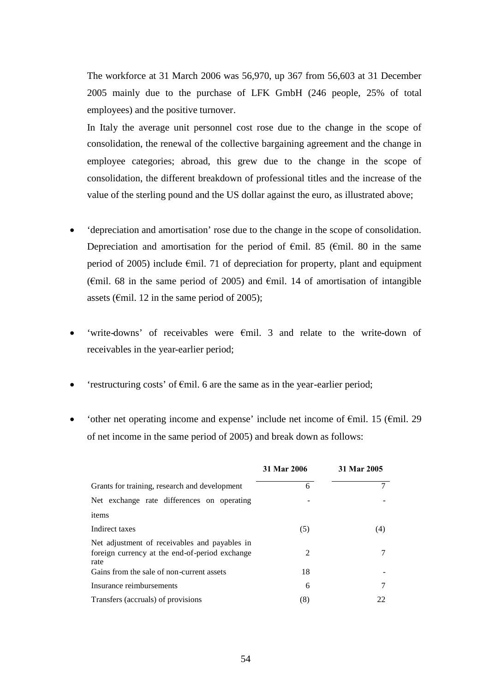The workforce at 31 March 2006 was 56,970, up 367 from 56,603 at 31 December 2005 mainly due to the purchase of LFK GmbH (246 people, 25% of total employees) and the positive turnover.

In Italy the average unit personnel cost rose due to the change in the scope of consolidation, the renewal of the collective bargaining agreement and the change in employee categories; abroad, this grew due to the change in the scope of consolidation, the different breakdown of professional titles and the increase of the value of the sterling pound and the US dollar against the euro, as illustrated above;

- 'depreciation and amortisation' rose due to the change in the scope of consolidation. Depreciation and amortisation for the period of  $\epsilon$ mil. 85 ( $\epsilon$ mil. 80 in the same period of 2005) include €mil. 71 of depreciation for property, plant and equipment ( $\epsilon$ mil. 68 in the same period of 2005) and  $\epsilon$ mil. 14 of amortisation of intangible assets ( $\epsilon$ mil. 12 in the same period of 2005);
- 'write-downs' of receivables were €mil. 3 and relate to the write-down of receivables in the year-earlier period;
- 'restructuring costs' of €mil. 6 are the same as in the year-earlier period;
- 'other net operating income and expense' include net income of €mil. 15 (€mil. 29 of net income in the same period of 2005) and break down as follows:

|                                                                                                         | 31 Mar 2006 | 31 Mar 2005 |
|---------------------------------------------------------------------------------------------------------|-------------|-------------|
| Grants for training, research and development                                                           | 6           | 7           |
| Net exchange rate differences on operating                                                              |             |             |
| items                                                                                                   |             |             |
| Indirect taxes                                                                                          | (5)         | (4)         |
| Net adjustment of receivables and payables in<br>foreign currency at the end-of-period exchange<br>rate | 2           |             |
| Gains from the sale of non-current assets                                                               | 18          |             |
| Insurance reimbursements                                                                                | 6           |             |
| Transfers (accruals) of provisions                                                                      | (8)         | 22          |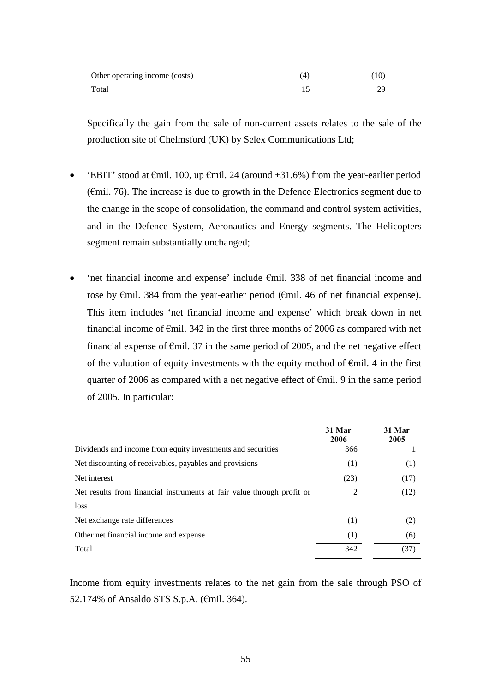| Other operating income (costs) | (4, | $^{\prime}10.$ |
|--------------------------------|-----|----------------|
| Total                          |     |                |

Specifically the gain from the sale of non-current assets relates to the sale of the production site of Chelmsford (UK) by Selex Communications Ltd;

- 'EBIT' stood at  $\epsilon$ mil. 100, up  $\epsilon$ mil. 24 (around +31.6%) from the year-earlier period ( $\epsilon$ mil. 76). The increase is due to growth in the Defence Electronics segment due to the change in the scope of consolidation, the command and control system activities, and in the Defence System, Aeronautics and Energy segments. The Helicopters segment remain substantially unchanged;
- 'net financial income and expense' include €mil. 338 of net financial income and rose by €mil. 384 from the year-earlier period (€mil. 46 of net financial expense). This item includes 'net financial income and expense' which break down in net financial income of  $\epsilon$ mil. 342 in the first three months of 2006 as compared with net financial expense of  $\epsilon$ mil. 37 in the same period of 2005, and the net negative effect of the valuation of equity investments with the equity method of  $\epsilon$ mil. 4 in the first quarter of 2006 as compared with a net negative effect of  $\epsilon$ mil. 9 in the same period of 2005. In particular:

|                                                                        | 31 Mar<br>2006 | 31 Mar<br>2005 |
|------------------------------------------------------------------------|----------------|----------------|
| Dividends and income from equity investments and securities            | 366            |                |
| Net discounting of receivables, payables and provisions                | (1)            | (1)            |
| Net interest                                                           | (23)           | (17)           |
| Net results from financial instruments at fair value through profit or | 2              | (12)           |
| loss                                                                   |                |                |
| Net exchange rate differences                                          | (1)            | (2)            |
| Other net financial income and expense                                 | (1)            | (6)            |
| Total                                                                  | 342            | (37)           |

Income from equity investments relates to the net gain from the sale through PSO of 52.174% of Ansaldo STS S.p.A. (€mil. 364).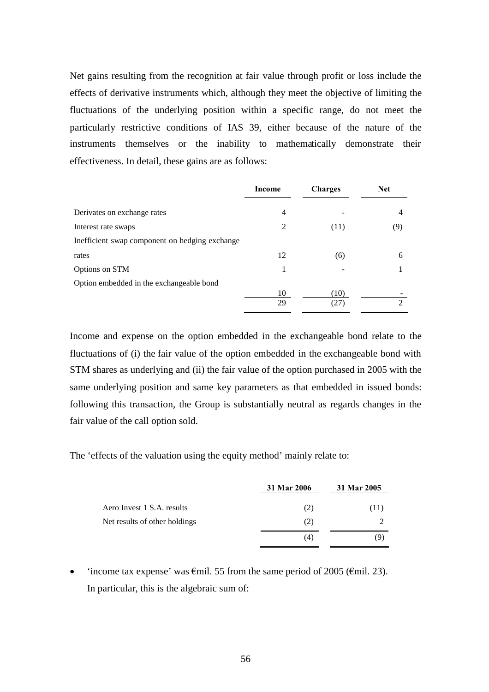Net gains resulting from the recognition at fair value through profit or loss include the effects of derivative instruments which, although they meet the objective of limiting the fluctuations of the underlying position within a specific range, do not meet the particularly restrictive conditions of IAS 39, either because of the nature of the instruments themselves or the inability to mathematically demonstrate their effectiveness. In detail, these gains are as follows:

|                                                | Income | <b>Charges</b> | <b>Net</b>     |
|------------------------------------------------|--------|----------------|----------------|
| Derivates on exchange rates                    | 4      |                | $\overline{4}$ |
| Interest rate swaps                            | 2      | (11)           | (9)            |
| Inefficient swap component on hedging exchange |        |                |                |
| rates                                          | 12     | (6)            | 6              |
| Options on STM                                 |        |                |                |
| Option embedded in the exchangeable bond       |        |                |                |
|                                                | 10     | (10)           |                |
|                                                | 29     | (27            | ↑              |

Income and expense on the option embedded in the exchangeable bond relate to the fluctuations of (i) the fair value of the option embedded in the exchangeable bond with STM shares as underlying and (ii) the fair value of the option purchased in 2005 with the same underlying position and same key parameters as that embedded in issued bonds: following this transaction, the Group is substantially neutral as regards changes in the fair value of the call option sold.

The 'effects of the valuation using the equity method' mainly relate to:

|                               | 31 Mar 2006 | 31 Mar 2005 |
|-------------------------------|-------------|-------------|
| Aero Invest 1 S.A. results    | (2)         | (11)        |
| Net results of other holdings | (2)         |             |
|                               | (4)         | (Q)         |

• 'income tax expense' was  $\epsilon$ mil. 55 from the same period of 2005 ( $\epsilon$ mil. 23). In particular, this is the algebraic sum of: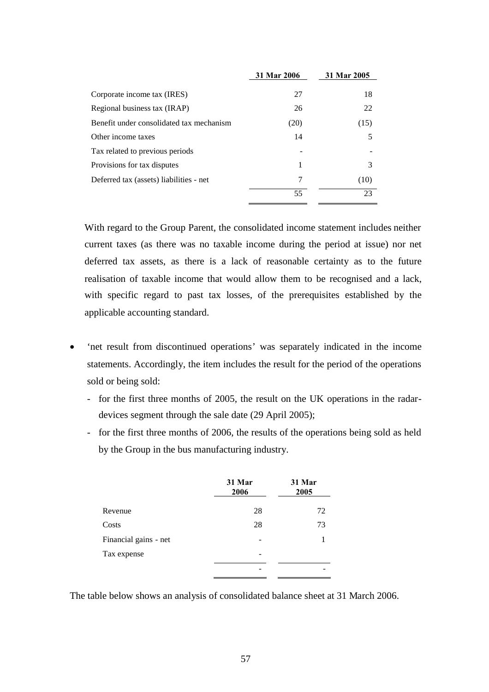|                                          | 31 Mar 2006 | 31 Mar 2005 |
|------------------------------------------|-------------|-------------|
|                                          |             |             |
| Corporate income tax (IRES)              | 27          | 18          |
| Regional business tax (IRAP)             | 26          | 22          |
| Benefit under consolidated tax mechanism | (20)        | (15)        |
| Other income taxes                       | 14          |             |
| Tax related to previous periods          |             |             |
| Provisions for tax disputes              | 1           | 3           |
| Deferred tax (assets) liabilities - net  | 7           | (10)        |
|                                          | 55          | 23          |

With regard to the Group Parent, the consolidated income statement includes neither current taxes (as there was no taxable income during the period at issue) nor net deferred tax assets, as there is a lack of reasonable certainty as to the future realisation of taxable income that would allow them to be recognised and a lack, with specific regard to past tax losses, of the prerequisites established by the applicable accounting standard.

- 'net result from discontinued operations' was separately indicated in the income statements. Accordingly, the item includes the result for the period of the operations sold or being sold:
	- for the first three months of 2005, the result on the UK operations in the radardevices segment through the sale date (29 April 2005);
	- for the first three months of 2006, the results of the operations being sold as held by the Group in the bus manufacturing industry.

|                       | 31 Mar<br>2006 | 31 Mar<br>2005 |
|-----------------------|----------------|----------------|
| Revenue               | 28             | 72             |
| Costs                 | 28             | 73             |
| Financial gains - net |                |                |
| Tax expense           |                |                |
|                       |                |                |

The table below shows an analysis of consolidated balance sheet at 31 March 2006.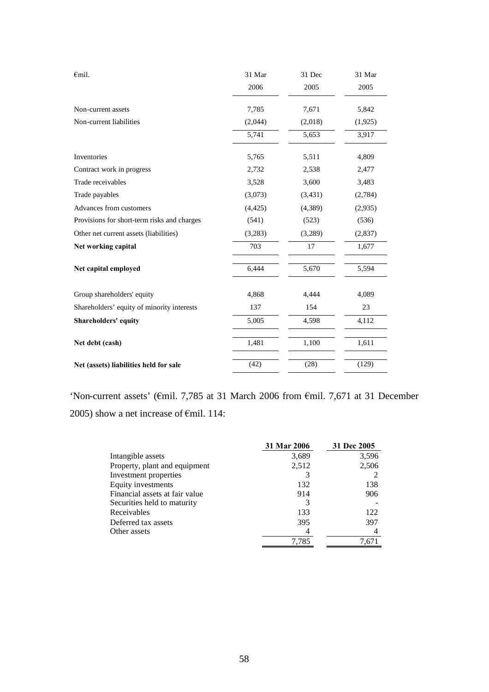| $\epsilon$ mil.                             | 31 Mar   | 31 Dec  | 31 Mar  |
|---------------------------------------------|----------|---------|---------|
|                                             | 2006     | 2005    | 2005    |
| Non-current assets                          | 7,785    | 7,671   | 5,842   |
| Non-current liabilities                     | (2,044)  | (2,018) | (1,925) |
|                                             | 5,741    | 5,653   | 3,917   |
| Inventories                                 | 5,765    | 5,511   | 4,809   |
| Contract work in progress                   | 2,732    | 2,538   | 2,477   |
| Trade receivables                           | 3,528    | 3,600   | 3,483   |
| Trade payables                              | (3,073)  | (3,431) | (2,784) |
| Advances from customers                     | (4, 425) | (4,389) | (2,935) |
| Provisions for short-term risks and charges | (541)    | (523)   | (536)   |
| Other net current assets (liabilities)      | (3,283)  | (3,289) | (2,837) |
| Net working capital                         | 703      | 17      | 1,677   |
| Net capital employed                        | 6,444    | 5,670   | 5,594   |
| Group shareholders' equity                  | 4,868    | 4,444   | 4,089   |
| Shareholders' equity of minority interests  | 137      | 154     | 23      |
| Shareholders' equity                        | 5,005    | 4,598   | 4,112   |
| Net debt (cash)                             | 1,481    | 1,100   | 1,611   |
| Net (assets) liabilities held for sale      | (42)     | (28)    | (129)   |

'Non-current assets' (€mil. 7,785 at 31 March 2006 from €mil. 7,671 at 31 December 2005) show a net increase of  $\epsilon$ mil. 114:

|                                | 31 Mar 2006 | 31 Dec 2005 |
|--------------------------------|-------------|-------------|
| Intangible assets              | 3,689       | 3,596       |
| Property, plant and equipment  | 2,512       | 2,506       |
| Investment properties          | 3           |             |
| Equity investments             | 132         | 138         |
| Financial assets at fair value | 914         | 906         |
| Securities held to maturity    | 3           |             |
| Receivables                    | 133         | 122         |
| Deferred tax assets            | 395         | 397         |
| Other assets                   | 4           |             |
|                                | 7.785       | 7,671       |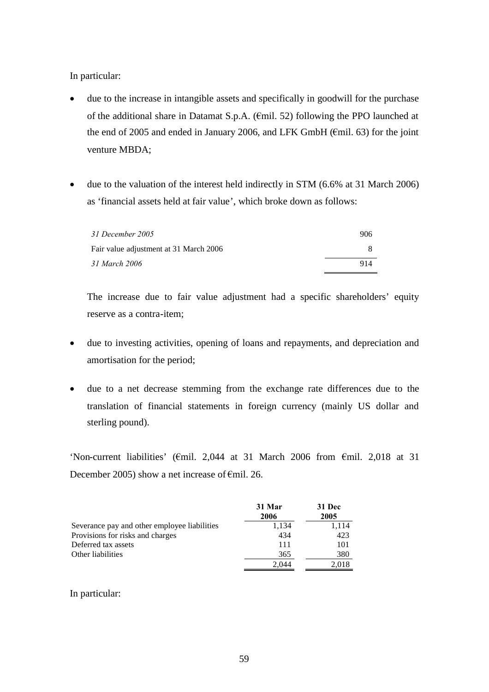In particular:

- due to the increase in intangible assets and specifically in goodwill for the purchase of the additional share in Datamat S.p.A. (€mil. 52) following the PPO launched at the end of 2005 and ended in January 2006, and LFK GmbH (€mil. 63) for the joint venture MBDA;
- due to the valuation of the interest held indirectly in STM (6.6% at 31 March 2006) as 'financial assets held at fair value', which broke down as follows:

| 31 December 2005                       | 906 |
|----------------------------------------|-----|
| Fair value adjustment at 31 March 2006 |     |
| 31 March 2006                          | 914 |

The increase due to fair value adjustment had a specific shareholders' equity reserve as a contra-item;

- due to investing activities, opening of loans and repayments, and depreciation and amortisation for the period;
- due to a net decrease stemming from the exchange rate differences due to the translation of financial statements in foreign currency (mainly US dollar and sterling pound).

'Non-current liabilities' (€mil. 2,044 at 31 March 2006 from €mil. 2,018 at 31 December 2005) show a net increase of  $\epsilon$ mil. 26.

|                                              | 31 Mar<br>2006 | 31 Dec<br>2005 |
|----------------------------------------------|----------------|----------------|
| Severance pay and other employee liabilities | 1,134          | 1,114          |
| Provisions for risks and charges             | 434            | 423            |
| Deferred tax assets                          | 111            | 101            |
| Other liabilities                            | 365            | 380            |
|                                              | 2.044          | 2.018          |

## In particular: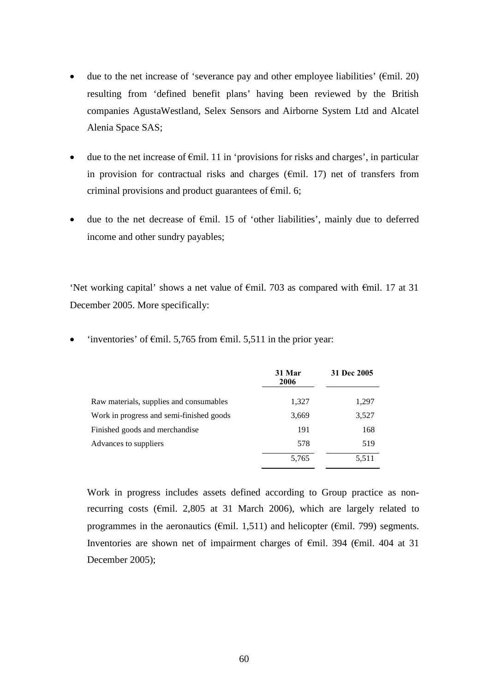- due to the net increase of 'severance pay and other employee liabilities' ( $\epsilon$ mil. 20) resulting from 'defined benefit plans' having been reviewed by the British companies AgustaWestland, Selex Sensors and Airborne System Ltd and Alcatel Alenia Space SAS;
- $\bullet$  due to the net increase of  $\epsilon$ mil. 11 in 'provisions for risks and charges', in particular in provision for contractual risks and charges ( $\epsilon$ mil. 17) net of transfers from criminal provisions and product guarantees of  $\epsilon$ mil. 6;
- due to the net decrease of €mil. 15 of 'other liabilities', mainly due to deferred income and other sundry payables;

'Net working capital' shows a net value of  $\epsilon$ mil. 703 as compared with  $\epsilon$ mil. 17 at 31 December 2005. More specifically:

|                                          | 31 Mar<br>2006 | 31 Dec 2005 |
|------------------------------------------|----------------|-------------|
| Raw materials, supplies and consumables  | 1,327          | 1,297       |
| Work in progress and semi-finished goods | 3,669          | 3,527       |
| Finished goods and merchandise           | 191            | 168         |
| Advances to suppliers                    | 578            | 519         |
|                                          | 5,765          | 5,511       |

'inventories' of  $\epsilon$ mil. 5,765 from  $\epsilon$ mil. 5,511 in the prior year:

Work in progress includes assets defined according to Group practice as nonrecurring costs ( $\epsilon$ mil. 2,805 at 31 March 2006), which are largely related to programmes in the aeronautics ( $\epsilon$ mil. 1,511) and helicopter ( $\epsilon$ mil. 799) segments. Inventories are shown net of impairment charges of €mil. 394 (€mil. 404 at 31 December 2005);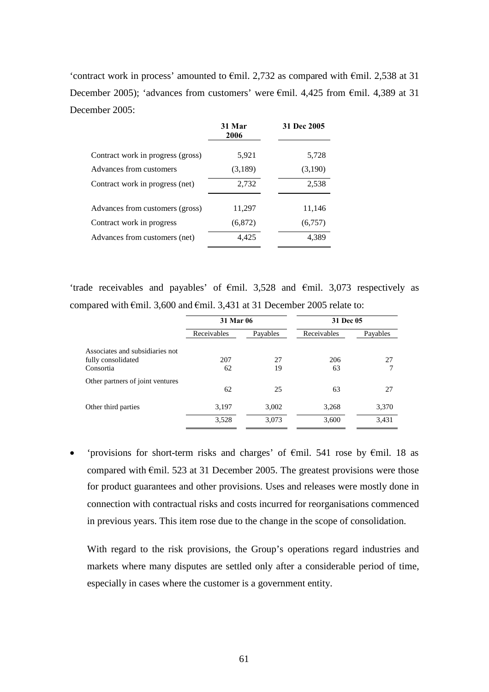'contract work in process' amounted to €mil. 2,732 as compared with €mil. 2,538 at 31 December 2005); 'advances from customers' were €mil. 4,425 from €mil. 4,389 at 31 December 2005:

|                                   | 31 Mar<br>2006 | 31 Dec 2005 |
|-----------------------------------|----------------|-------------|
| Contract work in progress (gross) | 5,921          | 5,728       |
| Advances from customers           | (3,189)        | (3,190)     |
| Contract work in progress (net)   | 2,732          | 2,538       |
| Advances from customers (gross)   | 11,297         | 11,146      |
| Contract work in progress         | (6, 872)       | (6,757)     |
| Advances from customers (net)     | 4,425          | 4,389       |

'trade receivables and payables' of €mil. 3,528 and €mil. 3,073 respectively as compared with €mil. 3,600 and €mil. 3,431 at 31 December 2005 relate to:

|                                  | 31 Mar 06   |          | 31 Dec 05   |          |
|----------------------------------|-------------|----------|-------------|----------|
|                                  | Receivables | Payables | Receivables | Payables |
| Associates and subsidiaries not  |             |          |             |          |
| fully consolidated               | 207         | 27       | 206         | 27       |
| Consortia                        | 62          | 19       | 63          |          |
| Other partners of joint ventures |             |          |             |          |
|                                  | 62          | 25       | 63          | 27       |
| Other third parties              | 3,197       | 3,002    | 3,268       | 3,370    |
|                                  | 3,528       | 3,073    | 3,600       | 3,431    |

 'provisions for short-term risks and charges' of €mil. 541 rose by €mil. 18 as compared with  $\epsilon$ mil. 523 at 31 December 2005. The greatest provisions were those for product guarantees and other provisions. Uses and releases were mostly done in connection with contractual risks and costs incurred for reorganisations commenced in previous years. This item rose due to the change in the scope of consolidation.

With regard to the risk provisions, the Group's operations regard industries and markets where many disputes are settled only after a considerable period of time, especially in cases where the customer is a government entity.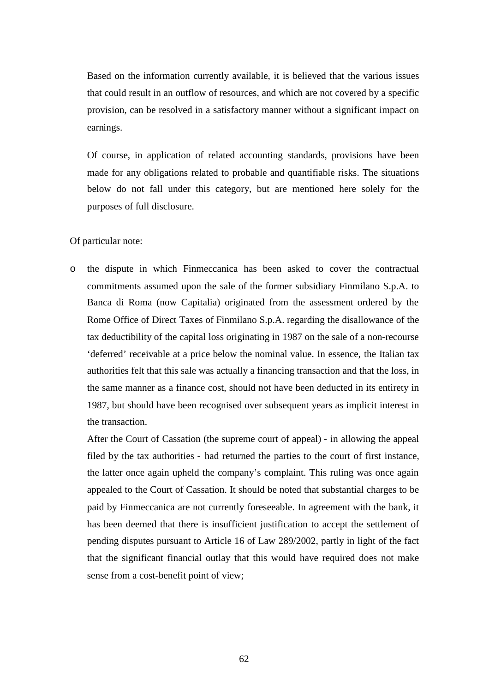Based on the information currently available, it is believed that the various issues that could result in an outflow of resources, and which are not covered by a specific provision, can be resolved in a satisfactory manner without a significant impact on earnings.

Of course, in application of related accounting standards, provisions have been made for any obligations related to probable and quantifiable risks. The situations below do not fall under this category, but are mentioned here solely for the purposes of full disclosure.

## Of particular note:

o the dispute in which Finmeccanica has been asked to cover the contractual commitments assumed upon the sale of the former subsidiary Finmilano S.p.A. to Banca di Roma (now Capitalia) originated from the assessment ordered by the Rome Office of Direct Taxes of Finmilano S.p.A. regarding the disallowance of the tax deductibility of the capital loss originating in 1987 on the sale of a non-recourse 'deferred' receivable at a price below the nominal value. In essence, the Italian tax authorities felt that this sale was actually a financing transaction and that the loss, in the same manner as a finance cost, should not have been deducted in its entirety in 1987, but should have been recognised over subsequent years as implicit interest in the transaction.

After the Court of Cassation (the supreme court of appeal) - in allowing the appeal filed by the tax authorities - had returned the parties to the court of first instance, the latter once again upheld the company's complaint. This ruling was once again appealed to the Court of Cassation. It should be noted that substantial charges to be paid by Finmeccanica are not currently foreseeable. In agreement with the bank, it has been deemed that there is insufficient justification to accept the settlement of pending disputes pursuant to Article 16 of Law 289/2002, partly in light of the fact that the significant financial outlay that this would have required does not make sense from a cost-benefit point of view;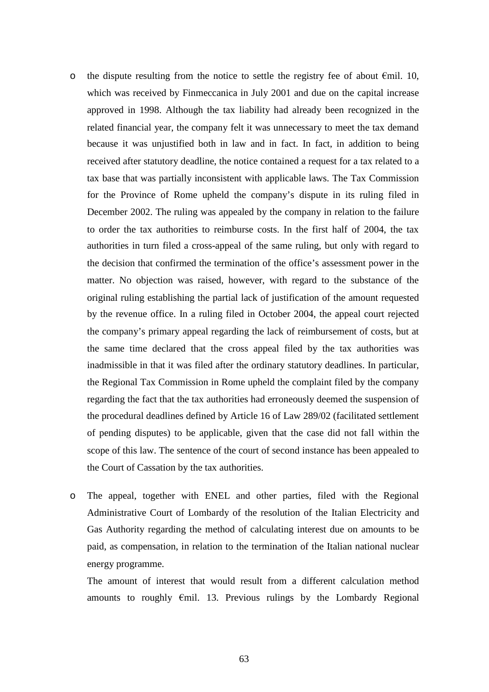- o the dispute resulting from the notice to settle the registry fee of about  $\epsilon$ mil. 10, which was received by Finmeccanica in July 2001 and due on the capital increase approved in 1998. Although the tax liability had already been recognized in the related financial year, the company felt it was unnecessary to meet the tax demand because it was unjustified both in law and in fact. In fact, in addition to being received after statutory deadline, the notice contained a request for a tax related to a tax base that was partially inconsistent with applicable laws. The Tax Commission for the Province of Rome upheld the company's dispute in its ruling filed in December 2002. The ruling was appealed by the company in relation to the failure to order the tax authorities to reimburse costs. In the first half of 2004, the tax authorities in turn filed a cross-appeal of the same ruling, but only with regard to the decision that confirmed the termination of the office's assessment power in the matter. No objection was raised, however, with regard to the substance of the original ruling establishing the partial lack of justification of the amount requested by the revenue office. In a ruling filed in October 2004, the appeal court rejected the company's primary appeal regarding the lack of reimbursement of costs, but at the same time declared that the cross appeal filed by the tax authorities was inadmissible in that it was filed after the ordinary statutory deadlines. In particular, the Regional Tax Commission in Rome upheld the complaint filed by the company regarding the fact that the tax authorities had erroneously deemed the suspension of the procedural deadlines defined by Article 16 of Law 289/02 (facilitated settlement of pending disputes) to be applicable, given that the case did not fall within the scope of this law. The sentence of the court of second instance has been appealed to the Court of Cassation by the tax authorities.
- o The appeal, together with ENEL and other parties, filed with the Regional Administrative Court of Lombardy of the resolution of the Italian Electricity and Gas Authority regarding the method of calculating interest due on amounts to be paid, as compensation, in relation to the termination of the Italian national nuclear energy programme.

The amount of interest that would result from a different calculation method amounts to roughly €mil. 13. Previous rulings by the Lombardy Regional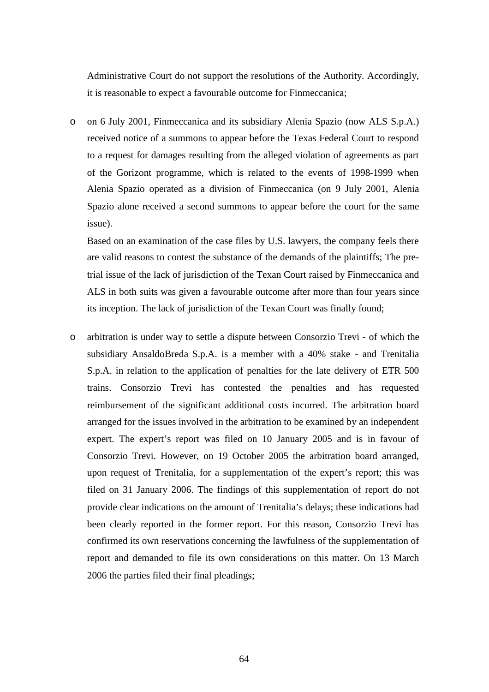Administrative Court do not support the resolutions of the Authority. Accordingly, it is reasonable to expect a favourable outcome for Finmeccanica;

o on 6 July 2001, Finmeccanica and its subsidiary Alenia Spazio (now ALS S.p.A.) received notice of a summons to appear before the Texas Federal Court to respond to a request for damages resulting from the alleged violation of agreements as part of the Gorizont programme, which is related to the events of 1998-1999 when Alenia Spazio operated as a division of Finmeccanica (on 9 July 2001, Alenia Spazio alone received a second summons to appear before the court for the same issue).

Based on an examination of the case files by U.S. lawyers, the company feels there are valid reasons to contest the substance of the demands of the plaintiffs; The pretrial issue of the lack of jurisdiction of the Texan Court raised by Finmeccanica and ALS in both suits was given a favourable outcome after more than four years since its inception. The lack of jurisdiction of the Texan Court was finally found;

o arbitration is under way to settle a dispute between Consorzio Trevi - of which the subsidiary AnsaldoBreda S.p.A. is a member with a 40% stake - and Trenitalia S.p.A. in relation to the application of penalties for the late delivery of ETR 500 trains. Consorzio Trevi has contested the penalties and has requested reimbursement of the significant additional costs incurred. The arbitration board arranged for the issues involved in the arbitration to be examined by an independent expert. The expert's report was filed on 10 January 2005 and is in favour of Consorzio Trevi. However, on 19 October 2005 the arbitration board arranged, upon request of Trenitalia, for a supplementation of the expert's report; this was filed on 31 January 2006. The findings of this supplementation of report do not provide clear indications on the amount of Trenitalia's delays; these indications had been clearly reported in the former report. For this reason, Consorzio Trevi has confirmed its own reservations concerning the lawfulness of the supplementation of report and demanded to file its own considerations on this matter. On 13 March 2006 the parties filed their final pleadings;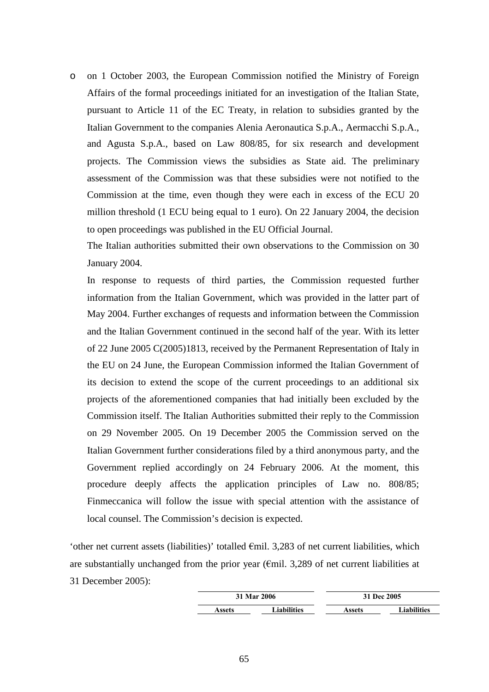o on 1 October 2003, the European Commission notified the Ministry of Foreign Affairs of the formal proceedings initiated for an investigation of the Italian State, pursuant to Article 11 of the EC Treaty, in relation to subsidies granted by the Italian Government to the companies Alenia Aeronautica S.p.A., Aermacchi S.p.A., and Agusta S.p.A., based on Law 808/85, for six research and development projects. The Commission views the subsidies as State aid. The preliminary assessment of the Commission was that these subsidies were not notified to the Commission at the time, even though they were each in excess of the ECU 20 million threshold (1 ECU being equal to 1 euro). On 22 January 2004, the decision to open proceedings was published in the EU Official Journal.

The Italian authorities submitted their own observations to the Commission on 30 January 2004.

In response to requests of third parties, the Commission requested further information from the Italian Government, which was provided in the latter part of May 2004. Further exchanges of requests and information between the Commission and the Italian Government continued in the second half of the year. With its letter of 22 June 2005 C(2005)1813, received by the Permanent Representation of Italy in the EU on 24 June, the European Commission informed the Italian Government of its decision to extend the scope of the current proceedings to an additional six projects of the aforementioned companies that had initially been excluded by the Commission itself. The Italian Authorities submitted their reply to the Commission on 29 November 2005. On 19 December 2005 the Commission served on the Italian Government further considerations filed by a third anonymous party, and the Government replied accordingly on 24 February 2006. At the moment, this procedure deeply affects the application principles of Law no. 808/85; Finmeccanica will follow the issue with special attention with the assistance of local counsel. The Commission's decision is expected.

'other net current assets (liabilities)' totalled €mil. 3,283 of net current liabilities, which are substantially unchanged from the prior year ( $\epsilon$ mil. 3,289 of net current liabilities at 31 December 2005):

| 31 Mar 2006 |                    | 31 Dec 2005 |                    |  |
|-------------|--------------------|-------------|--------------------|--|
| Assets      | <b>Liabilities</b> | Assets      | <b>Liabilities</b> |  |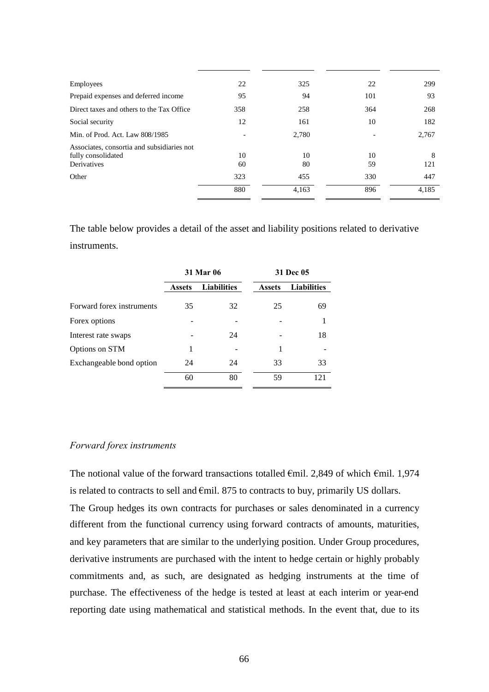| Employees                                                                       | 22       | 325      | 22       | 299      |
|---------------------------------------------------------------------------------|----------|----------|----------|----------|
| Prepaid expenses and deferred income                                            | 95       | 94       | 101      | 93       |
| Direct taxes and others to the Tax Office                                       | 358      | 258      | 364      | 268      |
| Social security                                                                 | 12       | 161      | 10       | 182      |
| Min. of Prod. Act. Law 808/1985                                                 |          | 2,780    |          | 2,767    |
| Associates, consortia and subsidiaries not<br>fully consolidated<br>Derivatives | 10<br>60 | 10<br>80 | 10<br>59 | 8<br>121 |
| Other                                                                           | 323      | 455      | 330      | 447      |
|                                                                                 | 880      | 4.163    | 896      | 4,185    |
|                                                                                 |          |          |          |          |

The table below provides a detail of the asset and liability positions related to derivative instruments.

|                           | <b>31 Mar 06</b> |                    |               | 31 Dec 05          |  |
|---------------------------|------------------|--------------------|---------------|--------------------|--|
|                           | <b>Assets</b>    | <b>Liabilities</b> | <b>Assets</b> | <b>Liabilities</b> |  |
| Forward forex instruments | 35               | 32                 | 25            | 69                 |  |
| Forex options             |                  |                    |               |                    |  |
| Interest rate swaps       |                  | 24                 |               | 18                 |  |
| Options on STM            | 1                |                    | 1             |                    |  |
| Exchangeable bond option  | 24               | 24                 | 33            | 33                 |  |
|                           | 60               | 80                 | 59            | 121                |  |

## *Forward forex instruments*

The notional value of the forward transactions totalled  $\epsilon$ mil. 2,849 of which  $\epsilon$ mil. 1,974 is related to contracts to sell and  $\epsilon$ mil. 875 to contracts to buy, primarily US dollars. The Group hedges its own contracts for purchases or sales denominated in a currency different from the functional currency using forward contracts of amounts, maturities, and key parameters that are similar to the underlying position. Under Group procedures, derivative instruments are purchased with the intent to hedge certain or highly probably commitments and, as such, are designated as hedging instruments at the time of purchase. The effectiveness of the hedge is tested at least at each interim or year-end reporting date using mathematical and statistical methods. In the event that, due to its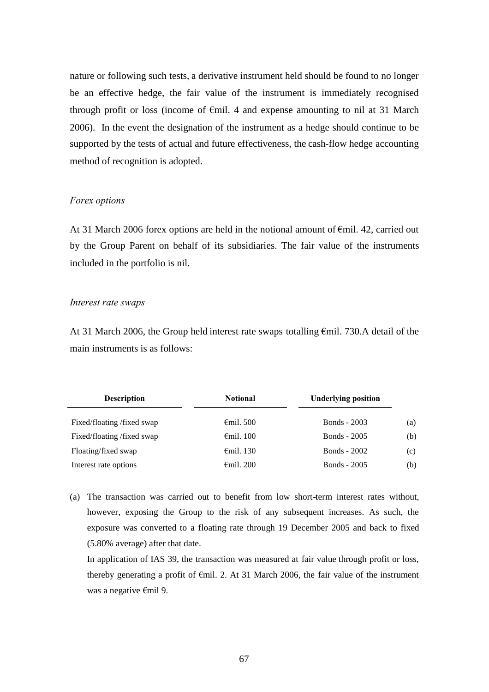nature or following such tests, a derivative instrument held should be found to no longer be an effective hedge, the fair value of the instrument is immediately recognised through profit or loss (income of  $\epsilon$ mil. 4 and expense amounting to nil at 31 March 2006). In the event the designation of the instrument as a hedge should continue to be supported by the tests of actual and future effectiveness, the cash-flow hedge accounting method of recognition is adopted.

#### *Forex options*

At 31 March 2006 forex options are held in the notional amount of €mil. 42, carried out by the Group Parent on behalf of its subsidiaries. The fair value of the instruments included in the portfolio is nil.

#### *Interest rate swaps*

At 31 March 2006, the Group held interest rate swaps totalling €mil. 730.A detail of the main instruments is as follows:

| <b>Description</b>        | <b>Notional</b>     | <b>Underlying position</b> |     |
|---------------------------|---------------------|----------------------------|-----|
| Fixed/floating/fixed swap | $\epsilon$ mil. 500 | <b>Bonds</b> - 2003        | (a) |
| Fixed/floating/fixed swap | $\epsilon$ mil. 100 | <b>Bonds</b> - 2005        | (b) |
| Floating/fixed swap       | $\epsilon$ mil. 130 | <b>Bonds</b> - 2002        | (c) |
| Interest rate options     | $\epsilon$ mil. 200 | <b>Bonds</b> - 2005        | (b) |

(a) The transaction was carried out to benefit from low short-term interest rates without, however, exposing the Group to the risk of any subsequent increases. As such, the exposure was converted to a floating rate through 19 December 2005 and back to fixed (5.80% average) after that date.

In application of IAS 39, the transaction was measured at fair value through profit or loss, thereby generating a profit of €mil. 2. At 31 March 2006, the fair value of the instrument was a negative €mil 9.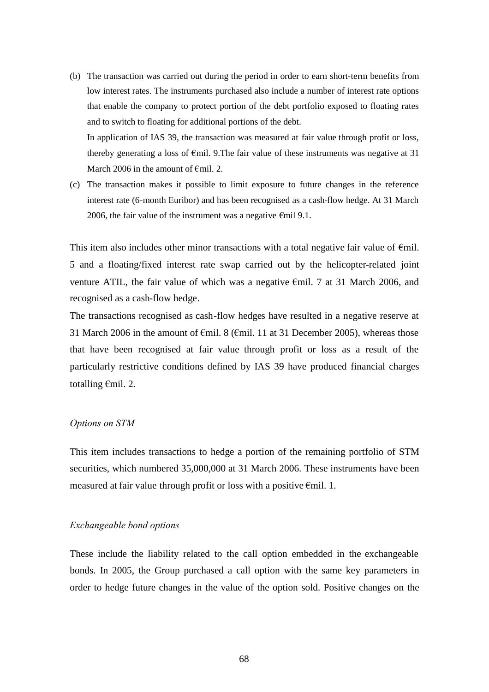- (b) The transaction was carried out during the period in order to earn short-term benefits from low interest rates. The instruments purchased also include a number of interest rate options that enable the company to protect portion of the debt portfolio exposed to floating rates and to switch to floating for additional portions of the debt. In application of IAS 39, the transaction was measured at fair value through profit or loss, thereby generating a loss of  $\epsilon$ mil. 9. The fair value of these instruments was negative at 31 March 2006 in the amount of  $\epsilon$ mil. 2.
- (c) The transaction makes it possible to limit exposure to future changes in the reference interest rate (6-month Euribor) and has been recognised as a cash-flow hedge. At 31 March 2006, the fair value of the instrument was a negative  $\epsilon$ mil 9.1.

This item also includes other minor transactions with a total negative fair value of  $\epsilon$ mil. 5 and a floating/fixed interest rate swap carried out by the helicopter-related joint venture ATIL, the fair value of which was a negative €mil. 7 at 31 March 2006, and recognised as a cash-flow hedge.

The transactions recognised as cash-flow hedges have resulted in a negative reserve at 31 March 2006 in the amount of  $\epsilon$ mil. 8 ( $\epsilon$ mil. 11 at 31 December 2005), whereas those that have been recognised at fair value through profit or loss as a result of the particularly restrictive conditions defined by IAS 39 have produced financial charges totalling €mil. 2.

#### *Options on STM*

This item includes transactions to hedge a portion of the remaining portfolio of STM securities, which numbered 35,000,000 at 31 March 2006. These instruments have been measured at fair value through profit or loss with a positive  $\epsilon$ mil. 1.

#### *Exchangeable bond options*

These include the liability related to the call option embedded in the exchangeable bonds. In 2005, the Group purchased a call option with the same key parameters in order to hedge future changes in the value of the option sold. Positive changes on the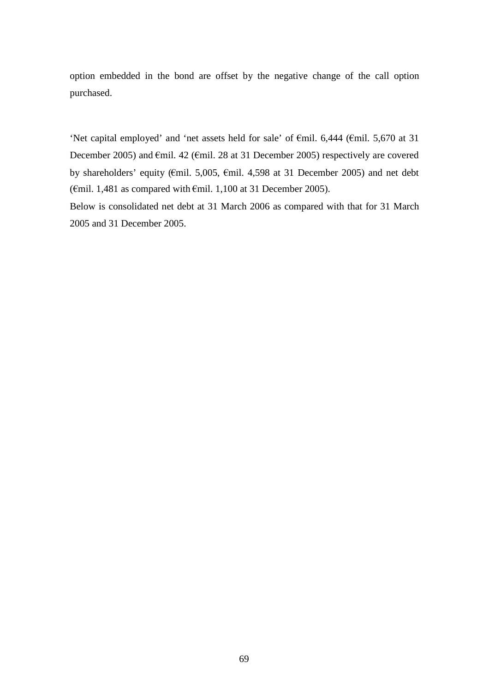option embedded in the bond are offset by the negative change of the call option purchased.

'Net capital employed' and 'net assets held for sale' of €mil. 6,444 (€mil. 5,670 at 31 December 2005) and €mil. 42 (€mil. 28 at 31 December 2005) respectively are covered by shareholders' equity (€mil. 5,005, €mil. 4,598 at 31 December 2005) and net debt ( $\epsilon$ mil. 1,481 as compared with  $\epsilon$ mil. 1,100 at 31 December 2005).

Below is consolidated net debt at 31 March 2006 as compared with that for 31 March 2005 and 31 December 2005.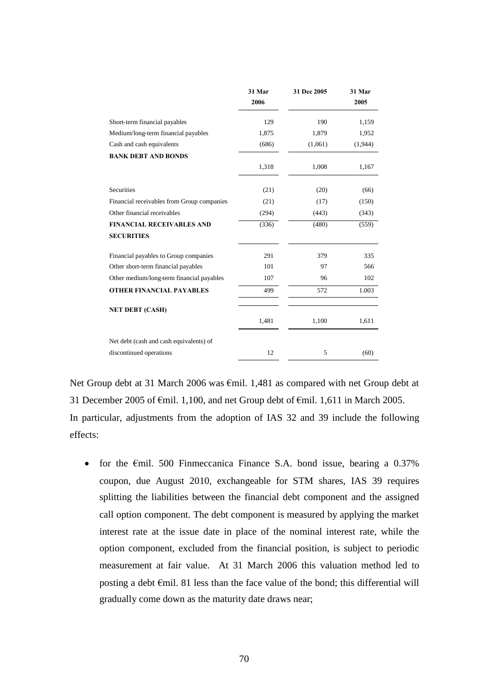|                                            | 31 Mar<br>2006 | 31 Dec 2005 | 31 Mar<br>2005 |
|--------------------------------------------|----------------|-------------|----------------|
|                                            |                |             |                |
| Short-term financial payables              | 129            | 190         | 1,159          |
| Medium/long-term financial payables        | 1,875          | 1,879       | 1,952          |
| Cash and cash equivalents                  | (686)          | (1,061)     | (1,944)        |
| <b>BANK DEBT AND BONDS</b>                 |                |             |                |
|                                            | 1,318          | 1,008       | 1,167          |
| <b>Securities</b>                          | (21)           | (20)        | (66)           |
| Financial receivables from Group companies | (21)           | (17)        | (150)          |
| Other financial receivables                | (294)          | (443)       | (343)          |
| <b>FINANCIAL RECEIVABLES AND</b>           | (336)          | (480)       | (559)          |
| <b>SECURITIES</b>                          |                |             |                |
| Financial payables to Group companies      | 291            | 379         | 335            |
| Other short-term financial payables        | 101            | 97          | 566            |
| Other medium/long-term financial payables  | 107            | 96          | 102            |
| <b>OTHER FINANCIAL PAYABLES</b>            | 499            | 572         | 1.003          |
| <b>NET DEBT (CASH)</b>                     |                |             |                |
|                                            | 1,481          | 1,100       | 1,611          |
| Net debt (cash and cash equivalents) of    |                |             |                |
| discontinued operations                    | 12             | 5           | (60)           |

Net Group debt at 31 March 2006 was €mil. 1,481 as compared with net Group debt at 31 December 2005 of  $\epsilon$ mil. 1,100, and net Group debt of  $\epsilon$ mil. 1,611 in March 2005. In particular, adjustments from the adoption of IAS 32 and 39 include the following effects:

• for the  $\epsilon$ mil. 500 Finmeccanica Finance S.A. bond issue, bearing a 0.37% coupon, due August 2010, exchangeable for STM shares, IAS 39 requires splitting the liabilities between the financial debt component and the assigned call option component. The debt component is measured by applying the market interest rate at the issue date in place of the nominal interest rate, while the option component, excluded from the financial position, is subject to periodic measurement at fair value. At 31 March 2006 this valuation method led to posting a debt  $\epsilon$ mil. 81 less than the face value of the bond; this differential will gradually come down as the maturity date draws near;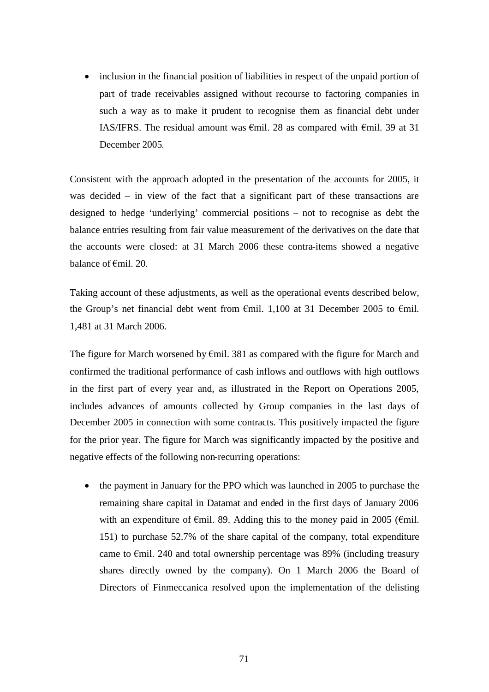• inclusion in the financial position of liabilities in respect of the unpaid portion of part of trade receivables assigned without recourse to factoring companies in such a way as to make it prudent to recognise them as financial debt under IAS/IFRS. The residual amount was  $\epsilon$ mil. 28 as compared with  $\epsilon$ mil. 39 at 31 December 2005*.*

Consistent with the approach adopted in the presentation of the accounts for 2005, it was decided – in view of the fact that a significant part of these transactions are designed to hedge 'underlying' commercial positions – not to recognise as debt the balance entries resulting from fair value measurement of the derivatives on the date that the accounts were closed: at 31 March 2006 these contra-items showed a negative balance of €mil. 20.

Taking account of these adjustments, as well as the operational events described below, the Group's net financial debt went from  $\epsilon$ mil. 1,100 at 31 December 2005 to  $\epsilon$ mil. 1,481 at 31 March 2006.

The figure for March worsened by €mil. 381 as compared with the figure for March and confirmed the traditional performance of cash inflows and outflows with high outflows in the first part of every year and, as illustrated in the Report on Operations 2005, includes advances of amounts collected by Group companies in the last days of December 2005 in connection with some contracts. This positively impacted the figure for the prior year. The figure for March was significantly impacted by the positive and negative effects of the following non-recurring operations:

• the payment in January for the PPO which was launched in 2005 to purchase the remaining share capital in Datamat and ended in the first days of January 2006 with an expenditure of  $\epsilon$ mil. 89. Adding this to the money paid in 2005 ( $\epsilon$ mil. 151) to purchase 52.7% of the share capital of the company, total expenditure came to  $\epsilon$ mil. 240 and total ownership percentage was 89% (including treasury shares directly owned by the company). On 1 March 2006 the Board of Directors of Finmeccanica resolved upon the implementation of the delisting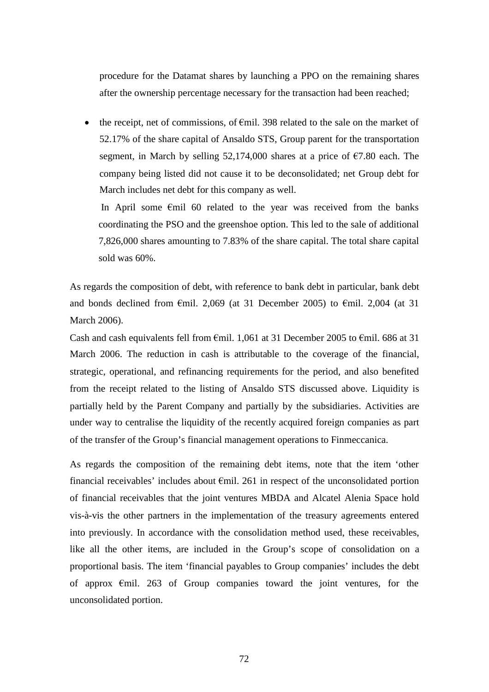procedure for the Datamat shares by launching a PPO on the remaining shares after the ownership percentage necessary for the transaction had been reached;

• the receipt, net of commissions, of  $\epsilon$ mil. 398 related to the sale on the market of 52.17% of the share capital of Ansaldo STS, Group parent for the transportation segment, in March by selling 52,174,000 shares at a price of €7.80 each. The company being listed did not cause it to be deconsolidated; net Group debt for March includes net debt for this company as well.

In April some €mil 60 related to the year was received from the banks coordinating the PSO and the greenshoe option. This led to the sale of additional 7,826,000 shares amounting to 7.83% of the share capital. The total share capital sold was 60%.

As regards the composition of debt, with reference to bank debt in particular, bank debt and bonds declined from  $\epsilon$ mil. 2,069 (at 31 December 2005) to  $\epsilon$ mil. 2,004 (at 31 March 2006).

Cash and cash equivalents fell from  $\epsilon$ mil. 1,061 at 31 December 2005 to  $\epsilon$ mil. 686 at 31 March 2006. The reduction in cash is attributable to the coverage of the financial, strategic, operational, and refinancing requirements for the period, and also benefited from the receipt related to the listing of Ansaldo STS discussed above. Liquidity is partially held by the Parent Company and partially by the subsidiaries. Activities are under way to centralise the liquidity of the recently acquired foreign companies as part of the transfer of the Group's financial management operations to Finmeccanica.

As regards the composition of the remaining debt items, note that the item 'other financial receivables' includes about  $\epsilon$ mil. 261 in respect of the unconsolidated portion of financial receivables that the joint ventures MBDA and Alcatel Alenia Space hold vis-à-vis the other partners in the implementation of the treasury agreements entered into previously. In accordance with the consolidation method used, these receivables, like all the other items, are included in the Group's scope of consolidation on a proportional basis. The item 'financial payables to Group companies' includes the debt of approx €mil. 263 of Group companies toward the joint ventures, for the unconsolidated portion.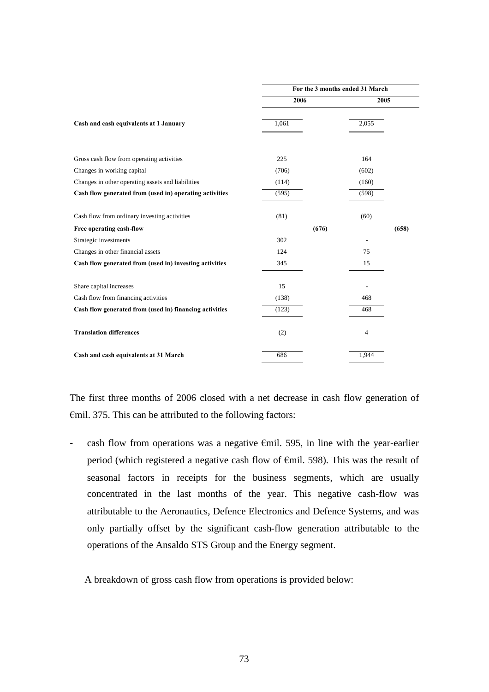|                                                         | For the 3 months ended 31 March |                |       |  |
|---------------------------------------------------------|---------------------------------|----------------|-------|--|
|                                                         | 2006                            | 2005           |       |  |
| Cash and cash equivalents at 1 January                  | 1,061                           | 2,055          |       |  |
| Gross cash flow from operating activities               | 225                             | 164            |       |  |
| Changes in working capital                              | (706)                           | (602)          |       |  |
| Changes in other operating assets and liabilities       | (114)                           | (160)          |       |  |
| Cash flow generated from (used in) operating activities | (595)                           | (598)          |       |  |
| Cash flow from ordinary investing activities            | (81)                            | (60)           |       |  |
| Free operating cash-flow                                | (676)                           |                | (658) |  |
| Strategic investments                                   | 302                             |                |       |  |
| Changes in other financial assets                       | 124                             | 75             |       |  |
| Cash flow generated from (used in) investing activities | 345                             | 15             |       |  |
| Share capital increases                                 | 15                              |                |       |  |
| Cash flow from financing activities                     | (138)                           | 468            |       |  |
| Cash flow generated from (used in) financing activities | (123)                           | 468            |       |  |
| <b>Translation differences</b>                          | (2)                             | $\overline{4}$ |       |  |
| Cash and cash equivalents at 31 March                   | 686                             | 1,944          |       |  |

The first three months of 2006 closed with a net decrease in cash flow generation of  $\epsilon$ mil. 375. This can be attributed to the following factors:

cash flow from operations was a negative  $\epsilon$ mil. 595, in line with the year-earlier period (which registered a negative cash flow of €mil. 598). This was the result of seasonal factors in receipts for the business segments, which are usually concentrated in the last months of the year. This negative cash-flow was attributable to the Aeronautics, Defence Electronics and Defence Systems, and was only partially offset by the significant cash-flow generation attributable to the operations of the Ansaldo STS Group and the Energy segment.

A breakdown of gross cash flow from operations is provided below: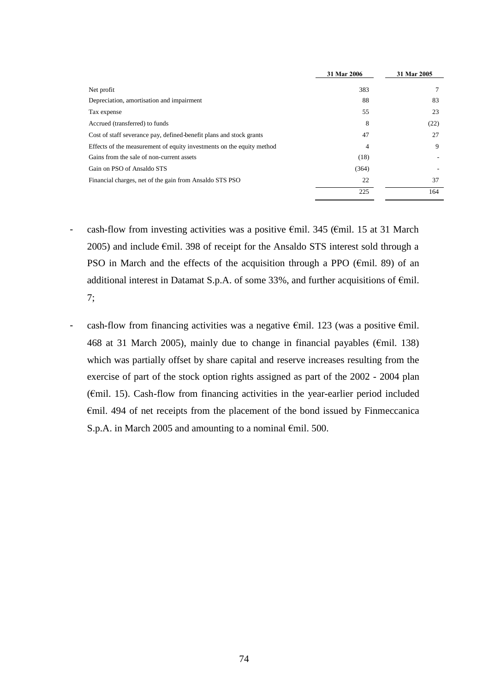|                                                                       | 31 Mar 2006 | 31 Mar 2005 |
|-----------------------------------------------------------------------|-------------|-------------|
| Net profit                                                            | 383         |             |
| Depreciation, amortisation and impairment                             | 88          | 83          |
| Tax expense                                                           | 55          | 23          |
| Accrued (transferred) to funds                                        | 8           | (22)        |
| Cost of staff severance pay, defined-benefit plans and stock grants   | 47          | 27          |
| Effects of the measurement of equity investments on the equity method | 4           | 9           |
| Gains from the sale of non-current assets                             | (18)        |             |
| Gain on PSO of Ansaldo STS                                            | (364)       |             |
| Financial charges, net of the gain from Ansaldo STS PSO               | 22          | 37          |
|                                                                       | 225         | 164         |

- cash-flow from investing activities was a positive  $\epsilon$ mil. 345 ( $\epsilon$ mil. 15 at 31 March 2005) and include €mil. 398 of receipt for the Ansaldo STS interest sold through a PSO in March and the effects of the acquisition through a PPO ( $\epsilon$ mil. 89) of an additional interest in Datamat S.p.A. of some 33%, and further acquisitions of €mil. 7;
- cash-flow from financing activities was a negative  $\epsilon$ mil. 123 (was a positive  $\epsilon$ mil. 468 at 31 March 2005), mainly due to change in financial payables ( $\epsilon$ mil. 138) which was partially offset by share capital and reserve increases resulting from the exercise of part of the stock option rights assigned as part of the 2002 - 2004 plan (€mil. 15). Cash-flow from financing activities in the year-earlier period included €mil. 494 of net receipts from the placement of the bond issued by Finmeccanica S.p.A. in March 2005 and amounting to a nominal €mil. 500.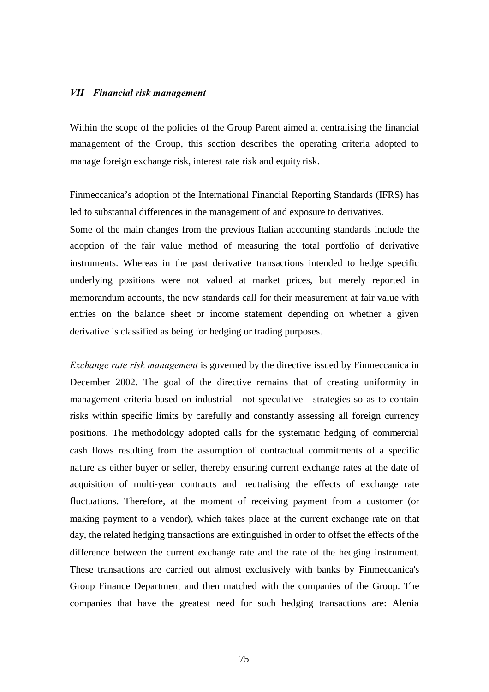#### *VII Financial risk management*

Within the scope of the policies of the Group Parent aimed at centralising the financial management of the Group, this section describes the operating criteria adopted to manage foreign exchange risk, interest rate risk and equity risk.

Finmeccanica's adoption of the International Financial Reporting Standards (IFRS) has led to substantial differences in the management of and exposure to derivatives.

Some of the main changes from the previous Italian accounting standards include the adoption of the fair value method of measuring the total portfolio of derivative instruments. Whereas in the past derivative transactions intended to hedge specific underlying positions were not valued at market prices, but merely reported in memorandum accounts, the new standards call for their measurement at fair value with entries on the balance sheet or income statement depending on whether a given derivative is classified as being for hedging or trading purposes.

*Exchange rate risk management* is governed by the directive issued by Finmeccanica in December 2002. The goal of the directive remains that of creating uniformity in management criteria based on industrial - not speculative - strategies so as to contain risks within specific limits by carefully and constantly assessing all foreign currency positions. The methodology adopted calls for the systematic hedging of commercial cash flows resulting from the assumption of contractual commitments of a specific nature as either buyer or seller, thereby ensuring current exchange rates at the date of acquisition of multi-year contracts and neutralising the effects of exchange rate fluctuations. Therefore, at the moment of receiving payment from a customer (or making payment to a vendor), which takes place at the current exchange rate on that day, the related hedging transactions are extinguished in order to offset the effects of the difference between the current exchange rate and the rate of the hedging instrument. These transactions are carried out almost exclusively with banks by Finmeccanica's Group Finance Department and then matched with the companies of the Group. The companies that have the greatest need for such hedging transactions are: Alenia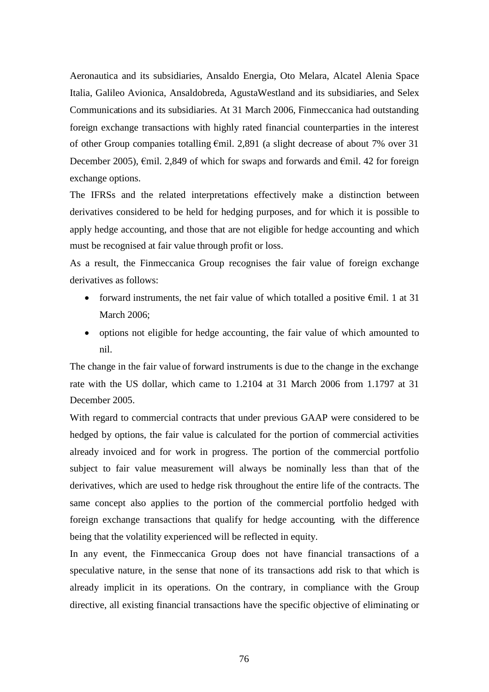Aeronautica and its subsidiaries, Ansaldo Energia, Oto Melara, Alcatel Alenia Space Italia, Galileo Avionica, Ansaldobreda, AgustaWestland and its subsidiaries, and Selex Communications and its subsidiaries. At 31 March 2006, Finmeccanica had outstanding foreign exchange transactions with highly rated financial counterparties in the interest of other Group companies totalling €mil. 2,891 (a slight decrease of about 7% over 31 December 2005),  $\epsilon$ mil. 2,849 of which for swaps and forwards and  $\epsilon$ mil. 42 for foreign exchange options.

The IFRSs and the related interpretations effectively make a distinction between derivatives considered to be held for hedging purposes, and for which it is possible to apply hedge accounting, and those that are not eligible for hedge accounting and which must be recognised at fair value through profit or loss.

As a result, the Finmeccanica Group recognises the fair value of foreign exchange derivatives as follows:

- forward instruments, the net fair value of which totalled a positive  $\epsilon$ mil. 1 at 31 March 2006;
- options not eligible for hedge accounting, the fair value of which amounted to nil.

The change in the fair value of forward instruments is due to the change in the exchange rate with the US dollar, which came to 1.2104 at 31 March 2006 from 1.1797 at 31 December 2005.

With regard to commercial contracts that under previous GAAP were considered to be hedged by options, the fair value is calculated for the portion of commercial activities already invoiced and for work in progress. The portion of the commercial portfolio subject to fair value measurement will always be nominally less than that of the derivatives, which are used to hedge risk throughout the entire life of the contracts. The same concept also applies to the portion of the commercial portfolio hedged with foreign exchange transactions that qualify for hedge accounting*,* with the difference being that the volatility experienced will be reflected in equity.

In any event, the Finmeccanica Group does not have financial transactions of a speculative nature, in the sense that none of its transactions add risk to that which is already implicit in its operations. On the contrary, in compliance with the Group directive, all existing financial transactions have the specific objective of eliminating or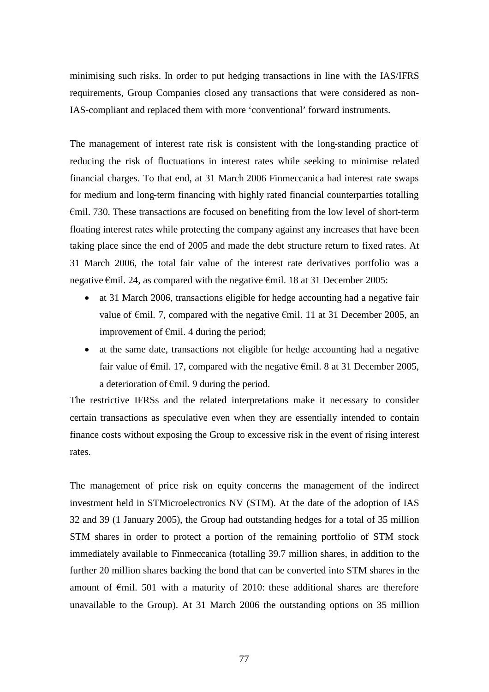minimising such risks. In order to put hedging transactions in line with the IAS/IFRS requirements, Group Companies closed any transactions that were considered as non-IAS-compliant and replaced them with more 'conventional' forward instruments.

The management of interest rate risk is consistent with the long-standing practice of reducing the risk of fluctuations in interest rates while seeking to minimise related financial charges. To that end, at 31 March 2006 Finmeccanica had interest rate swaps for medium and long-term financing with highly rated financial counterparties totalling  $\epsilon$ mil. 730. These transactions are focused on benefiting from the low level of short-term floating interest rates while protecting the company against any increases that have been taking place since the end of 2005 and made the debt structure return to fixed rates. At 31 March 2006, the total fair value of the interest rate derivatives portfolio was a negative €mil. 24, as compared with the negative €mil. 18 at 31 December 2005:

- at 31 March 2006, transactions eligible for hedge accounting had a negative fair value of  $\epsilon$ mil. 7, compared with the negative  $\epsilon$ mil. 11 at 31 December 2005, an improvement of  $\epsilon$ mil. 4 during the period;
- at the same date, transactions not eligible for hedge accounting had a negative fair value of  $\epsilon$ mil. 17, compared with the negative  $\epsilon$ mil. 8 at 31 December 2005, a deterioration of  $\epsilon$ mil. 9 during the period.

The restrictive IFRSs and the related interpretations make it necessary to consider certain transactions as speculative even when they are essentially intended to contain finance costs without exposing the Group to excessive risk in the event of rising interest rates.

The management of price risk on equity concerns the management of the indirect investment held in STMicroelectronics NV (STM). At the date of the adoption of IAS 32 and 39 (1 January 2005), the Group had outstanding hedges for a total of 35 million STM shares in order to protect a portion of the remaining portfolio of STM stock immediately available to Finmeccanica (totalling 39.7 million shares, in addition to the further 20 million shares backing the bond that can be converted into STM shares in the amount of €mil. 501 with a maturity of 2010: these additional shares are therefore unavailable to the Group). At 31 March 2006 the outstanding options on 35 million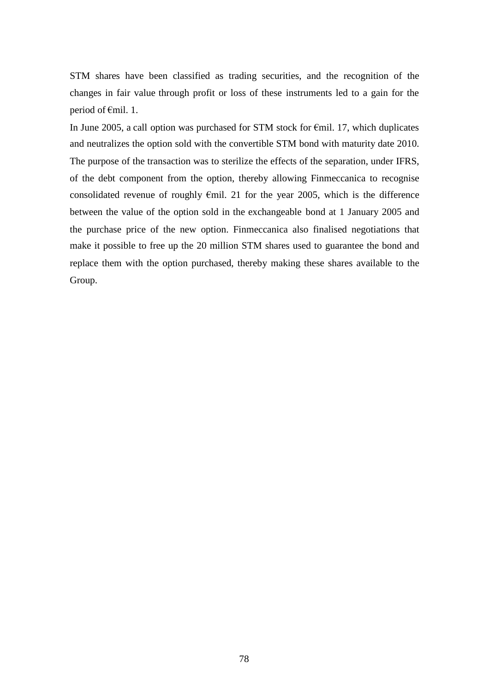STM shares have been classified as trading securities, and the recognition of the changes in fair value through profit or loss of these instruments led to a gain for the period of €mil. 1.

In June 2005, a call option was purchased for STM stock for  $\epsilon$ mil. 17, which duplicates and neutralizes the option sold with the convertible STM bond with maturity date 2010. The purpose of the transaction was to sterilize the effects of the separation, under IFRS, of the debt component from the option, thereby allowing Finmeccanica to recognise consolidated revenue of roughly  $\epsilon$ mil. 21 for the year 2005, which is the difference between the value of the option sold in the exchangeable bond at 1 January 2005 and the purchase price of the new option. Finmeccanica also finalised negotiations that make it possible to free up the 20 million STM shares used to guarantee the bond and replace them with the option purchased, thereby making these shares available to the Group.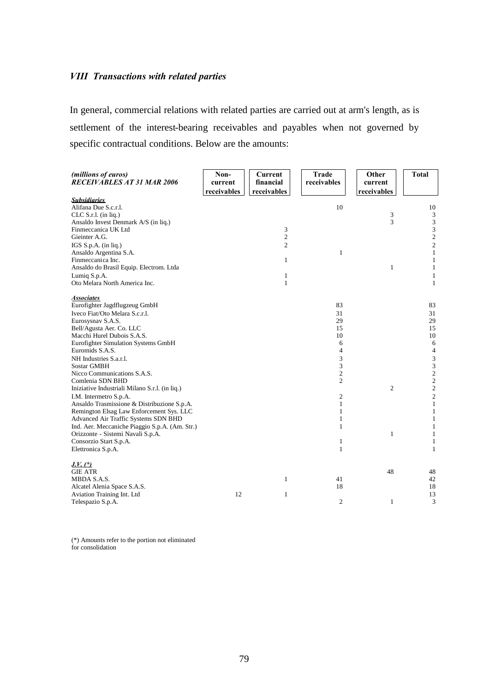## *VIII Transactions with related parties*

In general, commercial relations with related parties are carried out at arm's length, as is settlement of the interest-bearing receivables and payables when not governed by specific contractual conditions. Below are the amounts:

| (millions of euros)<br><b>RECEIVABLES AT 31 MAR 2006</b>       | Non-<br>current<br>receivables | Current<br>financial<br>receivables | <b>Trade</b><br>receivables | Other<br>current<br>receivables | <b>Total</b>                              |
|----------------------------------------------------------------|--------------------------------|-------------------------------------|-----------------------------|---------------------------------|-------------------------------------------|
| <b>Subsidiaries</b>                                            |                                |                                     |                             |                                 |                                           |
| Alifana Due S.c.r.l.                                           |                                |                                     | 10                          |                                 | 10                                        |
| $CLC S.r.l.$ (in liq.)<br>Ansaldo Invest Denmark A/S (in liq.) |                                |                                     |                             | 3<br>3                          | $\mathfrak{Z}$<br>$\overline{\mathbf{3}}$ |
| Finmeccanica UK Ltd                                            |                                | 3                                   |                             |                                 | 3                                         |
| Gieinter A.G.                                                  |                                | $\overline{c}$                      |                             |                                 | $\overline{\mathbf{c}}$                   |
| IGS $S.p.A.$ (in liq.)                                         |                                | $\overline{c}$                      |                             |                                 | $\overline{c}$                            |
| Ansaldo Argentina S.A.                                         |                                |                                     | $\mathbf{1}$                |                                 | $\mathbf{1}$                              |
| Finmeccanica Inc.                                              |                                | 1                                   |                             |                                 | $\mathbf{1}$                              |
| Ansaldo do Brasil Equip. Electrom. Ltda                        |                                |                                     |                             | $\mathbf{1}$                    | $\mathbf{1}$                              |
| Lumiq S.p.A.                                                   |                                | 1                                   |                             |                                 | $\mathbf{1}$                              |
| Oto Melara North America Inc.                                  |                                | $\mathbf{1}$                        |                             |                                 | $\mathbf{1}$                              |
| <b>Associates</b>                                              |                                |                                     |                             |                                 |                                           |
| Eurofighter Jagdflugzeug GmbH                                  |                                |                                     | 83                          |                                 | 83                                        |
| Iveco Fiat/Oto Melara S.c.r.l.                                 |                                |                                     | 31                          |                                 | 31                                        |
| Eurosysnav S.A.S.                                              |                                |                                     | 29                          |                                 | 29                                        |
| Bell/Agusta Aer. Co. LLC                                       |                                |                                     | 15                          |                                 | 15                                        |
| Macchi Hurel Dubois S.A.S.                                     |                                |                                     | 10                          |                                 | 10                                        |
| Eurofighter Simulation Systems GmbH                            |                                |                                     | 6                           |                                 | $\sqrt{6}$                                |
| Euromids S.A.S.                                                |                                |                                     | 4                           |                                 | $\overline{\mathcal{A}}$                  |
| NH Industries S.a.r.l.                                         |                                |                                     | 3                           |                                 | 3                                         |
| <b>Sostar GMBH</b><br>Nicco Communications S.A.S.              |                                |                                     | 3<br>2                      |                                 | 3<br>$\overline{c}$                       |
| Comlenia SDN BHD                                               |                                |                                     | 2                           |                                 | $\overline{c}$                            |
| Iniziative Industriali Milano S.r.l. (in liq.)                 |                                |                                     |                             | $\overline{c}$                  | $\overline{c}$                            |
| I.M. Intermetro S.p.A.                                         |                                |                                     | 2                           |                                 | $\overline{c}$                            |
| Ansaldo Trasmissione & Distribuzione S.p.A.                    |                                |                                     | 1                           |                                 | $\mathbf{1}$                              |
| Remington Elsag Law Enforcement Sys. LLC                       |                                |                                     | $\mathbf{1}$                |                                 | $\mathbf{1}$                              |
| Advanced Air Traffic Systems SDN BHD                           |                                |                                     | 1                           |                                 | $\mathbf{1}$                              |
| Ind. Aer. Meccaniche Piaggio S.p.A. (Am. Str.)                 |                                |                                     | $\mathbf{1}$                |                                 | $\mathbf{1}$                              |
| Orizzonte - Sistemi Navali S.p.A.                              |                                |                                     |                             | $\mathbf{1}$                    | $\mathbf{1}$                              |
| Consorzio Start S.p.A.                                         |                                |                                     | $\mathbf{1}$                |                                 | $\mathbf{1}$                              |
| Elettronica S.p.A.                                             |                                |                                     | $\mathbf{1}$                |                                 | $\mathbf{1}$                              |
| $J.V.$ $(*)$                                                   |                                |                                     |                             |                                 |                                           |
| <b>GIE ATR</b>                                                 |                                |                                     |                             | 48                              | 48                                        |
| MBDA S.A.S.                                                    |                                | $\mathbf{1}$                        | 41                          |                                 | 42                                        |
| Alcatel Alenia Space S.A.S.                                    |                                |                                     | 18                          |                                 | 18                                        |
| Aviation Training Int. Ltd                                     | 12                             | $\mathbf{1}$                        |                             |                                 | 13                                        |
| Telespazio S.p.A.                                              |                                |                                     | $\overline{c}$              | $\mathbf{1}$                    | 3                                         |

(\*) Amounts refer to the portion not eliminated for consolidation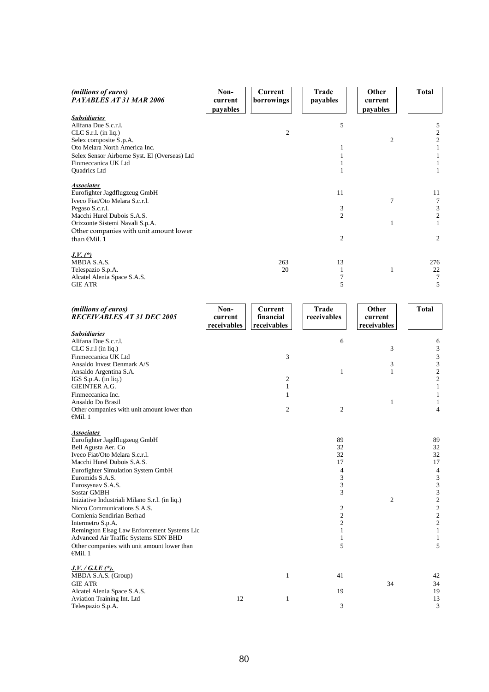| (millions of euros)<br>PAYABLES AT 31 MAR 2006                                 | Non-<br>current<br>payables | Current<br>borrowings | Trade<br>payables   | Other<br>current<br>payables | <b>Total</b>                   |
|--------------------------------------------------------------------------------|-----------------------------|-----------------------|---------------------|------------------------------|--------------------------------|
| <b>Subsidiaries</b>                                                            |                             |                       |                     |                              |                                |
| Alifana Due S.c.r.l.                                                           |                             |                       | 5                   |                              | 5                              |
| $CLC S.r.l.$ (in liq.)                                                         |                             | $\overline{c}$        |                     |                              | $\overline{\mathbf{c}}$        |
| Selex composite S.p.A.                                                         |                             |                       |                     | $\mathfrak{2}$               | $\overline{\mathbf{c}}$        |
| Oto Melara North America Inc.<br>Selex Sensor Airborne Syst. El (Overseas) Ltd |                             |                       | $\mathbf{1}$<br>1   |                              | $\mathbf{1}$<br>$\mathbf{1}$   |
| Finmeccanica UK Ltd                                                            |                             |                       | $\mathbf{1}$        |                              | $\mathbf{1}$                   |
| Quadrics Ltd                                                                   |                             |                       | 1                   |                              | 1                              |
| <u>Associates</u>                                                              |                             |                       |                     |                              |                                |
| Eurofighter Jagdflugzeug GmbH                                                  |                             |                       | 11                  |                              | 11                             |
| Iveco Fiat/Oto Melara S.c.r.l.                                                 |                             |                       |                     | 7                            | $\tau$                         |
| Pegaso S.c.r.l.                                                                |                             |                       | 3                   |                              | 3                              |
| Macchi Hurel Dubois S.A.S.<br>Orizzonte Sistemi Navali S.p.A.                  |                             |                       | 2                   | $\mathbf{1}$                 | $\overline{c}$<br>$\mathbf{1}$ |
| Other companies with unit amount lower                                         |                             |                       |                     |                              |                                |
| than €Mil. 1                                                                   |                             |                       | $\mathfrak{2}$      |                              | $\mathbf{2}$                   |
| $J.V.$ $(*)$                                                                   |                             |                       |                     |                              |                                |
| MBDA S.A.S.                                                                    |                             | 263                   | 13                  |                              | 276                            |
| Telespazio S.p.A.                                                              |                             | 20                    | 1                   | $\mathbf{1}$                 | 22                             |
| Alcatel Alenia Space S.A.S.                                                    |                             |                       | 7                   |                              | 7                              |
| <b>GIE ATR</b>                                                                 |                             |                       | 5                   |                              | 5                              |
| (millions of euros)                                                            | Non-                        | Current               | <b>Trade</b>        | Other                        | <b>Total</b>                   |
| <b>RECEIVABLES AT 31 DEC 2005</b>                                              | current                     | financial             | receivables         | current                      |                                |
|                                                                                | receivables                 | receivables           |                     | receivables                  |                                |
| <b>Subsidiaries</b><br>Alifana Due S.c.r.l.                                    |                             |                       | 6                   |                              |                                |
| CLC S.r.l (in liq.)                                                            |                             |                       |                     | 3                            | 6<br>3                         |
| Finmeccanica UK Ltd                                                            |                             | 3                     |                     |                              | 3                              |
| Ansaldo Invest Denmark A/S                                                     |                             |                       |                     | 3                            | 3                              |
| Ansaldo Argentina S.A.                                                         |                             |                       | $\mathbf{1}$        | 1                            | $\overline{\mathbf{c}}$        |
| IGS S.p.A. (in liq.)                                                           |                             | 2                     |                     |                              | $\overline{c}$                 |
| <b>GIEINTER A.G.</b>                                                           |                             | 1                     |                     |                              | $\mathbf{1}$                   |
| Finmeccanica Inc.<br>Ansaldo Do Brasil                                         |                             | 1                     |                     | $\mathbf{1}$                 | $\mathbf{1}$<br>$\mathbf{1}$   |
| Other companies with unit amount lower than                                    |                             | $\overline{c}$        | $\mathfrak{2}$      |                              | $\overline{4}$                 |
| €Mil. 1                                                                        |                             |                       |                     |                              |                                |
| <b>Associates</b>                                                              |                             |                       |                     |                              |                                |
| Eurofighter Jagdflugzeug GmbH                                                  |                             |                       | 89                  |                              | 89                             |
| Bell Agusta Aer. Co<br>Iveco Fiat/Oto Melara S.c.r.l.                          |                             |                       | 32<br>32            |                              | 32<br>32                       |
| Macchi Hurel Dubois S.A.S.                                                     |                             |                       | 17                  |                              | 17                             |
| Eurofighter Simulation System GmbH                                             |                             |                       | $\overline{4}$      |                              | $\overline{4}$                 |
| Euromids S.A.S.                                                                |                             |                       | 3                   |                              | $\ensuremath{\mathfrak{Z}}$    |
| Eurosysnav S.A.S.                                                              |                             |                       | 3                   |                              | $\ensuremath{\mathfrak{Z}}$    |
| <b>Sostar GMBH</b>                                                             |                             |                       | 3                   |                              | $\mathfrak z$                  |
| Iniziative Industriali Milano S.r.l. (in liq.)                                 |                             |                       |                     | $\overline{c}$               | $\sqrt{2}$                     |
| Nicco Communications S.A.S.<br>Comlenia Sendirian Berhad                       |                             |                       | 2<br>$\overline{c}$ |                              | $\sqrt{2}$<br>$\mathfrak{2}$   |
| Intermetro S.p.A.                                                              |                             |                       | 2                   |                              | $\mathfrak{2}$                 |
| Remington Elsag Law Enforcement Systems Llc                                    |                             |                       | 1                   |                              | $\mathbf{1}$                   |
| Advanced Air Traffic Systems SDN BHD                                           |                             |                       | 1                   |                              | 1                              |
| Other companies with unit amount lower than<br>€Mil. $1$                       |                             |                       | 5                   |                              | 5                              |
| <u> J.V. / G.I.E (*).</u>                                                      |                             |                       |                     |                              |                                |
| MBDA S.A.S. (Group)                                                            |                             | $\mathbf{1}$          | 41                  |                              | 42                             |

| MBDA S.A.S. (Group)         |  | 41 |    | 42 |
|-----------------------------|--|----|----|----|
| GIE ATR                     |  |    | 34 | 34 |
| Alcatel Alenia Space S.A.S. |  |    |    | 19 |
| Aviation Training Int. Ltd  |  |    |    | 13 |
| Telespazio S.p.A.           |  |    |    | ⌒  |
|                             |  |    |    |    |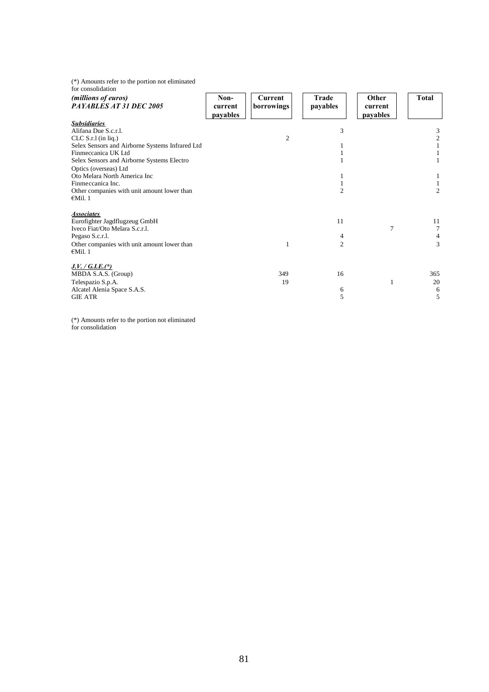(\*) Amounts refer to the portion not eliminated

| for consolidation                                                                                                                                                                                                                                                                                                                            |                             |                              |                           |                              |                                                   |
|----------------------------------------------------------------------------------------------------------------------------------------------------------------------------------------------------------------------------------------------------------------------------------------------------------------------------------------------|-----------------------------|------------------------------|---------------------------|------------------------------|---------------------------------------------------|
| (millions of euros)<br>PAYABLES AT 31 DEC 2005                                                                                                                                                                                                                                                                                               | Non-<br>current<br>payables | <b>Current</b><br>borrowings | Trade<br>payables         | Other<br>current<br>payables | <b>Total</b>                                      |
| <b>Subsidiaries</b><br>Alifana Due S.c.r.l.<br>CLC S.r.l (in liq.)<br>Selex Sensors and Airborne Systems Infrared Ltd<br>Finmeccanica UK Ltd<br>Selex Sensors and Airborne Systems Electro<br>Optics (overseas) Ltd<br>Oto Melara North America Inc<br>Finmeccanica Inc.<br>Other companies with unit amount lower than<br>$\epsilon$ Mil. 1 |                             | 2                            | 3<br>1<br>$\overline{2}$  |                              | 3<br>$\boldsymbol{2}$<br>1<br>1<br>$\overline{2}$ |
| <b>Associates</b><br>Eurofighter Jagdflugzeug GmbH<br>Iveco Fiat/Oto Melara S.c.r.l.<br>Pegaso S.c.r.l.<br>Other companies with unit amount lower than<br>$\epsilon$ Mil. 1                                                                                                                                                                  |                             |                              | 11<br>4<br>$\overline{2}$ | $\overline{7}$               | 11<br>7<br>4<br>3                                 |
| $J.V. / G.I.E. (*)$<br>MBDA S.A.S. (Group)<br>Telespazio S.p.A.<br>Alcatel Alenia Space S.A.S.<br><b>GIE ATR</b>                                                                                                                                                                                                                             |                             | 349<br>19                    | 16<br>6<br>5              | 1                            | 365<br>20<br>6<br>5                               |

(\*) Amounts refer to the portion not eliminated for consolidation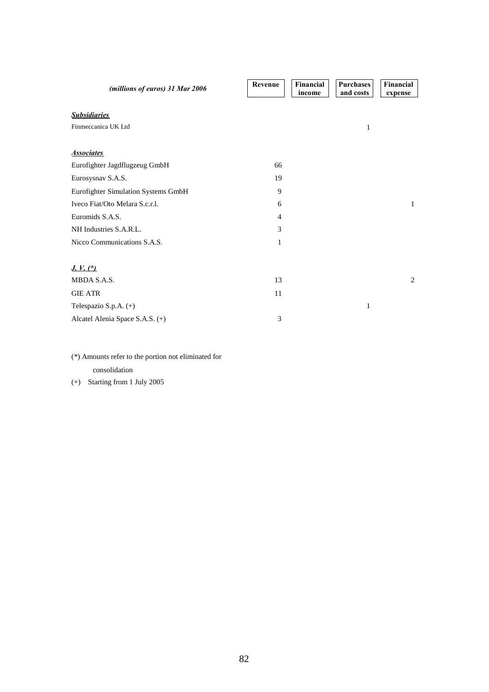| (millions of euros) 31 Mar 2006     | Revenue        | Financial<br>income | <b>Purchases</b><br>and costs | Financial<br>expense |
|-------------------------------------|----------------|---------------------|-------------------------------|----------------------|
| <b>Subsidiaries</b>                 |                |                     |                               |                      |
| Finmeccanica UK Ltd                 |                |                     | 1                             |                      |
| <b>Associates</b>                   |                |                     |                               |                      |
| Eurofighter Jagdflugzeug GmbH       | 66             |                     |                               |                      |
| Eurosysnav S.A.S.                   | 19             |                     |                               |                      |
| Eurofighter Simulation Systems GmbH | 9              |                     |                               |                      |
| Iveco Fiat/Oto Melara S.c.r.l.      | 6              |                     |                               | 1                    |
| Euromids S.A.S.                     | $\overline{4}$ |                     |                               |                      |
| NH Industries S.A.R.L.              | 3              |                     |                               |                      |
| Nicco Communications S.A.S.         | $\mathbf{1}$   |                     |                               |                      |
| $J. V.$ $(*)$                       |                |                     |                               |                      |
| MBDA S.A.S.                         | 13             |                     |                               | 2                    |
| <b>GIE ATR</b>                      | 11             |                     |                               |                      |
| Telespazio S.p.A. (+)               |                |                     | 1                             |                      |
| Alcatel Alenia Space S.A.S. (+)     | 3              |                     |                               |                      |

(\*) Amounts refer to the portion not eliminated for consolidation

(+) Starting from 1 July 2005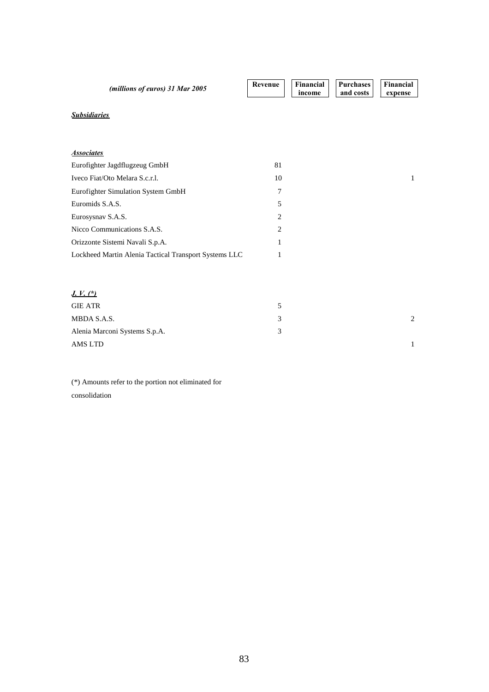| (millions of euros) 31 Mar 2005                       | Revenue | <b>Financial</b><br>income | <b>Purchases</b><br>and costs | <b>Financial</b><br>expense |
|-------------------------------------------------------|---------|----------------------------|-------------------------------|-----------------------------|
| <b>Subsidiaries</b>                                   |         |                            |                               |                             |
|                                                       |         |                            |                               |                             |
| <b>Associates</b>                                     |         |                            |                               |                             |
| Eurofighter Jagdflugzeug GmbH                         | 81      |                            |                               |                             |
| Iveco Fiat/Oto Melara S.c.r.l.                        | 10      |                            |                               | 1                           |
| Eurofighter Simulation System GmbH                    | 7       |                            |                               |                             |
| Euromids S.A.S.                                       | 5       |                            |                               |                             |
| Eurosysnav S.A.S.                                     | 2       |                            |                               |                             |
| Nicco Communications S.A.S.                           | 2       |                            |                               |                             |
| Orizzonte Sistemi Navali S.p.A.                       | 1       |                            |                               |                             |
| Lockheed Martin Alenia Tactical Transport Systems LLC | 1       |                            |                               |                             |
| <u>J. V. (*)</u>                                      |         |                            |                               |                             |
| <b>GIE ATR</b>                                        | 5       |                            |                               |                             |
| MBDA S.A.S.                                           | 3       |                            |                               | 2                           |
| Alenia Marconi Systems S.p.A.                         | 3       |                            |                               |                             |
| <b>AMS LTD</b>                                        |         |                            |                               | 1                           |

(\*) Amounts refer to the portion not eliminated for consolidation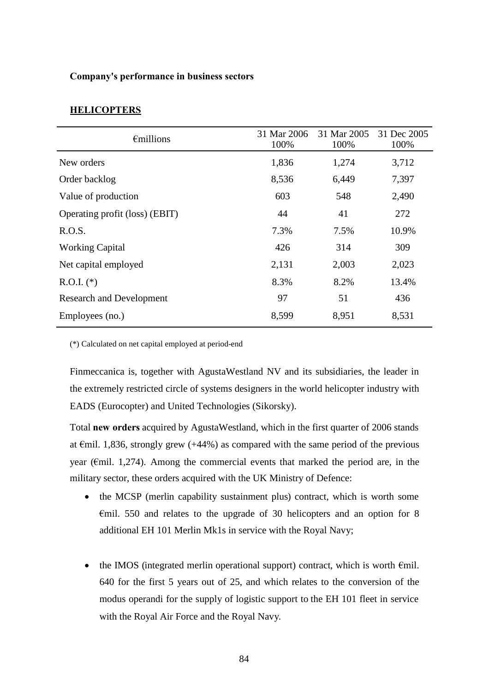### **Company's performance in business sectors**

# **HELICOPTERS**

| $\epsilon$ millions             | 31 Mar 2006<br>100% | 31 Mar 2005<br>100% | 31 Dec 2005<br>100% |
|---------------------------------|---------------------|---------------------|---------------------|
| New orders                      | 1,836               | 1,274               | 3,712               |
| Order backlog                   | 8,536               | 6,449               | 7,397               |
| Value of production             | 603                 | 548                 | 2,490               |
| Operating profit (loss) (EBIT)  | 44                  | 41                  | 272                 |
| R.O.S.                          | 7.3%                | 7.5%                | 10.9%               |
| <b>Working Capital</b>          | 426                 | 314                 | 309                 |
| Net capital employed            | 2,131               | 2,003               | 2,023               |
| $R.O.I.$ (*)                    | 8.3%                | 8.2%                | 13.4%               |
| <b>Research and Development</b> | 97                  | 51                  | 436                 |
| Employees (no.)                 | 8,599               | 8,951               | 8,531               |

(\*) Calculated on net capital employed at period-end

Finmeccanica is, together with AgustaWestland NV and its subsidiaries, the leader in the extremely restricted circle of systems designers in the world helicopter industry with EADS (Eurocopter) and United Technologies (Sikorsky).

Total **new orders** acquired by AgustaWestland, which in the first quarter of 2006 stands at  $\epsilon$ mil. 1,836, strongly grew (+44%) as compared with the same period of the previous year ( $\epsilon$ mil. 1,274). Among the commercial events that marked the period are, in the military sector, these orders acquired with the UK Ministry of Defence:

- the MCSP (merlin capability sustainment plus) contract, which is worth some  $\epsilon$ mil. 550 and relates to the upgrade of 30 helicopters and an option for 8 additional EH 101 Merlin Mk1s in service with the Royal Navy;
- the IMOS (integrated merlin operational support) contract, which is worth  $\epsilon$ mil. 640 for the first 5 years out of 25, and which relates to the conversion of the modus operandi for the supply of logistic support to the EH 101 fleet in service with the Royal Air Force and the Royal Navy.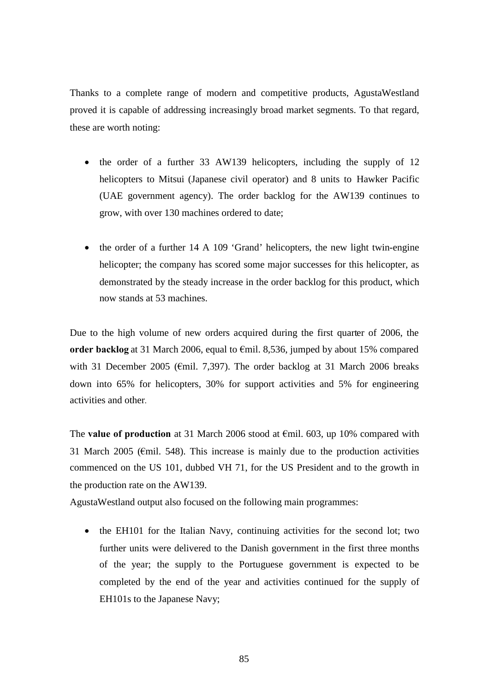Thanks to a complete range of modern and competitive products, AgustaWestland proved it is capable of addressing increasingly broad market segments. To that regard, these are worth noting:

- the order of a further 33 AW139 helicopters, including the supply of 12 helicopters to Mitsui (Japanese civil operator) and 8 units to Hawker Pacific (UAE government agency). The order backlog for the AW139 continues to grow, with over 130 machines ordered to date;
- the order of a further 14 A 109 'Grand' helicopters, the new light twin-engine helicopter; the company has scored some major successes for this helicopter, as demonstrated by the steady increase in the order backlog for this product, which now stands at 53 machines.

Due to the high volume of new orders acquired during the first quarter of 2006, the **order backlog** at 31 March 2006, equal to €mil. 8,536, jumped by about 15% compared with 31 December 2005 ( $\epsilon$ mil. 7,397). The order backlog at 31 March 2006 breaks down into 65% for helicopters, 30% for support activities and 5% for engineering activities and other.

The **value of production** at 31 March 2006 stood at €mil. 603, up 10% compared with 31 March 2005 ( $\epsilon$ mil. 548). This increase is mainly due to the production activities commenced on the US 101, dubbed VH 71, for the US President and to the growth in the production rate on the AW139.

AgustaWestland output also focused on the following main programmes:

• the EH101 for the Italian Navy, continuing activities for the second lot; two further units were delivered to the Danish government in the first three months of the year; the supply to the Portuguese government is expected to be completed by the end of the year and activities continued for the supply of EH101s to the Japanese Navy;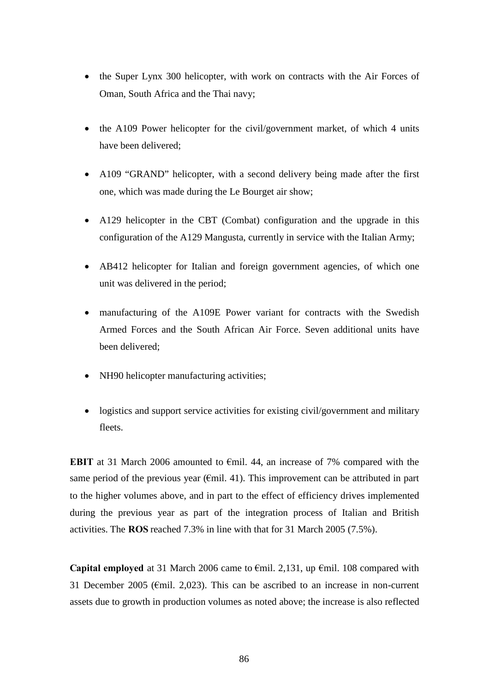- the Super Lynx 300 helicopter, with work on contracts with the Air Forces of Oman, South Africa and the Thai navy;
- the A109 Power helicopter for the civil/government market, of which 4 units have been delivered;
- A109 "GRAND" helicopter, with a second delivery being made after the first one, which was made during the Le Bourget air show;
- A129 helicopter in the CBT (Combat) configuration and the upgrade in this configuration of the A129 Mangusta, currently in service with the Italian Army;
- AB412 helicopter for Italian and foreign government agencies, of which one unit was delivered in the period;
- manufacturing of the A109E Power variant for contracts with the Swedish Armed Forces and the South African Air Force. Seven additional units have been delivered;
- NH90 helicopter manufacturing activities;
- logistics and support service activities for existing civil/government and military fleets.

**EBIT** at 31 March 2006 amounted to €mil. 44, an increase of 7% compared with the same period of the previous year ( $\epsilon$ mil. 41). This improvement can be attributed in part to the higher volumes above, and in part to the effect of efficiency drives implemented during the previous year as part of the integration process of Italian and British activities. The **ROS** reached 7.3% in line with that for 31 March 2005 (7.5%).

**Capital employed** at 31 March 2006 came to €mil. 2,131, up €mil. 108 compared with 31 December 2005 ( $\epsilon$ mil. 2,023). This can be ascribed to an increase in non-current assets due to growth in production volumes as noted above; the increase is also reflected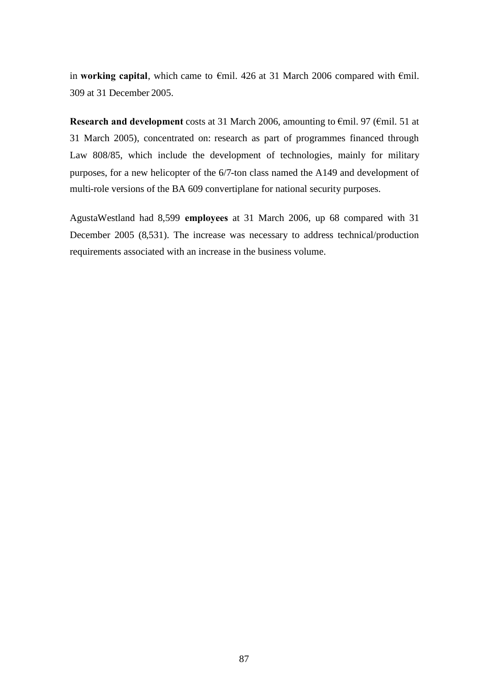in **working capital**, which came to €mil. 426 at 31 March 2006 compared with €mil. 309 at 31 December 2005.

**Research and development** costs at 31 March 2006, amounting to €mil. 97 (€mil. 51 at 31 March 2005), concentrated on: research as part of programmes financed through Law 808/85, which include the development of technologies, mainly for military purposes, for a new helicopter of the 6/7-ton class named the A149 and development of multi-role versions of the BA 609 convertiplane for national security purposes.

AgustaWestland had 8,599 **employees** at 31 March 2006, up 68 compared with 31 December 2005 (8,531). The increase was necessary to address technical/production requirements associated with an increase in the business volume.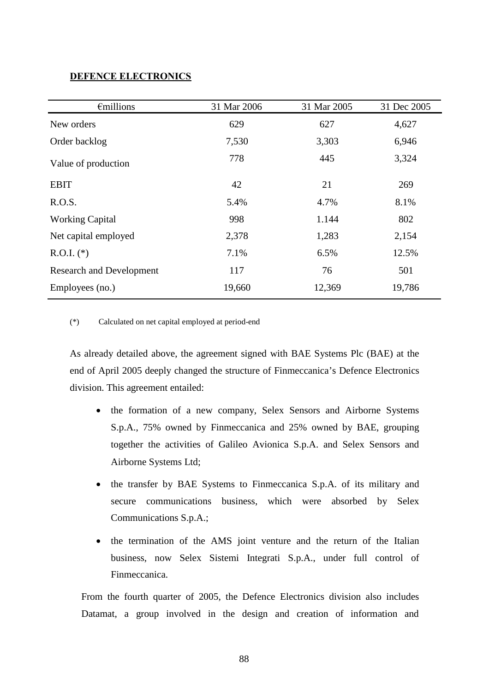## **DEFENCE ELECTRONICS**

| $\epsilon$ millions             | 31 Mar 2006 | 31 Mar 2005 | 31 Dec 2005 |
|---------------------------------|-------------|-------------|-------------|
| New orders                      | 629         | 627         | 4,627       |
| Order backlog                   | 7,530       | 3,303       | 6,946       |
| Value of production             | 778         | 445         | 3,324       |
| <b>EBIT</b>                     | 42          | 21          | 269         |
| R.O.S.                          | 5.4%        | 4.7%        | 8.1%        |
| <b>Working Capital</b>          | 998         | 1.144       | 802         |
| Net capital employed            | 2,378       | 1,283       | 2,154       |
| $R.O.I.$ (*)                    | 7.1%        | 6.5%        | 12.5%       |
| <b>Research and Development</b> | 117         | 76          | 501         |
| Employees (no.)                 | 19,660      | 12,369      | 19,786      |

(\*) Calculated on net capital employed at period-end

As already detailed above, the agreement signed with BAE Systems Plc (BAE) at the end of April 2005 deeply changed the structure of Finmeccanica's Defence Electronics division. This agreement entailed:

- the formation of a new company, Selex Sensors and Airborne Systems S.p.A., 75% owned by Finmeccanica and 25% owned by BAE, grouping together the activities of Galileo Avionica S.p.A. and Selex Sensors and Airborne Systems Ltd;
- the transfer by BAE Systems to Finmeccanica S.p.A. of its military and secure communications business, which were absorbed by Selex Communications S.p.A.;
- the termination of the AMS joint venture and the return of the Italian business, now Selex Sistemi Integrati S.p.A., under full control of Finmeccanica.

From the fourth quarter of 2005, the Defence Electronics division also includes Datamat, a group involved in the design and creation of information and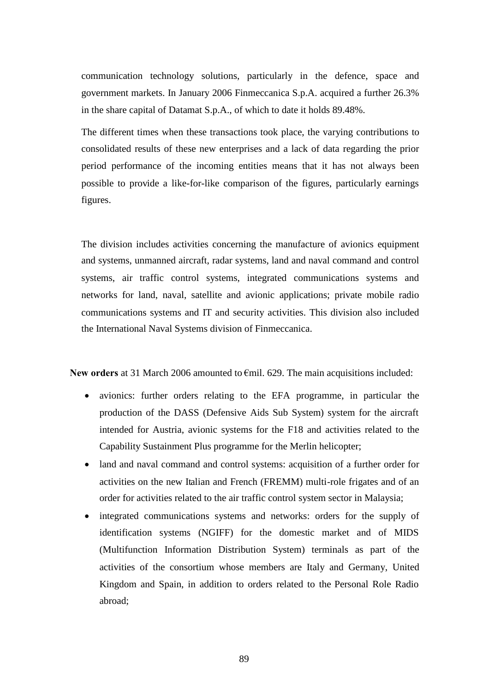communication technology solutions, particularly in the defence, space and government markets. In January 2006 Finmeccanica S.p.A. acquired a further 26.3% in the share capital of Datamat S.p.A., of which to date it holds 89.48%.

The different times when these transactions took place, the varying contributions to consolidated results of these new enterprises and a lack of data regarding the prior period performance of the incoming entities means that it has not always been possible to provide a like-for-like comparison of the figures, particularly earnings figures.

The division includes activities concerning the manufacture of avionics equipment and systems, unmanned aircraft, radar systems, land and naval command and control systems, air traffic control systems, integrated communications systems and networks for land, naval, satellite and avionic applications; private mobile radio communications systems and IT and security activities. This division also included the International Naval Systems division of Finmeccanica.

**New orders** at 31 March 2006 amounted to €mil. 629. The main acquisitions included:

- avionics: further orders relating to the EFA programme, in particular the production of the DASS (Defensive Aids Sub System) system for the aircraft intended for Austria, avionic systems for the F18 and activities related to the Capability Sustainment Plus programme for the Merlin helicopter;
- land and naval command and control systems: acquisition of a further order for activities on the new Italian and French (FREMM) multi-role frigates and of an order for activities related to the air traffic control system sector in Malaysia;
- integrated communications systems and networks: orders for the supply of identification systems (NGIFF) for the domestic market and of MIDS (Multifunction Information Distribution System) terminals as part of the activities of the consortium whose members are Italy and Germany, United Kingdom and Spain, in addition to orders related to the Personal Role Radio abroad;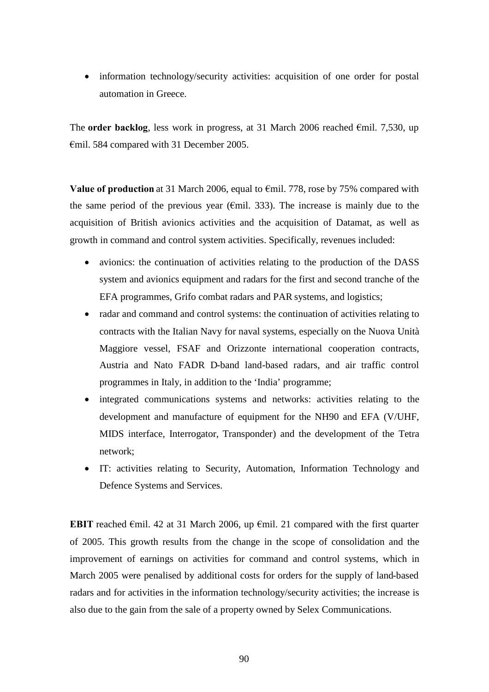• information technology/security activities: acquisition of one order for postal automation in Greece.

The **order backlog**, less work in progress, at 31 March 2006 reached  $\epsilon$ mil. 7,530, up €mil. 584 compared with 31 December 2005.

**Value of production** at 31 March 2006, equal to €mil. 778, rose by 75% compared with the same period of the previous year ( $\epsilon$ mil. 333). The increase is mainly due to the acquisition of British avionics activities and the acquisition of Datamat, as well as growth in command and control system activities. Specifically, revenues included:

- avionics: the continuation of activities relating to the production of the DASS system and avionics equipment and radars for the first and second tranche of the EFA programmes, Grifo combat radars and PAR systems, and logistics;
- radar and command and control systems: the continuation of activities relating to contracts with the Italian Navy for naval systems, especially on the Nuova Unità Maggiore vessel, FSAF and Orizzonte international cooperation contracts, Austria and Nato FADR D-band land-based radars, and air traffic control programmes in Italy, in addition to the 'India' programme;
- integrated communications systems and networks: activities relating to the development and manufacture of equipment for the NH90 and EFA (V/UHF, MIDS interface, Interrogator, Transponder) and the development of the Tetra network;
- IT: activities relating to Security, Automation, Information Technology and Defence Systems and Services.

**EBIT** reached €mil. 42 at 31 March 2006, up €mil. 21 compared with the first quarter of 2005. This growth results from the change in the scope of consolidation and the improvement of earnings on activities for command and control systems, which in March 2005 were penalised by additional costs for orders for the supply of land-based radars and for activities in the information technology/security activities; the increase is also due to the gain from the sale of a property owned by Selex Communications.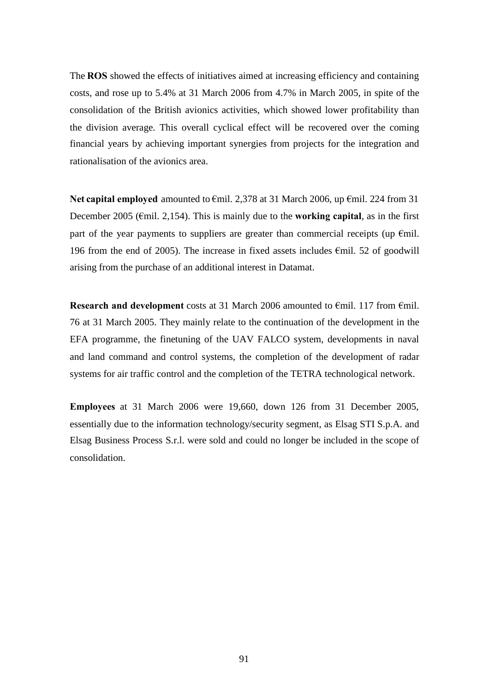The **ROS** showed the effects of initiatives aimed at increasing efficiency and containing costs, and rose up to 5.4% at 31 March 2006 from 4.7% in March 2005, in spite of the consolidation of the British avionics activities, which showed lower profitability than the division average. This overall cyclical effect will be recovered over the coming financial years by achieving important synergies from projects for the integration and rationalisation of the avionics area.

**Net capital employed** amounted to €mil. 2,378 at 31 March 2006, up €mil. 224 from 31 December 2005 (€mil. 2,154). This is mainly due to the **working capital**, as in the first part of the year payments to suppliers are greater than commercial receipts (up  $\epsilon$ mil. 196 from the end of 2005). The increase in fixed assets includes  $\epsilon$ mil. 52 of goodwill arising from the purchase of an additional interest in Datamat.

**Research and development** costs at 31 March 2006 amounted to €mil. 117 from €mil. 76 at 31 March 2005. They mainly relate to the continuation of the development in the EFA programme, the finetuning of the UAV FALCO system, developments in naval and land command and control systems, the completion of the development of radar systems for air traffic control and the completion of the TETRA technological network.

**Employees** at 31 March 2006 were 19,660, down 126 from 31 December 2005, essentially due to the information technology/security segment, as Elsag STI S.p.A. and Elsag Business Process S.r.l. were sold and could no longer be included in the scope of consolidation.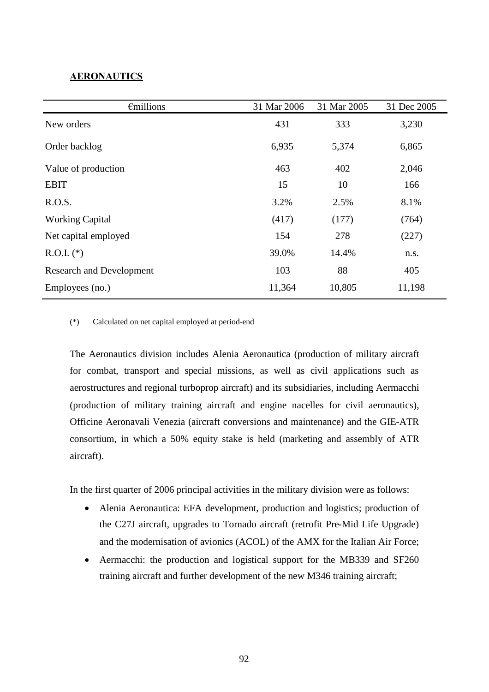# **AERONAUTICS**

| $\epsilon$ millions             | 31 Mar 2006 | 31 Mar 2005 | 31 Dec 2005 |
|---------------------------------|-------------|-------------|-------------|
| New orders                      | 431         | 333         | 3,230       |
| Order backlog                   | 6,935       | 5,374       | 6,865       |
| Value of production             | 463         | 402         | 2,046       |
| <b>EBIT</b>                     | 15          | 10          | 166         |
| R.O.S.                          | 3.2%        | 2.5%        | 8.1%        |
| <b>Working Capital</b>          | (417)       | (177)       | (764)       |
| Net capital employed            | 154         | 278         | (227)       |
| $R.O.I.$ (*)                    | 39.0%       | 14.4%       | n.s.        |
| <b>Research and Development</b> | 103         | 88          | 405         |
| Employees (no.)                 | 11,364      | 10,805      | 11,198      |

(\*) Calculated on net capital employed at period-end

The Aeronautics division includes Alenia Aeronautica (production of military aircraft for combat, transport and special missions, as well as civil applications such as aerostructures and regional turboprop aircraft) and its subsidiaries, including Aermacchi (production of military training aircraft and engine nacelles for civil aeronautics), Officine Aeronavali Venezia (aircraft conversions and maintenance) and the GIE-ATR consortium, in which a 50% equity stake is held (marketing and assembly of ATR aircraft).

In the first quarter of 2006 principal activities in the military division were as follows:

- Alenia Aeronautica: EFA development, production and logistics; production of the C27J aircraft, upgrades to Tornado aircraft (retrofit Pre-Mid Life Upgrade) and the modernisation of avionics (ACOL) of the AMX for the Italian Air Force;
- Aermacchi: the production and logistical support for the MB339 and SF260 training aircraft and further development of the new M346 training aircraft;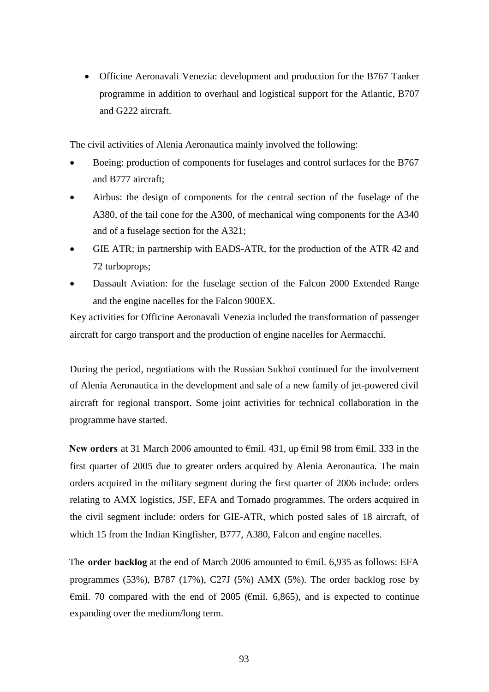Officine Aeronavali Venezia: development and production for the B767 Tanker programme in addition to overhaul and logistical support for the Atlantic, B707 and G222 aircraft.

The civil activities of Alenia Aeronautica mainly involved the following:

- Boeing: production of components for fuselages and control surfaces for the B767 and B777 aircraft;
- Airbus: the design of components for the central section of the fuselage of the A380, of the tail cone for the A300, of mechanical wing components for the A340 and of a fuselage section for the A321;
- GIE ATR; in partnership with EADS-ATR, for the production of the ATR 42 and 72 turboprops;
- Dassault Aviation: for the fuselage section of the Falcon 2000 Extended Range and the engine nacelles for the Falcon 900EX.

Key activities for Officine Aeronavali Venezia included the transformation of passenger aircraft for cargo transport and the production of engine nacelles for Aermacchi.

During the period, negotiations with the Russian Sukhoi continued for the involvement of Alenia Aeronautica in the development and sale of a new family of jet-powered civil aircraft for regional transport. Some joint activities for technical collaboration in the programme have started.

**New orders** at 31 March 2006 amounted to €mil. 431, up €mil 98 from €mil. 333 in the first quarter of 2005 due to greater orders acquired by Alenia Aeronautica. The main orders acquired in the military segment during the first quarter of 2006 include: orders relating to AMX logistics, JSF, EFA and Tornado programmes. The orders acquired in the civil segment include: orders for GIE-ATR, which posted sales of 18 aircraft, of which 15 from the Indian Kingfisher, B777, A380, Falcon and engine nacelles.

The **order backlog** at the end of March 2006 amounted to  $\epsilon$ mil. 6,935 as follows: EFA programmes (53%), B787 (17%), C27J (5%) AMX (5%). The order backlog rose by  $\epsilon$ mil. 70 compared with the end of 2005 ( $\epsilon$ mil. 6,865), and is expected to continue expanding over the medium/long term.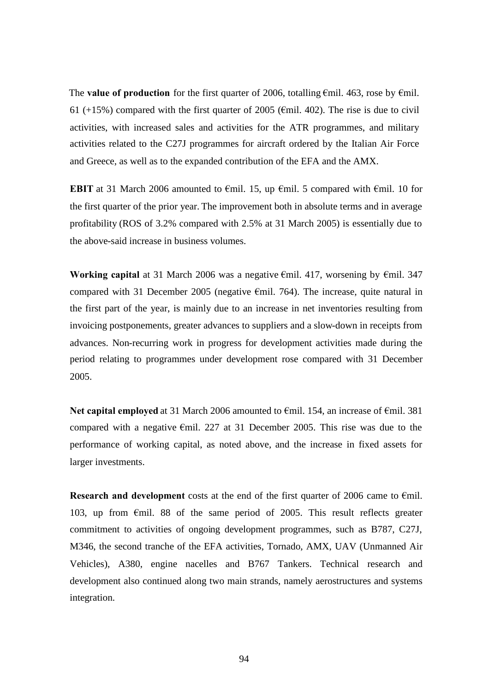The **value of production** for the first quarter of 2006, totalling  $\epsilon$ mil. 463, rose by  $\epsilon$ mil. 61 (+15%) compared with the first quarter of 2005 ( $\epsilon$ mil. 402). The rise is due to civil activities, with increased sales and activities for the ATR programmes, and military activities related to the C27J programmes for aircraft ordered by the Italian Air Force and Greece, as well as to the expanded contribution of the EFA and the AMX.

**EBIT** at 31 March 2006 amounted to  $\epsilon$ mil. 15, up  $\epsilon$ mil. 5 compared with  $\epsilon$ mil. 10 for the first quarter of the prior year. The improvement both in absolute terms and in average profitability (ROS of 3.2% compared with 2.5% at 31 March 2005) is essentially due to the above-said increase in business volumes.

**Working capital** at 31 March 2006 was a negative €mil. 417, worsening by €mil. 347 compared with 31 December 2005 (negative €mil. 764). The increase, quite natural in the first part of the year, is mainly due to an increase in net inventories resulting from invoicing postponements, greater advances to suppliers and a slow-down in receipts from advances. Non-recurring work in progress for development activities made during the period relating to programmes under development rose compared with 31 December 2005.

Net capital employed at 31 March 2006 amounted to €mil. 154, an increase of €mil. 381 compared with a negative €mil. 227 at 31 December 2005. This rise was due to the performance of working capital, as noted above, and the increase in fixed assets for larger investments.

**Research and development** costs at the end of the first quarter of 2006 came to  $\epsilon$ mil. 103, up from €mil. 88 of the same period of 2005. This result reflects greater commitment to activities of ongoing development programmes, such as B787, C27J, M346, the second tranche of the EFA activities, Tornado, AMX, UAV (Unmanned Air Vehicles), A380, engine nacelles and B767 Tankers. Technical research and development also continued along two main strands, namely aerostructures and systems integration.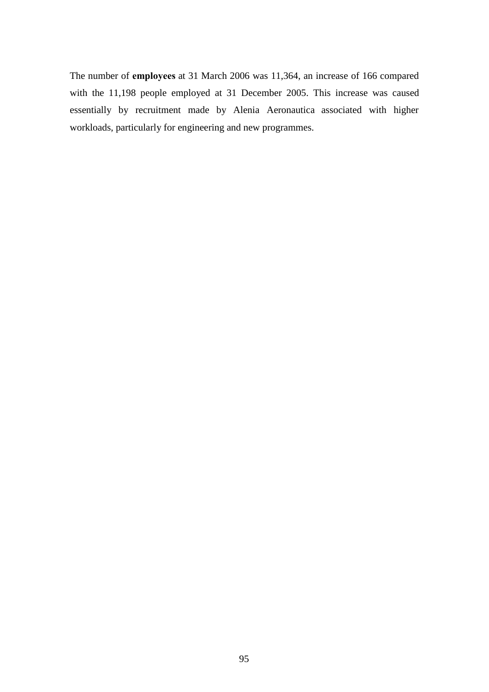The number of **employees** at 31 March 2006 was 11,364, an increase of 166 compared with the 11,198 people employed at 31 December 2005. This increase was caused essentially by recruitment made by Alenia Aeronautica associated with higher workloads, particularly for engineering and new programmes.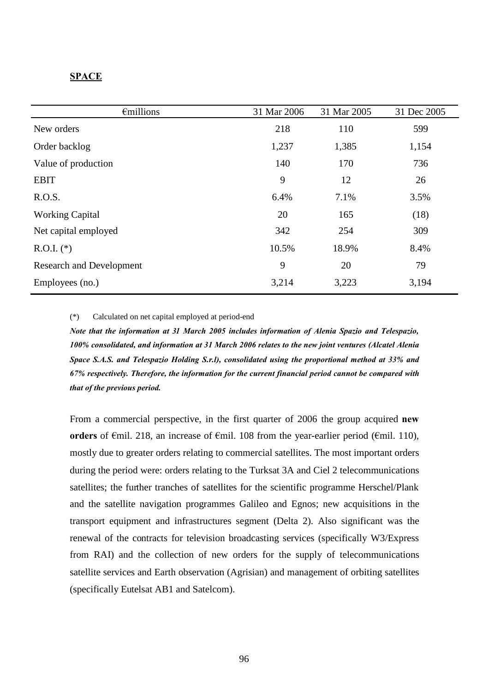### **SPACE**

| $\epsilon$ millions             | 31 Mar 2006 | 31 Mar 2005 | 31 Dec 2005 |
|---------------------------------|-------------|-------------|-------------|
| New orders                      | 218         | 110         | 599         |
| Order backlog                   | 1,237       | 1,385       | 1,154       |
| Value of production             | 140         | 170         | 736         |
| <b>EBIT</b>                     | 9           | 12          | 26          |
| R.O.S.                          | 6.4%        | 7.1%        | 3.5%        |
| <b>Working Capital</b>          | 20          | 165         | (18)        |
| Net capital employed            | 342         | 254         | 309         |
| $R.O.I.$ (*)                    | 10.5%       | 18.9%       | 8.4%        |
| <b>Research and Development</b> | 9           | 20          | 79          |
| Employees (no.)                 | 3,214       | 3,223       | 3,194       |

(\*) Calculated on net capital employed at period-end

*Note that the information at 31 March 2005 includes information of Alenia Spazio and Telespazio, 100% consolidated, and information at 31 March 2006 relates to the new joint ventures (Alcatel Alenia Space S.A.S. and Telespazio Holding S.r.l), consolidated using the proportional method at 33% and 67% respectively. Therefore, the information for the current financial period cannot be compared with that of the previous period.*

From a commercial perspective, in the first quarter of 2006 the group acquired **new orders** of €mil. 218, an increase of €mil. 108 from the year-earlier period (€mil. 110), mostly due to greater orders relating to commercial satellites. The most important orders during the period were: orders relating to the Turksat 3A and Ciel 2 telecommunications satellites; the further tranches of satellites for the scientific programme Herschel/Plank and the satellite navigation programmes Galileo and Egnos; new acquisitions in the transport equipment and infrastructures segment (Delta 2). Also significant was the renewal of the contracts for television broadcasting services (specifically W3/Express from RAI) and the collection of new orders for the supply of telecommunications satellite services and Earth observation (Agrisian) and management of orbiting satellites (specifically Eutelsat AB1 and Satelcom).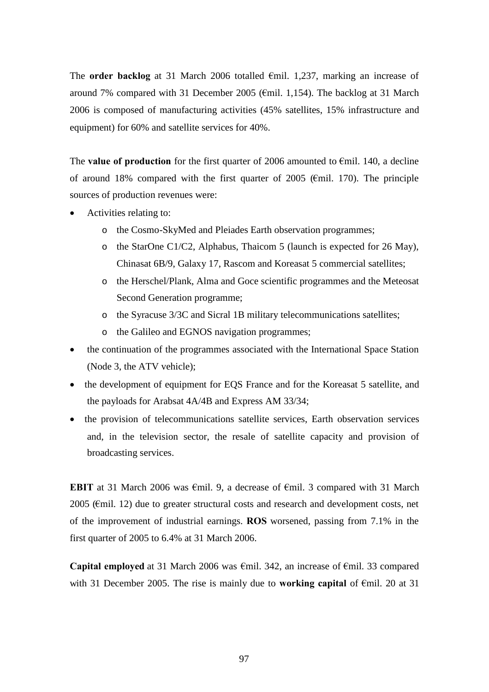The **order backlog** at 31 March 2006 totalled €mil. 1,237, marking an increase of around 7% compared with 31 December 2005 (€mil. 1,154). The backlog at 31 March 2006 is composed of manufacturing activities (45% satellites, 15% infrastructure and equipment) for 60% and satellite services for 40%.

The **value of production** for the first quarter of 2006 amounted to  $\epsilon$ mil. 140, a decline of around 18% compared with the first quarter of 2005 ( $\epsilon$ mil. 170). The principle sources of production revenues were:

- Activities relating to:
	- o the Cosmo-SkyMed and Pleiades Earth observation programmes;
	- o the StarOne C1/C2, Alphabus, Thaicom 5 (launch is expected for 26 May), Chinasat 6B/9, Galaxy 17, Rascom and Koreasat 5 commercial satellites;
	- o the Herschel/Plank, Alma and Goce scientific programmes and the Meteosat Second Generation programme;
	- o the Syracuse 3/3C and Sicral 1B military telecommunications satellites;
	- o the Galileo and EGNOS navigation programmes;
- the continuation of the programmes associated with the International Space Station (Node 3, the ATV vehicle);
- the development of equipment for EQS France and for the Koreasat 5 satellite, and the payloads for Arabsat 4A/4B and Express AM 33/34;
- the provision of telecommunications satellite services, Earth observation services and, in the television sector, the resale of satellite capacity and provision of broadcasting services.

**EBIT** at 31 March 2006 was €mil. 9, a decrease of €mil. 3 compared with 31 March 2005 (€mil. 12) due to greater structural costs and research and development costs, net of the improvement of industrial earnings. **ROS** worsened, passing from 7.1% in the first quarter of 2005 to 6.4% at 31 March 2006.

**Capital employed** at 31 March 2006 was €mil. 342, an increase of €mil. 33 compared with 31 December 2005. The rise is mainly due to **working capital** of €mil. 20 at 31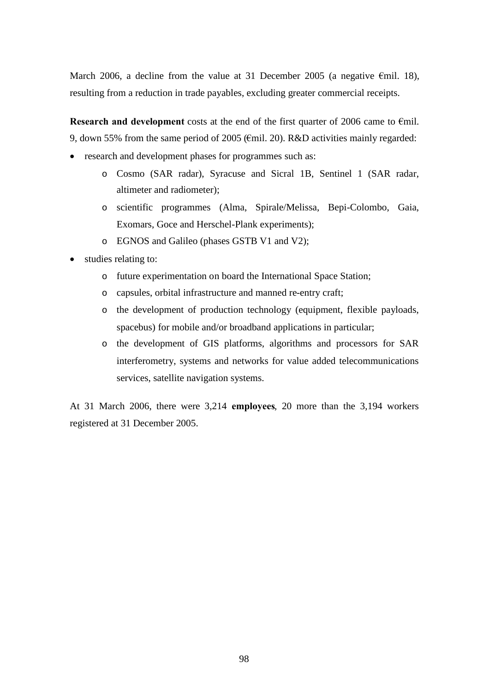March 2006, a decline from the value at 31 December 2005 (a negative  $\epsilon$ mil. 18), resulting from a reduction in trade payables, excluding greater commercial receipts.

**Research and development** costs at the end of the first quarter of 2006 came to €mil. 9, down 55% from the same period of 2005 (€mil. 20). R&D activities mainly regarded:

- research and development phases for programmes such as:
	- o Cosmo (SAR radar), Syracuse and Sicral 1B, Sentinel 1 (SAR radar, altimeter and radiometer);
	- o scientific programmes (Alma, Spirale/Melissa, Bepi-Colombo, Gaia, Exomars, Goce and Herschel-Plank experiments);
	- o EGNOS and Galileo (phases GSTB V1 and V2);
- studies relating to:
	- o future experimentation on board the International Space Station;
	- o capsules, orbital infrastructure and manned re-entry craft;
	- o the development of production technology (equipment, flexible payloads, spacebus) for mobile and/or broadband applications in particular;
	- o the development of GIS platforms, algorithms and processors for SAR interferometry, systems and networks for value added telecommunications services, satellite navigation systems.

At 31 March 2006, there were 3,214 **employees**, 20 more than the 3,194 workers registered at 31 December 2005.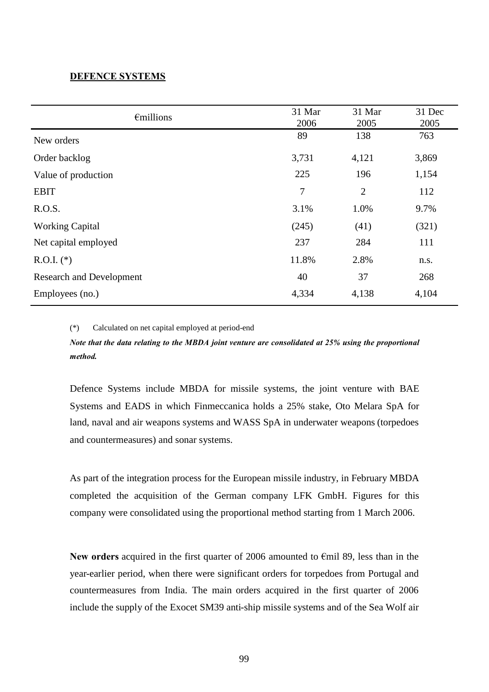## **DEFENCE SYSTEMS**

| $\epsilon$ millions             | 31 Mar<br>2006 | 31 Mar<br>2005 | 31 Dec<br>2005 |
|---------------------------------|----------------|----------------|----------------|
| New orders                      | 89             | 138            | 763            |
| Order backlog                   | 3,731          | 4,121          | 3,869          |
| Value of production             | 225            | 196            | 1,154          |
| <b>EBIT</b>                     | 7              | $\overline{2}$ | 112            |
| R.O.S.                          | 3.1%           | 1.0%           | 9.7%           |
| <b>Working Capital</b>          | (245)          | (41)           | (321)          |
| Net capital employed            | 237            | 284            | 111            |
| $R.O.I.$ (*)                    | 11.8%          | 2.8%           | n.s.           |
| <b>Research and Development</b> | 40             | 37             | 268            |
| Employees (no.)                 | 4,334          | 4,138          | 4,104          |

(\*) Calculated on net capital employed at period-end

*Note that the data relating to the MBDA joint venture are consolidated at 25% using the proportional method.*

Defence Systems include MBDA for missile systems, the joint venture with BAE Systems and EADS in which Finmeccanica holds a 25% stake, Oto Melara SpA for land, naval and air weapons systems and WASS SpA in underwater weapons (torpedoes and countermeasures) and sonar systems.

As part of the integration process for the European missile industry, in February MBDA completed the acquisition of the German company LFK GmbH. Figures for this company were consolidated using the proportional method starting from 1 March 2006.

**New orders** acquired in the first quarter of 2006 amounted to €mil 89, less than in the year-earlier period, when there were significant orders for torpedoes from Portugal and countermeasures from India. The main orders acquired in the first quarter of 2006 include the supply of the Exocet SM39 anti-ship missile systems and of the Sea Wolf air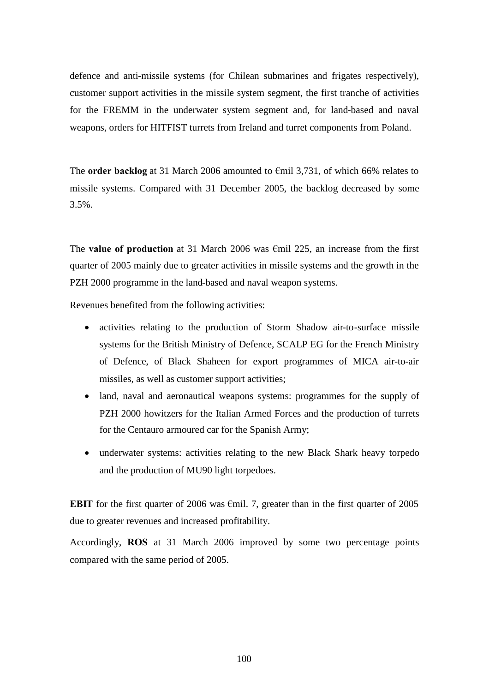defence and anti-missile systems (for Chilean submarines and frigates respectively), customer support activities in the missile system segment, the first tranche of activities for the FREMM in the underwater system segment and, for land-based and naval weapons, orders for HITFIST turrets from Ireland and turret components from Poland.

The **order backlog** at 31 March 2006 amounted to €mil 3,731, of which 66% relates to missile systems. Compared with 31 December 2005, the backlog decreased by some 3.5%.

The **value of production** at 31 March 2006 was €mil 225, an increase from the first quarter of 2005 mainly due to greater activities in missile systems and the growth in the PZH 2000 programme in the land-based and naval weapon systems.

Revenues benefited from the following activities:

- activities relating to the production of Storm Shadow air-to-surface missile systems for the British Ministry of Defence, SCALP EG for the French Ministry of Defence, of Black Shaheen for export programmes of MICA air-to-air missiles, as well as customer support activities;
- land, naval and aeronautical weapons systems: programmes for the supply of PZH 2000 howitzers for the Italian Armed Forces and the production of turrets for the Centauro armoured car for the Spanish Army;
- underwater systems: activities relating to the new Black Shark heavy torpedo and the production of MU90 light torpedoes.

**EBIT** for the first quarter of 2006 was  $\epsilon$ mil. 7, greater than in the first quarter of 2005 due to greater revenues and increased profitability.

Accordingly, **ROS** at 31 March 2006 improved by some two percentage points compared with the same period of 2005.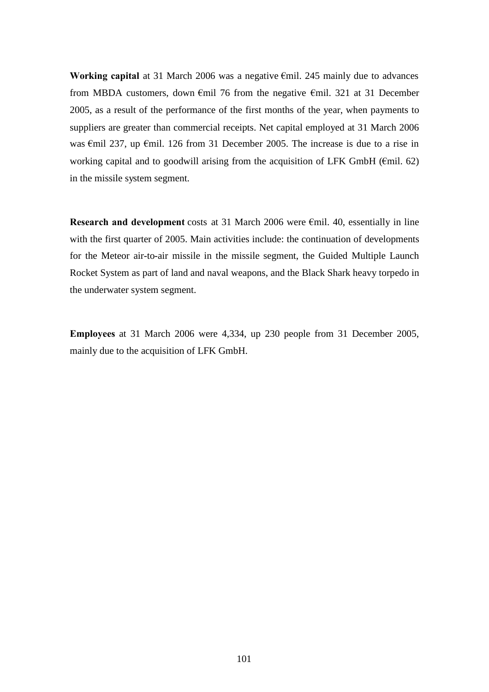**Working capital** at 31 March 2006 was a negative €mil. 245 mainly due to advances from MBDA customers, down €mil 76 from the negative €mil. 321 at 31 December 2005, as a result of the performance of the first months of the year, when payments to suppliers are greater than commercial receipts. Net capital employed at 31 March 2006 was €mil 237, up €mil. 126 from 31 December 2005. The increase is due to a rise in working capital and to goodwill arising from the acquisition of LFK GmbH ( $\epsilon$ mil. 62) in the missile system segment.

**Research and development** costs at 31 March 2006 were €mil. 40, essentially in line with the first quarter of 2005. Main activities include: the continuation of developments for the Meteor air-to-air missile in the missile segment, the Guided Multiple Launch Rocket System as part of land and naval weapons, and the Black Shark heavy torpedo in the underwater system segment.

**Employees** at 31 March 2006 were 4,334, up 230 people from 31 December 2005, mainly due to the acquisition of LFK GmbH.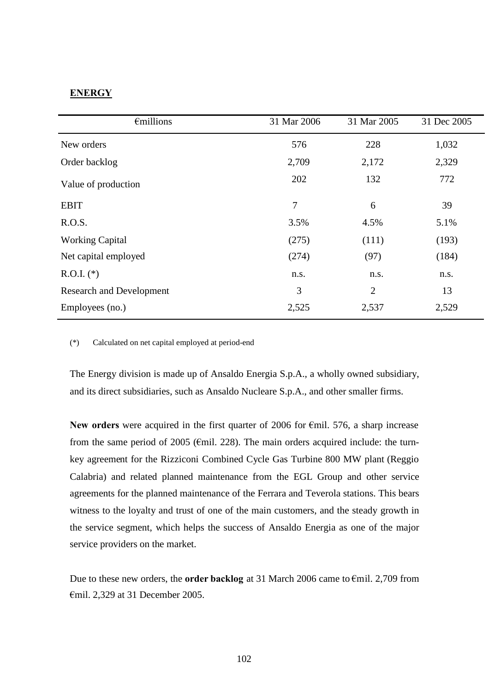# **ENERGY**

| $\epsilon$ millions             | 31 Mar 2006    | 31 Mar 2005    | 31 Dec 2005 |
|---------------------------------|----------------|----------------|-------------|
| New orders                      | 576            | 228            | 1,032       |
| Order backlog                   | 2,709          | 2,172          | 2,329       |
| Value of production             | 202            | 132            | 772         |
| <b>EBIT</b>                     | $\overline{7}$ | 6              | 39          |
| R.O.S.                          | 3.5%           | 4.5%           | 5.1%        |
| <b>Working Capital</b>          | (275)          | (111)          | (193)       |
| Net capital employed            | (274)          | (97)           | (184)       |
| $R.O.I.$ (*)                    | n.s.           | n.s.           | n.s.        |
| <b>Research and Development</b> | 3              | $\overline{2}$ | 13          |
| Employees (no.)                 | 2,525          | 2,537          | 2,529       |

(\*) Calculated on net capital employed at period-end

The Energy division is made up of Ansaldo Energia S.p.A., a wholly owned subsidiary, and its direct subsidiaries, such as Ansaldo Nucleare S.p.A., and other smaller firms.

**New orders** were acquired in the first quarter of 2006 for €mil. 576, a sharp increase from the same period of 2005 ( $\epsilon$ mil. 228). The main orders acquired include: the turnkey agreement for the Rizziconi Combined Cycle Gas Turbine 800 MW plant (Reggio Calabria) and related planned maintenance from the EGL Group and other service agreements for the planned maintenance of the Ferrara and Teverola stations. This bears witness to the loyalty and trust of one of the main customers, and the steady growth in the service segment, which helps the success of Ansaldo Energia as one of the major service providers on the market.

Due to these new orders, the **order backlog** at 31 March 2006 came to €mil. 2,709 from €mil. 2,329 at 31 December 2005.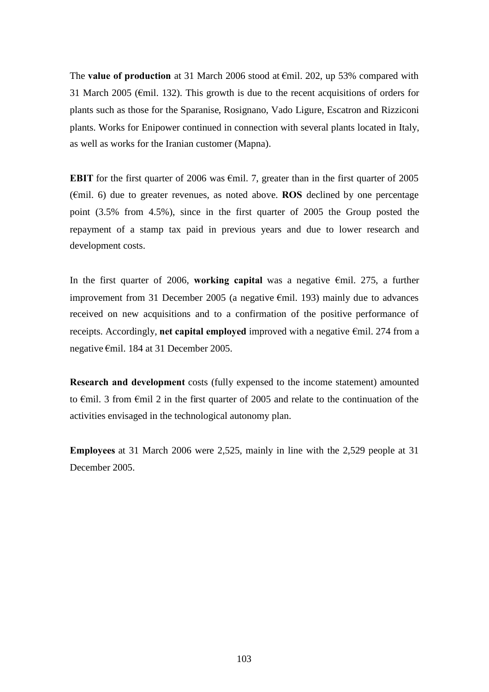The **value of production** at 31 March 2006 stood at €mil. 202, up 53% compared with 31 March 2005 ( $\epsilon$ mil. 132). This growth is due to the recent acquisitions of orders for plants such as those for the Sparanise, Rosignano, Vado Ligure, Escatron and Rizziconi plants. Works for Enipower continued in connection with several plants located in Italy, as well as works for the Iranian customer (Mapna).

**EBIT** for the first quarter of 2006 was  $\epsilon$ mil. 7, greater than in the first quarter of 2005 (€mil. 6) due to greater revenues, as noted above. **ROS** declined by one percentage point (3.5% from 4.5%), since in the first quarter of 2005 the Group posted the repayment of a stamp tax paid in previous years and due to lower research and development costs.

In the first quarter of 2006, **working capital** was a negative €mil. 275, a further improvement from 31 December 2005 (a negative  $\epsilon$ mil. 193) mainly due to advances received on new acquisitions and to a confirmation of the positive performance of receipts. Accordingly, **net capital employed** improved with a negative €mil. 274 from a negative €mil. 184 at 31 December 2005.

**Research and development** costs (fully expensed to the income statement) amounted to €mil. 3 from €mil 2 in the first quarter of 2005 and relate to the continuation of the activities envisaged in the technological autonomy plan.

**Employees** at 31 March 2006 were 2,525, mainly in line with the 2,529 people at 31 December 2005.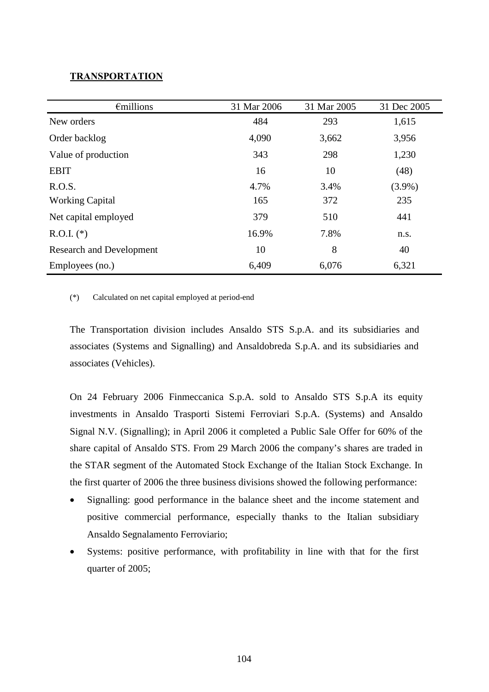## **TRANSPORTATION**

| $\epsilon$ millions             | 31 Mar 2006 | 31 Mar 2005 | 31 Dec 2005 |
|---------------------------------|-------------|-------------|-------------|
| New orders                      | 484         | 293         | 1,615       |
| Order backlog                   | 4,090       | 3,662       | 3,956       |
| Value of production             | 343         | 298         | 1,230       |
| <b>EBIT</b>                     | 16          | 10          | (48)        |
| R.O.S.                          | 4.7%        | 3.4%        | $(3.9\%)$   |
| <b>Working Capital</b>          | 165         | 372         | 235         |
| Net capital employed            | 379         | 510         | 441         |
| $R.O.I.$ (*)                    | 16.9%       | 7.8%        | n.s.        |
| <b>Research and Development</b> | 10          | 8           | 40          |
| Employees (no.)                 | 6,409       | 6,076       | 6,321       |

(\*) Calculated on net capital employed at period-end

The Transportation division includes Ansaldo STS S.p.A. and its subsidiaries and associates (Systems and Signalling) and Ansaldobreda S.p.A. and its subsidiaries and associates (Vehicles).

On 24 February 2006 Finmeccanica S.p.A. sold to Ansaldo STS S.p.A its equity investments in Ansaldo Trasporti Sistemi Ferroviari S.p.A. (Systems) and Ansaldo Signal N.V. (Signalling); in April 2006 it completed a Public Sale Offer for 60% of the share capital of Ansaldo STS. From 29 March 2006 the company's shares are traded in the STAR segment of the Automated Stock Exchange of the Italian Stock Exchange. In the first quarter of 2006 the three business divisions showed the following performance:

- Signalling: good performance in the balance sheet and the income statement and positive commercial performance, especially thanks to the Italian subsidiary Ansaldo Segnalamento Ferroviario;
- Systems: positive performance, with profitability in line with that for the first quarter of 2005;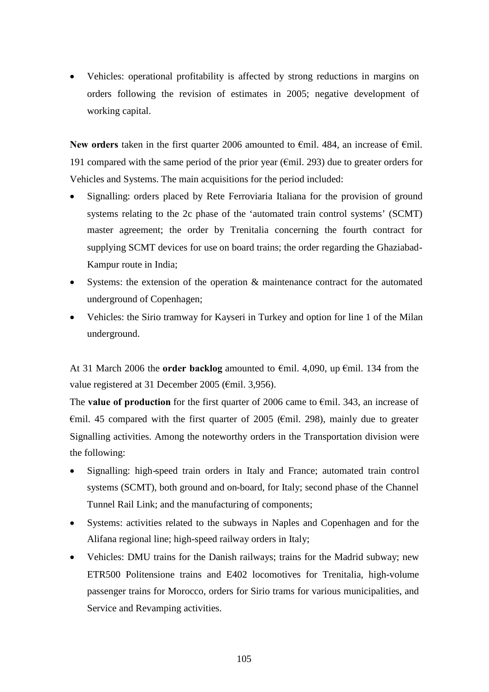Vehicles: operational profitability is affected by strong reductions in margins on orders following the revision of estimates in 2005; negative development of working capital.

**New orders** taken in the first quarter 2006 amounted to €mil. 484, an increase of €mil. 191 compared with the same period of the prior year ( $\epsilon$ mil. 293) due to greater orders for Vehicles and Systems. The main acquisitions for the period included:

- Signalling: orders placed by Rete Ferroviaria Italiana for the provision of ground systems relating to the 2c phase of the 'automated train control systems' (SCMT) master agreement; the order by Trenitalia concerning the fourth contract for supplying SCMT devices for use on board trains; the order regarding the Ghaziabad-Kampur route in India;
- Systems: the extension of the operation  $\&$  maintenance contract for the automated underground of Copenhagen;
- Vehicles: the Sirio tramway for Kayseri in Turkey and option for line 1 of the Milan underground.

At 31 March 2006 the **order backlog** amounted to €mil. 4,090, up €mil. 134 from the value registered at 31 December 2005 (€mil. 3,956).

The **value of production** for the first quarter of 2006 came to €mil. 343, an increase of  $\epsilon$ mil. 45 compared with the first quarter of 2005 ( $\epsilon$ mil. 298), mainly due to greater Signalling activities. Among the noteworthy orders in the Transportation division were the following:

- Signalling: high-speed train orders in Italy and France; automated train control systems (SCMT), both ground and on-board, for Italy; second phase of the Channel Tunnel Rail Link; and the manufacturing of components;
- Systems: activities related to the subways in Naples and Copenhagen and for the Alifana regional line; high-speed railway orders in Italy;
- Vehicles: DMU trains for the Danish railways; trains for the Madrid subway; new ETR500 Politensione trains and E402 locomotives for Trenitalia, high-volume passenger trains for Morocco, orders for Sirio trams for various municipalities, and Service and Revamping activities.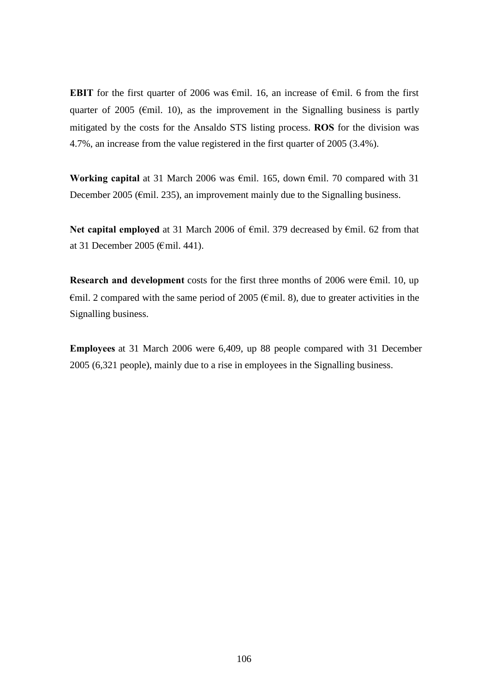**EBIT** for the first quarter of 2006 was  $\epsilon$ mil. 16, an increase of  $\epsilon$ mil. 6 from the first quarter of 2005 ( $\epsilon$ mil. 10), as the improvement in the Signalling business is partly mitigated by the costs for the Ansaldo STS listing process. **ROS** for the division was 4.7%, an increase from the value registered in the first quarter of 2005 (3.4%).

**Working capital** at 31 March 2006 was €mil. 165, down €mil. 70 compared with 31 December 2005 ( $\epsilon$ mil. 235), an improvement mainly due to the Signalling business.

Net capital employed at 31 March 2006 of €mil. 379 decreased by €mil. 62 from that at 31 December 2005 (€mil. 441).

**Research and development** costs for the first three months of 2006 were €mil. 10, up  $\epsilon$ mil. 2 compared with the same period of 2005 ( $\epsilon$ mil. 8), due to greater activities in the Signalling business.

**Employees** at 31 March 2006 were 6,409, up 88 people compared with 31 December 2005 (6,321 people), mainly due to a rise in employees in the Signalling business.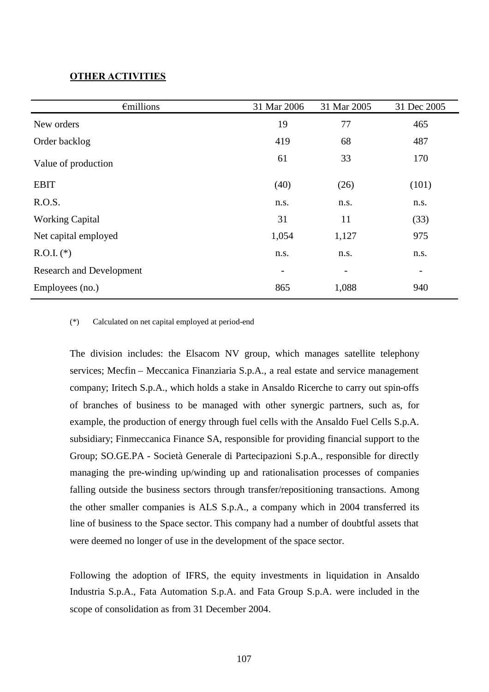## **OTHER ACTIVITIES**

| $\epsilon$ millions             | 31 Mar 2006 | 31 Mar 2005              | 31 Dec 2005              |
|---------------------------------|-------------|--------------------------|--------------------------|
| New orders                      | 19          | 77                       | 465                      |
| Order backlog                   | 419         | 68                       | 487                      |
| Value of production             | 61          | 33                       | 170                      |
| <b>EBIT</b>                     | (40)        | (26)                     | (101)                    |
| R.O.S.                          | n.s.        | n.s.                     | n.s.                     |
| <b>Working Capital</b>          | 31          | 11                       | (33)                     |
| Net capital employed            | 1,054       | 1,127                    | 975                      |
| $R.O.I.$ (*)                    | n.s.        | n.s.                     | n.s.                     |
| <b>Research and Development</b> |             | $\overline{\phantom{a}}$ | $\overline{\phantom{a}}$ |
| Employees (no.)                 | 865         | 1,088                    | 940                      |

#### (\*) Calculated on net capital employed at period-end

The division includes: the Elsacom NV group, which manages satellite telephony services; Mecfin – Meccanica Finanziaria S.p.A., a real estate and service management company; Iritech S.p.A., which holds a stake in Ansaldo Ricerche to carry out spin-offs of branches of business to be managed with other synergic partners, such as, for example, the production of energy through fuel cells with the Ansaldo Fuel Cells S.p.A. subsidiary; Finmeccanica Finance SA, responsible for providing financial support to the Group; SO.GE.PA - Società Generale di Partecipazioni S.p.A., responsible for directly managing the pre-winding up/winding up and rationalisation processes of companies falling outside the business sectors through transfer/repositioning transactions. Among the other smaller companies is ALS S.p.A., a company which in 2004 transferred its line of business to the Space sector. This company had a number of doubtful assets that were deemed no longer of use in the development of the space sector.

Following the adoption of IFRS, the equity investments in liquidation in Ansaldo Industria S.p.A., Fata Automation S.p.A. and Fata Group S.p.A. were included in the scope of consolidation as from 31 December 2004.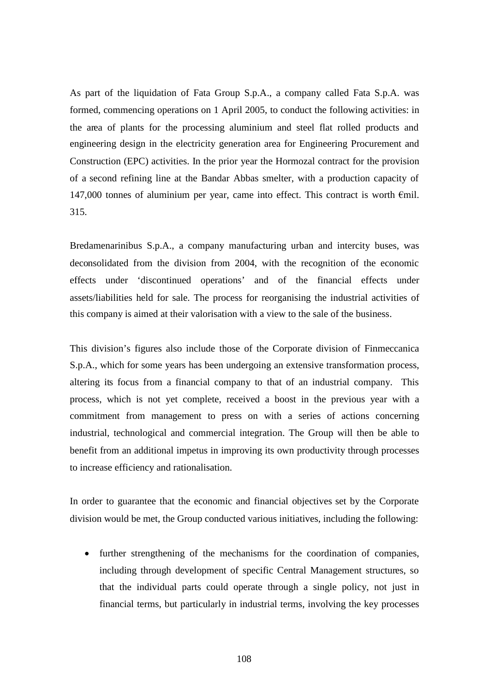As part of the liquidation of Fata Group S.p.A., a company called Fata S.p.A. was formed, commencing operations on 1 April 2005, to conduct the following activities: in the area of plants for the processing aluminium and steel flat rolled products and engineering design in the electricity generation area for Engineering Procurement and Construction (EPC) activities. In the prior year the Hormozal contract for the provision of a second refining line at the Bandar Abbas smelter, with a production capacity of 147,000 tonnes of aluminium per year, came into effect. This contract is worth €mil. 315.

Bredamenarinibus S.p.A., a company manufacturing urban and intercity buses, was deconsolidated from the division from 2004, with the recognition of the economic effects under 'discontinued operations' and of the financial effects under assets/liabilities held for sale. The process for reorganising the industrial activities of this company is aimed at their valorisation with a view to the sale of the business.

This division's figures also include those of the Corporate division of Finmeccanica S.p.A., which for some years has been undergoing an extensive transformation process, altering its focus from a financial company to that of an industrial company. This process, which is not yet complete, received a boost in the previous year with a commitment from management to press on with a series of actions concerning industrial, technological and commercial integration. The Group will then be able to benefit from an additional impetus in improving its own productivity through processes to increase efficiency and rationalisation.

In order to guarantee that the economic and financial objectives set by the Corporate division would be met, the Group conducted various initiatives, including the following:

• further strengthening of the mechanisms for the coordination of companies, including through development of specific Central Management structures, so that the individual parts could operate through a single policy, not just in financial terms, but particularly in industrial terms, involving the key processes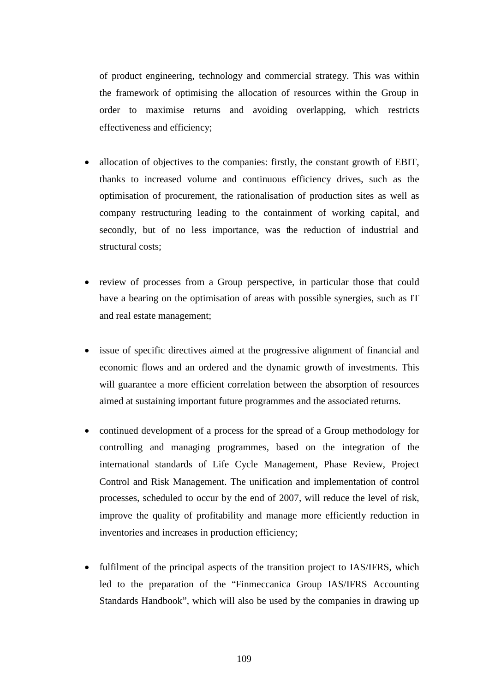of product engineering, technology and commercial strategy. This was within the framework of optimising the allocation of resources within the Group in order to maximise returns and avoiding overlapping, which restricts effectiveness and efficiency;

- allocation of objectives to the companies: firstly, the constant growth of EBIT, thanks to increased volume and continuous efficiency drives, such as the optimisation of procurement, the rationalisation of production sites as well as company restructuring leading to the containment of working capital, and secondly, but of no less importance, was the reduction of industrial and structural costs;
- review of processes from a Group perspective, in particular those that could have a bearing on the optimisation of areas with possible synergies, such as IT and real estate management;
- issue of specific directives aimed at the progressive alignment of financial and economic flows and an ordered and the dynamic growth of investments. This will guarantee a more efficient correlation between the absorption of resources aimed at sustaining important future programmes and the associated returns.
- continued development of a process for the spread of a Group methodology for controlling and managing programmes, based on the integration of the international standards of Life Cycle Management, Phase Review, Project Control and Risk Management. The unification and implementation of control processes, scheduled to occur by the end of 2007, will reduce the level of risk, improve the quality of profitability and manage more efficiently reduction in inventories and increases in production efficiency;
- fulfilment of the principal aspects of the transition project to IAS/IFRS, which led to the preparation of the "Finmeccanica Group IAS/IFRS Accounting Standards Handbook", which will also be used by the companies in drawing up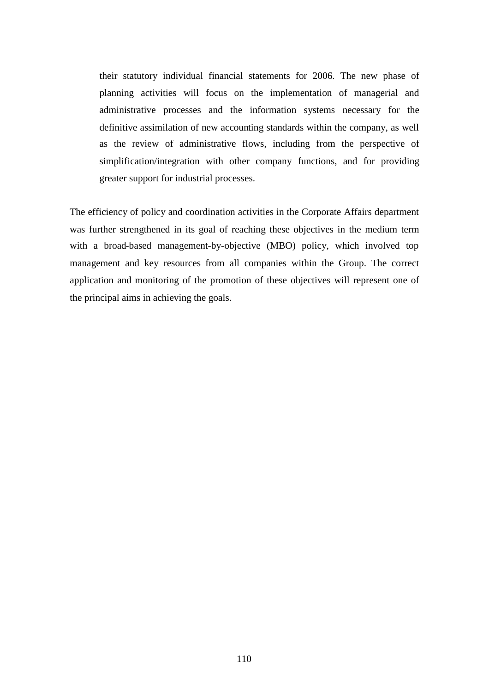their statutory individual financial statements for 2006. The new phase of planning activities will focus on the implementation of managerial and administrative processes and the information systems necessary for the definitive assimilation of new accounting standards within the company, as well as the review of administrative flows, including from the perspective of simplification/integration with other company functions, and for providing greater support for industrial processes.

The efficiency of policy and coordination activities in the Corporate Affairs department was further strengthened in its goal of reaching these objectives in the medium term with a broad-based management-by-objective (MBO) policy, which involved top management and key resources from all companies within the Group. The correct application and monitoring of the promotion of these objectives will represent one of the principal aims in achieving the goals.